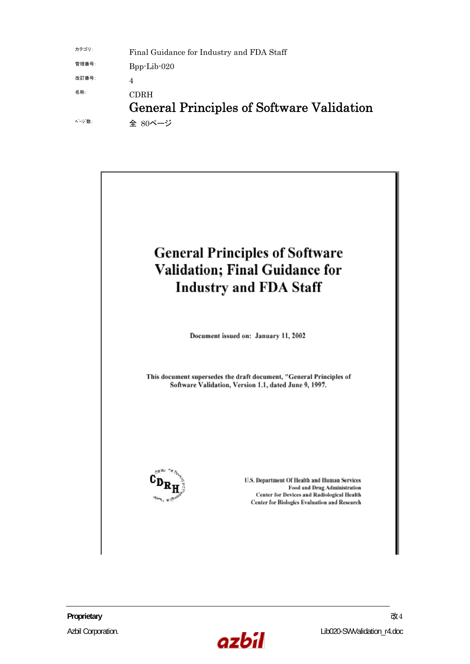| カテゴリ:  | Final Guidance for Industry and FDA Staff        |
|--------|--------------------------------------------------|
| 管理番号:  | $Bpp-Lib-020$                                    |
| 改訂番号:  | 4                                                |
| 名称:    | CDRH                                             |
|        | <b>General Principles of Software Validation</b> |
| ページ 数: | 全 80ページ                                          |
|        |                                                  |



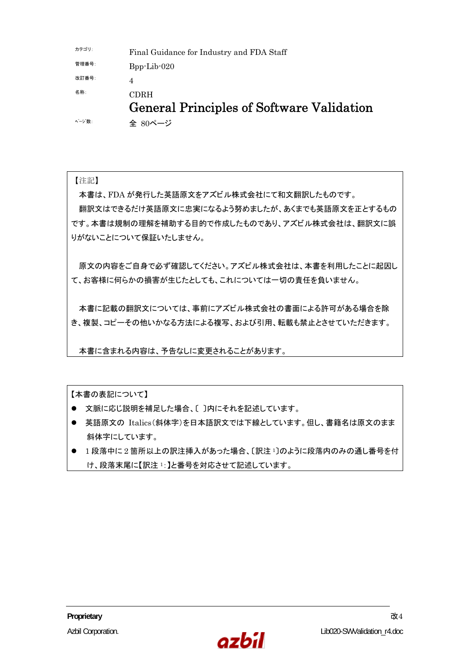カテゴリ: Final Guidance for Industry and FDA Staff  $f(x) = Bpp-Lib-020$ 改訂番号: 4 <sup>名称:</sup> CDRH General Principles of Software Validation ページ数: 全 80ページ

【注記】

本書は、FDA が発行した英語原文をアズビル株式会社にて和文翻訳したものです。 翻訳文はできるだけ英語原文に忠実になるよう努めましたが、あくまでも英語原文を正とするもの です。本書は規制の理解を補助する目的で作成したものであり、アズビル株式会社は、翻訳文に誤 りがないことについて保証いたしません。

原文の内容をご自身で必ず確認してください。アズビル株式会社は、本書を利用したことに起因し て、お客様に何らかの損害が生じたとしても、これについては一切の責任を負いません。

本書に記載の翻訳文については、事前にアズビル株式会社の書面による許可がある場合を除 き、複製、コピーその他いかなる方法による複写、および引用、転載も禁止とさせていただきます。

本書に含まれる内容は、予告なしに変更されることがあります。

【本書の表記について】

- 文脈に応じ説明を補足した場合、〔 〕内にそれを記述しています。
- 英語原文の Italics(斜体字)を日本語訳文では下線としています。但し、書籍名は原文のまま 斜体字にしています。
- 1 段落中に2 箇所以上の訳注挿入があった場合、〔訳注 1〕のように段落内のみの通し番号を付 け、段落末尾に【訳注1:】と番号を対応させて記述しています。

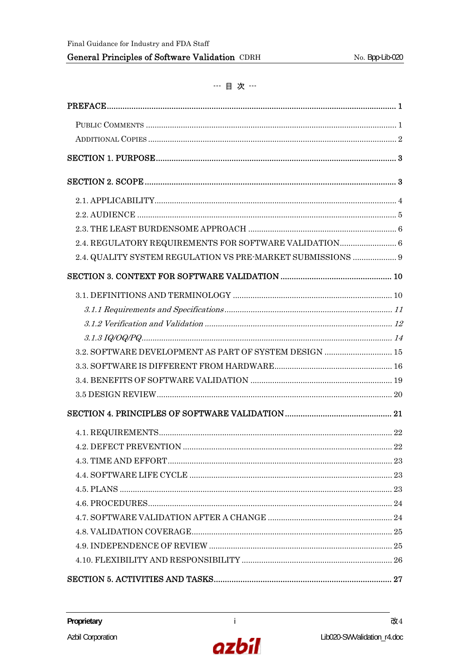### General Principles of Software Validation CDRH

# --- 目 次 ---

| 2.4. REGULATORY REQUIREMENTS FOR SOFTWARE VALIDATION 6      |  |
|-------------------------------------------------------------|--|
| 2.4. QUALITY SYSTEM REGULATION VS PRE-MARKET SUBMISSIONS  9 |  |
|                                                             |  |
|                                                             |  |
|                                                             |  |
|                                                             |  |
|                                                             |  |
|                                                             |  |
| 3.2. SOFTWARE DEVELOPMENT AS PART OF SYSTEM DESIGN  15      |  |
|                                                             |  |
|                                                             |  |
|                                                             |  |
|                                                             |  |
|                                                             |  |
|                                                             |  |
|                                                             |  |
|                                                             |  |
|                                                             |  |
|                                                             |  |
|                                                             |  |
|                                                             |  |
|                                                             |  |
|                                                             |  |
|                                                             |  |

 $\mathbf{i}$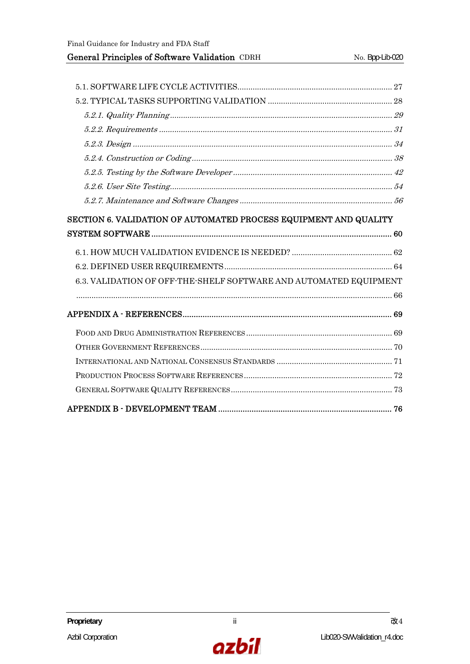| SECTION 6. VALIDATION OF AUTOMATED PROCESS EQUIPMENT AND QUALITY  |
|-------------------------------------------------------------------|
|                                                                   |
|                                                                   |
|                                                                   |
| 6.3. VALIDATION OF OFF-THE-SHELF SOFTWARE AND AUTOMATED EQUIPMENT |
|                                                                   |
|                                                                   |
|                                                                   |
|                                                                   |
|                                                                   |
|                                                                   |
|                                                                   |
|                                                                   |

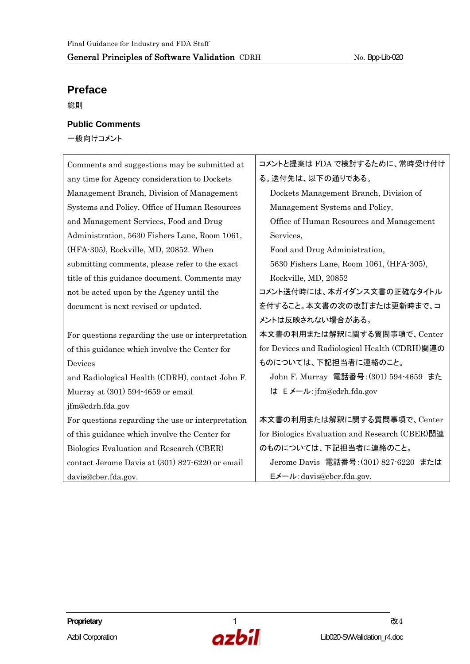# **Preface**

総則

#### **Public Comments**

一般向けコメント

| Comments and suggestions may be submitted at      | コメントと提案は FDA で検討するために、常時受け付け                   |
|---------------------------------------------------|------------------------------------------------|
| any time for Agency consideration to Dockets      | る。送付先は、以下の通りである。                               |
| Management Branch, Division of Management         | Dockets Management Branch, Division of         |
| Systems and Policy, Office of Human Resources     | Management Systems and Policy,                 |
| and Management Services, Food and Drug            | Office of Human Resources and Management       |
| Administration, 5630 Fishers Lane, Room 1061,     | Services,                                      |
| (HFA-305), Rockville, MD, 20852. When             | Food and Drug Administration,                  |
| submitting comments, please refer to the exact    | 5630 Fishers Lane, Room 1061, (HFA-305),       |
| title of this guidance document. Comments may     | Rockville, MD, 20852                           |
| not be acted upon by the Agency until the         | コメント送付時には、本ガイダンス文書の正確なタイトル                     |
| document is next revised or updated.              | を付すること。本文書の次の改訂または更新時まで、コ                      |
|                                                   | メントは反映されない場合がある。                               |
| For questions regarding the use or interpretation | 本文書の利用または解釈に関する質問事項で、Center                    |
| of this guidance which involve the Center for     | for Devices and Radiological Health (CDRH)関連の  |
| Devices                                           | ものについては、下記担当者に連絡のこと。                           |
| and Radiological Health (CDRH), contact John F.   | John F. Murray 電話番号: (301) 594-4659 また         |
| Murray at $(301)$ 594-4659 or email               | は Eメール:jfm@cdrh.fda.gov                        |
| jfm@cdrh.fda.gov                                  |                                                |
| For questions regarding the use or interpretation | 本文書の利用または解釈に関する質問事項で、Center                    |
| of this guidance which involve the Center for     | for Biologics Evaluation and Research (CBER)関連 |
| Biologics Evaluation and Research (CBER)          | のものについては、下記担当者に連絡のこと。                          |
| contact Jerome Davis at (301) 827-6220 or email   | Jerome Davis 電話番号: (301) 827-6220 または          |
| davis@cber.fda.gov.                               | $E \nightharpoonup \nu$ : davis@cber.fda.gov.  |

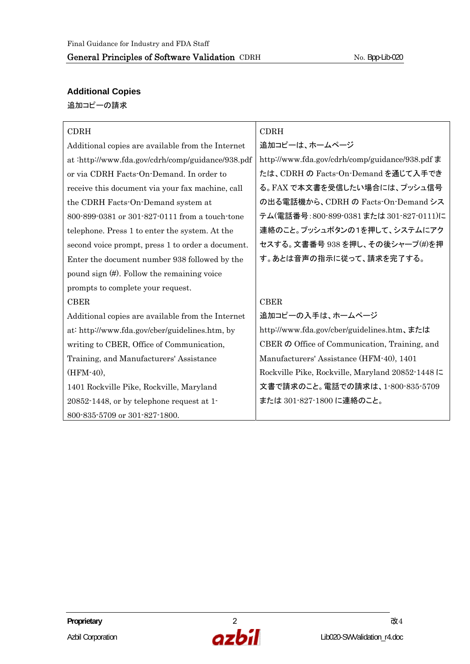# **Additional Copies**

追加コピーの請求

| <b>CDRH</b>                                       | <b>CDRH</b>                                          |
|---------------------------------------------------|------------------------------------------------------|
| Additional copies are available from the Internet | 追加コピーは、ホームページ                                        |
| at :http://www.fda.gov/cdrh/comp/guidance/938.pdf | http://www.fda.gov/cdrh/comp/guidance/938.pdf ま      |
| or via CDRH Facts-On-Demand. In order to          | たは、CDRH の Facts-On-Demand を通じて入手でき                   |
| receive this document via your fax machine, call  | る。FAX で本文書を受信したい場合には、プッシュ信号                          |
| the CDRH Facts-On-Demand system at                | の出る電話機から、CDRH の Facts-On-Demand シス                   |
| 800-899-0381 or 301-827-0111 from a touch-tone    | テム(電話番号: 800-899-0381 または 301-827-0111)に             |
| telephone. Press 1 to enter the system. At the    | 連絡のこと。プッシュボタンの1を押して、システムにアク                          |
| second voice prompt, press 1 to order a document. | セスする。文書番号 938 を押し、その後シャープ(#)を押                       |
| Enter the document number 938 followed by the     | す。あとは音声の指示に従って、請求を完了する。                              |
| pound sign $(\#)$ . Follow the remaining voice    |                                                      |
| prompts to complete your request.                 |                                                      |
| <b>CBER</b>                                       | <b>CBER</b>                                          |
| Additional copies are available from the Internet | 追加コピーの入手は、ホームページ                                     |
| at: http://www.fda.gov/cber/guidelines.htm, by    | http://www.fda.gov/cber/guidelines.htm、または           |
| writing to CBER, Office of Communication,         | CBER $\Omega$ Office of Communication, Training, and |
| Training, and Manufacturers' Assistance           | Manufacturers' Assistance (HFM-40), 1401             |
| $(HFM-40)$ ,                                      | Rockville Pike, Rockville, Maryland 20852-1448 に     |
| 1401 Rockville Pike, Rockville, Maryland          | 文書で請求のこと。電話での請求は、1-800-835-5709                      |
| 20852-1448, or by telephone request at 1-         | または 301-827-1800 に連絡のこと。                             |
| 800-835-5709 or 301-827-1800.                     |                                                      |

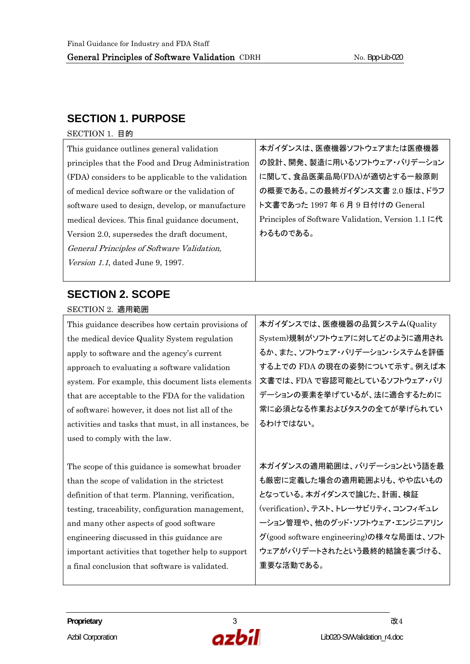# **SECTION 1. PURPOSE**

#### SECTION 1. 目的

| This guidance outlines general validation          | 本ガイダンスは、医療機器ソフトウェアまたは医療機器                         |
|----------------------------------------------------|---------------------------------------------------|
| principles that the Food and Drug Administration   | の設計、開発、製造に用いるソフトウェア・バリデーション                       |
| (FDA) considers to be applicable to the validation | に関して、食品医薬品局(FDA)が適切とする一般原則                        |
| of medical device software or the validation of    | の概要である。この最終ガイダンス文書 2.0 版は、ドラフ                     |
| software used to design, develop, or manufacture   | ト文書であった 1997 年 6 月 9 日付けの General                 |
| medical devices. This final guidance document,     | Principles of Software Validation, Version 1.1 に代 |
| Version 2.0, supersedes the draft document,        | わるものである。                                          |
| General Principles of Software Validation,         |                                                   |
| Version 1.1, dated June 9, 1997.                   |                                                   |
|                                                    |                                                   |

# **SECTION 2. SCOPE**

| This guidance describes how certain provisions of    | 本ガイダンスでは、医療機器の品質システム(Quality            |
|------------------------------------------------------|-----------------------------------------|
| the medical device Quality System regulation         | System)規制がソフトウェアに対してどのように適用され           |
| apply to software and the agency's current           | るか、また、ソフトウェア・バリデーション・システムを評価            |
| approach to evaluating a software validation         | する上での FDA の現在の姿勢について示す。例えば本             |
| system. For example, this document lists elements    | 文書では、FDA で容認可能としているソフトウェア・バリ            |
| that are acceptable to the FDA for the validation    | デーションの要素を挙げているが、法に適合するために               |
| of software; however, it does not list all of the    | 常に必須となる作業およびタスクの全てが挙げられてい               |
| activities and tasks that must, in all instances, be | るわけではない。                                |
| used to comply with the law.                         |                                         |
|                                                      |                                         |
|                                                      |                                         |
| The scope of this guidance is somewhat broader       | 本ガイダンスの適用範囲は、バリデーションという語を最              |
| than the scope of validation in the strictest        | も厳密に定義した場合の適用範囲よりも、やや広いもの               |
| definition of that term. Planning, verification,     | となっている。本ガイダンスで論じた、計画、検証                 |
| testing, traceability, configuration management,     | (verification)、テスト、トレーサビリティ、コンフィギュレ     |
| and many other aspects of good software              | ーション管理や、他のグッド・ソフトウェア・エンジニアリン            |
| engineering discussed in this guidance are           | グ(good software engineering)の様々な局面は、ソフト |
| important activities that together help to support   | ウェアがバリデートされたという最終的結論を裏づける、              |
| a final conclusion that software is validated.       | 重要な活動である。                               |

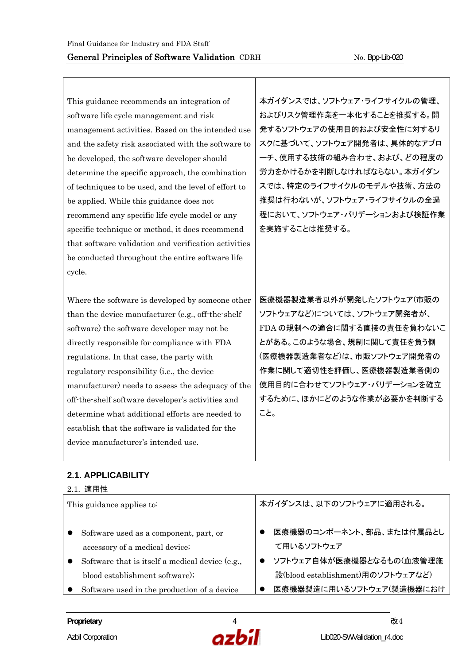This guidance recommends an integration of software life cycle management and risk management activities. Based on the intended use and the safety risk associated with the software to be developed, the software developer should determine the specific approach, the combination of techniques to be used, and the level of effort to be applied. While this guidance does not recommend any specific life cycle model or any specific technique or method, it does recommend that software validation and verification activities be conducted throughout the entire software life cycle. 本ガイダンスでは、ソフトウェア・ライフサイクルの管理、 およびリスク管理作業を一本化することを推奨する。開 発するソフトウェアの使用目的および安全性に対するリ スクに基づいて、ソフトウェア開発者は、具体的なアプロ ーチ、使用する技術の組み合わせ、および、どの程度の 労力をかけるかを判断しなければならない。本ガイダン スでは、特定のライフサイクルのモデルや技術、方法の 推奨は行わないが、ソフトウェア・ライフサイクルの全過 程において、ソフトウェア・バリデーションおよび検証作業 を実施することは推奨する。 Where the software is developed by someone other than the device manufacturer (e.g., off-the-shelf software) the software developer may not be directly responsible for compliance with FDA regulations. In that case, the party with regulatory responsibility (i.e., the device manufacturer) needs to assess the adequacy of the off-the-shelf software developer's activities and determine what additional efforts are needed to establish that the software is validated for the device manufacturer's intended use. 医療機器製造業者以外が開発したソフトウェア(市販の ソフトウェアなど)については、ソフトウェア開発者が、 FDA の規制への適合に関する直接の責任を負わないこ とがある。このような場合、規制に関して責任を負う側 (医療機器製造業者など)は、市販ソフトウェア開発者の 作業に関して適切性を評価し、医療機器製造業者側の 使用目的に合わせてソフトウェア・バリデーションを確立 するために、ほかにどのような作業が必要かを判断する こと。

# **2.1. APPLICABILITY**

#### 2.1. 適用性

| This guidance applies to: |                                                                                   | 本ガイダンスは、以下のソフトウェアに適用される。 |                                        |
|---------------------------|-----------------------------------------------------------------------------------|--------------------------|----------------------------------------|
|                           | Software used as a component, part, or                                            |                          | 医療機器のコンポーネント、部品、または付属品とし<br>て用いるソフトウェア |
|                           | accessory of a medical device;<br>Software that is itself a medical device (e.g., |                          | ソフトウェア自体が医療機器となるもの(血液管理施               |
|                           | blood establishment software);                                                    |                          | 設(blood establishment)用のソフトウェアなど)      |
|                           | Software used in the production of a device                                       |                          | 医療機器製造に用いるソフトウェア(製造機器におけ               |

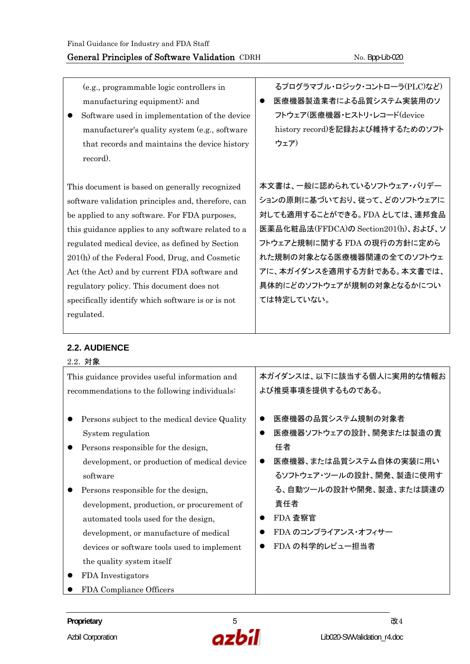(e.g., programmable logic controllers in manufacturing equipment); and

 Software used in implementation of the device manufacturer's quality system (e.g., software that records and maintains the device history record).

This document is based on generally recognized software validation principles and, therefore, can be applied to any software. For FDA purposes, this guidance applies to any software related to a regulated medical device, as defined by Section 201(h) of the Federal Food, Drug, and Cosmetic Act (the Act) and by current FDA software and regulatory policy. This document does not specifically identify which software is or is not regulated.

るプログラマブル・ロジック・コントローラ(PLC)など)

● 医療機器製造業者による品質システム実装用のソ フトウェア(医療機器・ヒストリ・レコード(device history record)を記録および維持するためのソフト ウェア)

本文書は、一般に認められているソフトウェア・バリデー ションの原則に基づいており、従って、どのソフトウェアに 対しても適用することができる。FDA としては、連邦食品 医薬品化粧品法(FFDCA)の Section201(h)、および、ソ フトウェアと規制に関する FDA の現行の方針に定めら れた規制の対象となる医療機器関連の全てのソフトウェ アに、本ガイダンスを適用する方針である。本文書では、 具体的にどのソフトウェアが規制の対象となるかについ ては特定していない。

# **2.2. AUDIENCE**

| 2.2. 対象                                       |                              |
|-----------------------------------------------|------------------------------|
| This guidance provides useful information and | 本ガイダンスは、以下に該当する個人に実用的な情報お    |
| recommendations to the following individuals: | よび推奨事項を提供するものである。            |
|                                               |                              |
| Persons subject to the medical device Quality | 医療機器の品質システム規制の対象者            |
| System regulation                             | 医療機器ソフトウェアの設計、開発または製造の責<br>c |
| Persons responsible for the design,           | 任者                           |
| development, or production of medical device  | 医療機器、または品質システム自体の実装に用い       |
| software                                      | るソフトウェア・ツールの設計、開発、製造に使用す     |
| Persons responsible for the design,           | る、自動ツールの設計や開発、製造、または調達の      |
| development, production, or procurement of    | 責任者                          |
| automated tools used for the design,          | FDA 査察官                      |
| development, or manufacture of medical        | FDA のコンプライアンス・オフィサー          |
| devices or software tools used to implement   | FDA の科学的レビュー担当者              |
| the quality system itself                     |                              |
| FDA Investigators                             |                              |
| FDA Compliance Officers                       |                              |

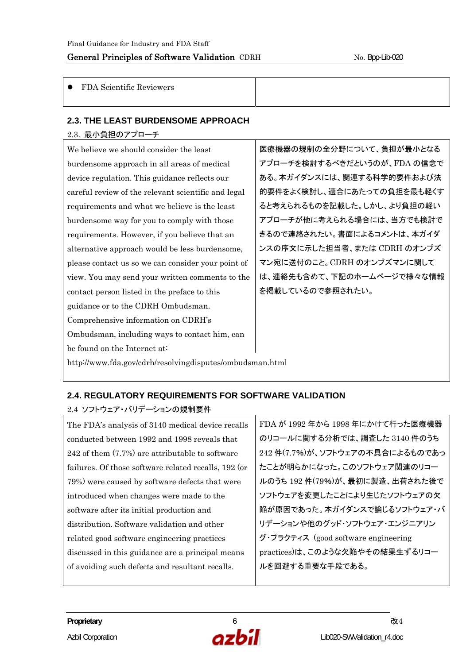FDA Scientific Reviewers

#### **2.3. THE LEAST BURDENSOME APPROACH**

#### 2.3. 最小負担のアプローチ

We believe we should consider the least burdensome approach in all areas of medical device regulation. This guidance reflects our careful review of the relevant scientific and legal requirements and what we believe is the least burdensome way for you to comply with those requirements. However, if you believe that an alternative approach would be less burdensome, please contact us so we can consider your point of view. You may send your written comments to the contact person listed in the preface to this guidance or to the CDRH Ombudsman. Comprehensive information on CDRH's Ombudsman, including ways to contact him, can be found on the Internet at:

医療機器の規制の全分野について、負担が最小となる アプローチを検討するべきだというのが、FDA の信念で ある。本ガイダンスには、関連する科学的要件および法 的要件をよく検討し、適合にあたっての負担を最も軽くす ると考えられるものを記載した。しかし、より負担の軽い アプローチが他に考えられる場合には、当方でも検討で きるので連絡されたい。書面によるコメントは、本ガイダ ンスの序文に示した担当者、または CDRH のオンブズ マン宛に送付のこと。CDRH のオンブズマンに関して は、連絡先も含めて、下記のホームページで様々な情報 を掲載しているので参照されたい。

http://www.fda.gov/cdrh/resolvingdisputes/ombudsman.html

# **2.4. REGULATORY REQUIREMENTS FOR SOFTWARE VALIDATION**

#### 2.4 ソフトウェア・バリデーションの規制要件

The FDA's analysis of 3140 medical device recalls conducted between 1992 and 1998 reveals that 242 of them (7.7%) are attributable to software failures. Of those software related recalls, 192 (or 79%) were caused by software defects that were introduced when changes were made to the software after its initial production and distribution. Software validation and other related good software engineering practices discussed in this guidance are a principal means of avoiding such defects and resultant recalls.

FDA が 1992 年から 1998 年にかけて行った医療機器 のリコールに関する分析では、調査した 3140 件のうち 242 件(7.7%)が、ソフトウェアの不具合によるものであっ たことが明らかになった。このソフトウェア関連のリコー ルのうち 192 件(79%)が、最初に製造、出荷された後で ソフトウェアを変更したことにより生じたソフトウェアの欠 陥が原因であった。本ガイダンスで論じるソフトウェア・バ リデーションや他のグッド・ソフトウェア・エンジニアリン グ・プラクティス (good software engineering practices)は、このような欠陥やその結果生ずるリコー ルを回避する重要な手段である。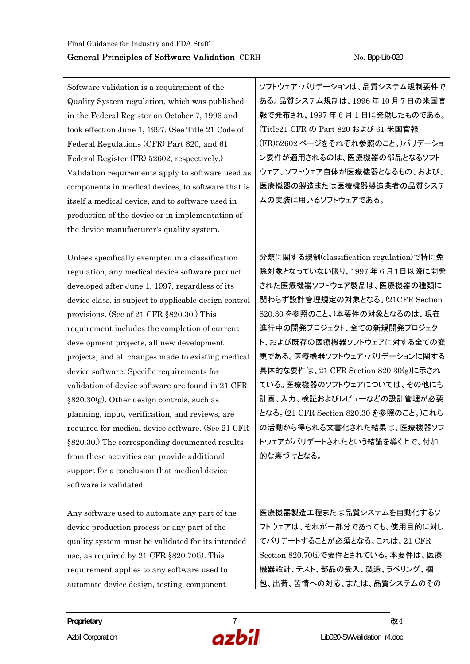Software validation is a requirement of the Quality System regulation, which was published in the Federal Register on October 7, 1996 and took effect on June 1, 1997. (See Title 21 Code of Federal Regulations (CFR) Part 820, and 61 Federal Register (FR) 52602, respectively.) Validation requirements apply to software used as components in medical devices, to software that is itself a medical device, and to software used in production of the device or in implementation of the device manufacturer's quality system.

Unless specifically exempted in a classification regulation, any medical device software product developed after June 1, 1997, regardless of its device class, is subject to applicable design control provisions. (See of 21 CFR §820.30.) This requirement includes the completion of current development projects, all new development projects, and all changes made to existing medical device software. Specific requirements for validation of device software are found in 21 CFR  $§820.30(g)$ . Other design controls, such as planning, input, verification, and reviews, are required for medical device software. (See 21 CFR §820.30.) The corresponding documented results from these activities can provide additional support for a conclusion that medical device software is validated.

Any software used to automate any part of the device production process or any part of the quality system must be validated for its intended use, as required by 21 CFR §820.70(i). This requirement applies to any software used to automate device design, testing, component

ソフトウェア・バリデーションは、品質システム規制要件で ある。品質システム規制は、1996 年 10 月 7 日の米国官 報で発布され、1997 年 6 月 1 日に発効したものである。 (Title21 CFR の Part 820 および 61 米国官報 (FR)52602 ページをそれぞれ参照のこと。)バリデーショ ン要件が適用されるのは、医療機器の部品となるソフト ウェア、ソフトウェア自体が医療機器となるもの、および、 医療機器の製造または医療機器製造業者の品質システ ムの実装に用いるソフトウェアである。

分類に関する規制(classification regulation)で特に免 除対象となっていない限り、1997 年 6 月1日以降に開発 された医療機器ソフトウェア製品は、医療機器の種類に 関わらず設計管理規定の対象となる。(21CFR Section 820.30 を参照のこと。)本要件の対象となるのは、現在 進行中の開発プロジェクト、全ての新規開発プロジェク ト、および既存の医療機器ソフトウェアに対する全ての変 更である。医療機器ソフトウェア・バリデーションに関する 具体的な要件は、21 CFR Section 820.30(g)に示され ている。医療機器のソフトウェアについては、その他にも 計画、入力、検証およびレビューなどの設計管理が必要 となる。(21 CFR Section 820.30 を参照のこと。)これら の活動から得られる文書化された結果は、医療機器ソフ トウェアがバリデートされたという結論を導く上で、付加 的な裏づけとなる。

医療機器製造工程または品質システムを自動化するソ フトウェアは、それが一部分であっても、使用目的に対し てバリデートすることが必須となる。これは、21 CFR Section 820.70(i)で要件とされている。本要件は、医療 機器設計、テスト、部品の受入、製造、ラベリング、梱 包、出荷、苦情への対応、または、品質システムのその

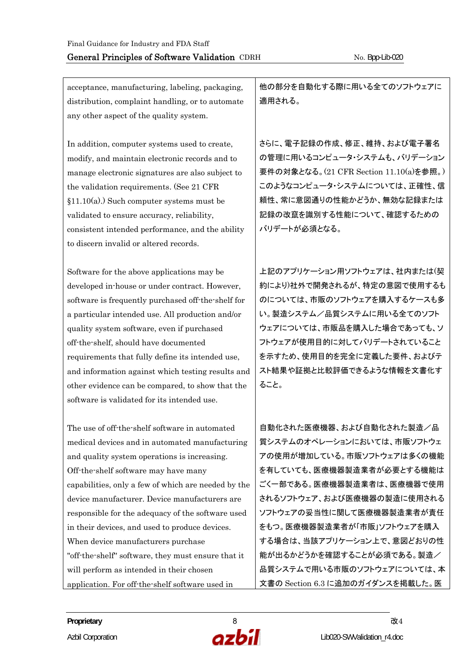acceptance, manufacturing, labeling, packaging, distribution, complaint handling, or to automate any other aspect of the quality system.

In addition, computer systems used to create, modify, and maintain electronic records and to manage electronic signatures are also subject to the validation requirements. (See 21 CFR §11.10(a).) Such computer systems must be validated to ensure accuracy, reliability, consistent intended performance, and the ability to discern invalid or altered records.

Software for the above applications may be developed in-house or under contract. However, software is frequently purchased off-the-shelf for a particular intended use. All production and/or quality system software, even if purchased off-the-shelf, should have documented requirements that fully define its intended use, and information against which testing results and other evidence can be compared, to show that the software is validated for its intended use.

The use of off-the-shelf software in automated medical devices and in automated manufacturing and quality system operations is increasing. Off-the-shelf software may have many capabilities, only a few of which are needed by the device manufacturer. Device manufacturers are responsible for the adequacy of the software used in their devices, and used to produce devices. When device manufacturers purchase "off-the-shelf'' software, they must ensure that it will perform as intended in their chosen application. For off-the-shelf software used in

他の部分を自動化する際に用いる全てのソフトウェアに 適用される。

さらに、電子記録の作成、修正、維持、および電子署名 の管理に用いるコンピュータ・システムも、バリデーション 要件の対象となる。(21 CFR Section 11.10(a)を参照。) このようなコンピュータ・システムについては、正確性、信 頼性、常に意図通りの性能かどうか、無効な記録または 記録の改竄を識別する性能について、確認するための バリデートが必須となる。

上記のアプリケーション用ソフトウェアは、社内または(契 約により)社外で開発されるが、特定の意図で使用するも のについては、市販のソフトウェアを購入するケースも多 い。製造システム/品質システムに用いる全てのソフト ウェアについては、市販品を購入した場合であっても、ソ フトウェアが使用目的に対してバリデートされていること を示すため、使用目的を完全に定義した要件、およびテ スト結果や証拠と比較評価できるような情報を文書化す ること。

自動化された医療機器、および自動化された製造/品 質システムのオペレーションにおいては、市販ソフトウェ アの使用が増加している。市販ソフトウェアは多くの機能 を有していても、医療機器製造業者が必要とする機能は ごく一部である。医療機器製造業者は、医療機器で使用 されるソフトウェア、および医療機器の製造に使用される ソフトウェアの妥当性に関して医療機器製造業者が責任 をもつ。医療機器製造業者が「市販」ソフトウェアを購入 する場合は、当該アプリケーション上で、意図どおりの性 能が出るかどうかを確認することが必須である。製造/ 品質システムで用いる市販のソフトウェアについては、本 文書の Section 6.3 に追加のガイダンスを掲載した。医

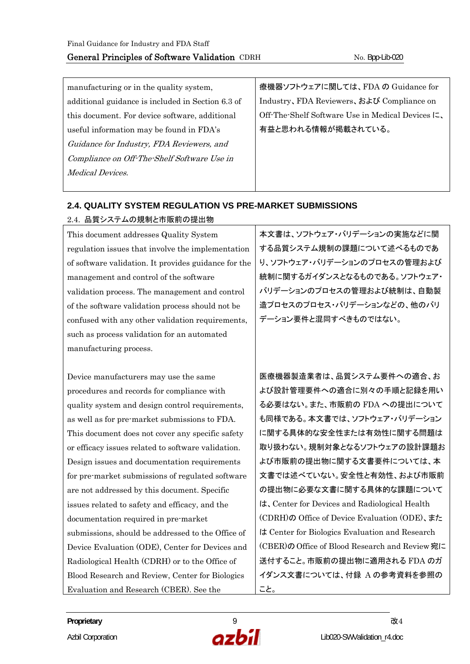| manufacturing or in the quality system,           | 療機器ソフトウェアに関しては、FDA の Guidance for                         |
|---------------------------------------------------|-----------------------------------------------------------|
| additional guidance is included in Section 6.3 of | Industry, FDA Reviewers, および Compliance on                |
| this document. For device software, additional    | Off-The-Shelf Software Use in Medical Devices $\subset$ , |
| useful information may be found in FDA's          | 有益と思われる情報が掲載されている。                                        |
| Guidance for Industry, FDA Reviewers, and         |                                                           |
| Compliance on Off-The-Shelf Software Use in       |                                                           |
| <b>Medical Devices.</b>                           |                                                           |
|                                                   |                                                           |

### **2.4. QUALITY SYSTEM REGULATION VS PRE-MARKET SUBMISSIONS**

| This document addresses Quality System<br>regulation issues that involve the implementation<br>of software validation. It provides guidance for the<br>management and control of the software<br>validation process. The management and control<br>of the software validation process should not be<br>confused with any other validation requirements,<br>such as process validation for an automated | 本文書は、ソフトウェア・バリデーションの実施などに関<br>する品質システム規制の課題について述べるものであ<br>り、ソフトウェア・バリデーションのプロセスの管理および<br>統制に関するガイダンスとなるものである。ソフトウェア・<br>バリデーションのプロセスの管理および統制は、自動製<br>造プロセスのプロセス・バリデーションなどの、他のバリ<br>デーション要件と混同すべきものではない。 |
|--------------------------------------------------------------------------------------------------------------------------------------------------------------------------------------------------------------------------------------------------------------------------------------------------------------------------------------------------------------------------------------------------------|---------------------------------------------------------------------------------------------------------------------------------------------------------------------------------------------------------|
| manufacturing process.                                                                                                                                                                                                                                                                                                                                                                                 |                                                                                                                                                                                                         |
|                                                                                                                                                                                                                                                                                                                                                                                                        |                                                                                                                                                                                                         |
| Device manufacturers may use the same                                                                                                                                                                                                                                                                                                                                                                  | 医療機器製造業者は、品質システム要件への適合、お                                                                                                                                                                                |
| procedures and records for compliance with                                                                                                                                                                                                                                                                                                                                                             | よび設計管理要件への適合に別々の手順と記録を用い                                                                                                                                                                                |
| quality system and design control requirements,                                                                                                                                                                                                                                                                                                                                                        | る必要はない。また、市販前の FDA への提出について                                                                                                                                                                             |
| as well as for pre-market submissions to FDA.                                                                                                                                                                                                                                                                                                                                                          | も同様である。本文書では、ソフトウェア・バリデーション                                                                                                                                                                             |
| This document does not cover any specific safety                                                                                                                                                                                                                                                                                                                                                       | に関する具体的な安全性または有効性に関する問題は                                                                                                                                                                                |
| or efficacy issues related to software validation.                                                                                                                                                                                                                                                                                                                                                     | 取り扱わない。規制対象となるソフトウェアの設計課題お                                                                                                                                                                              |
| Design issues and documentation requirements                                                                                                                                                                                                                                                                                                                                                           | よび市販前の提出物に関する文書要件については、本                                                                                                                                                                                |
| for pre-market submissions of regulated software                                                                                                                                                                                                                                                                                                                                                       | 文書では述べていない。安全性と有効性、および市販前                                                                                                                                                                               |
| are not addressed by this document. Specific                                                                                                                                                                                                                                                                                                                                                           | の提出物に必要な文書に関する具体的な課題について                                                                                                                                                                                |
| issues related to safety and efficacy, and the                                                                                                                                                                                                                                                                                                                                                         | は、Center for Devices and Radiological Health                                                                                                                                                            |
| documentation required in pre-market                                                                                                                                                                                                                                                                                                                                                                   | (CDRH)の Office of Device Evaluation (ODE)、また                                                                                                                                                            |
| submissions, should be addressed to the Office of                                                                                                                                                                                                                                                                                                                                                      | <b>Lat</b> Center for Biologics Evaluation and Research                                                                                                                                                 |
| Device Evaluation (ODE), Center for Devices and                                                                                                                                                                                                                                                                                                                                                        | (CBER)の Office of Blood Research and Review 宛に                                                                                                                                                          |
| Radiological Health (CDRH) or to the Office of                                                                                                                                                                                                                                                                                                                                                         | 送付すること。市販前の提出物に適用される FDA のガ                                                                                                                                                                             |
| Blood Research and Review, Center for Biologics                                                                                                                                                                                                                                                                                                                                                        | イダンス文書については、付録 Aの参考資料を参照の                                                                                                                                                                               |
| Evaluation and Research (CBER). See the                                                                                                                                                                                                                                                                                                                                                                | こと。                                                                                                                                                                                                     |

2.4. 品質システムの規制と市販前の提出物

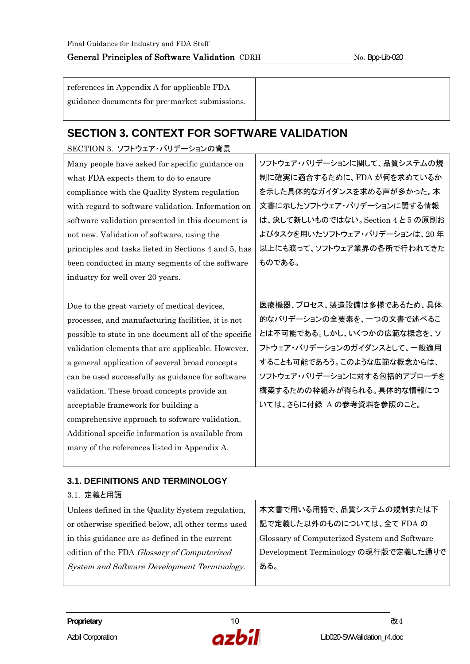references in Appendix A for applicable FDA guidance documents for pre-market submissions.

# **SECTION 3. CONTEXT FOR SOFTWARE VALIDATION**

#### SECTION 3. ソフトウェア・バリデーションの背景

Many people have asked for specific guidance on what FDA expects them to do to ensure compliance with the Quality System regulation with regard to software validation. Information on software validation presented in this document is not new. Validation of software, using the principles and tasks listed in Sections 4 and 5, has been conducted in many segments of the software industry for well over 20 years.

Due to the great variety of medical devices, processes, and manufacturing facilities, it is not possible to state in one document all of the specific validation elements that are applicable. However, a general application of several broad concepts can be used successfully as guidance for software validation. These broad concepts provide an acceptable framework for building a comprehensive approach to software validation. Additional specific information is available from many of the references listed in Appendix A.

ソフトウェア・バリデーションに関して、品質システムの規 制に確実に適合するために、FDA が何を求めているか を示した具体的なガイダンスを求める声が多かった。本 文書に示したソフトウェア・バリデーションに関する情報 は、決して新しいものではない。Section 4 と 5 の原則お よびタスクを用いたソフトウェア・バリデーションは、20 年 以上にも渡って、ソフトウェア業界の各所で行われてきた ものである。

医療機器、プロセス、製造設備は多様であるため、具体 的なバリデーションの全要素を、一つの文書で述べるこ とは不可能である。しかし、いくつかの広範な概念を、ソ フトウェア・バリデーションのガイダンスとして、一般適用 することも可能であろう。このような広範な概念からは、 ソフトウェア・バリデーションに対する包括的アプローチを 構築するための枠組みが得られる。具体的な情報につ いては、さらに付録 A の参考資料を参照のこと。

# **3.1. DEFINITIONS AND TERMINOLOGY**

#### 3.1. 定義と用語

| Unless defined in the Quality System regulation,   | 本文書で用いる用語で、品質システムの規制または下                     |
|----------------------------------------------------|----------------------------------------------|
| or otherwise specified below, all other terms used | 記で定義した以外のものについては、全て FDA の                    |
| in this guidance are as defined in the current     | Glossary of Computerized System and Software |
| edition of the FDA <i>Glossary of Computerized</i> | Development Terminology の現行版で定義した通りで         |
| System and Software Development Terminology.       | ある。                                          |
|                                                    |                                              |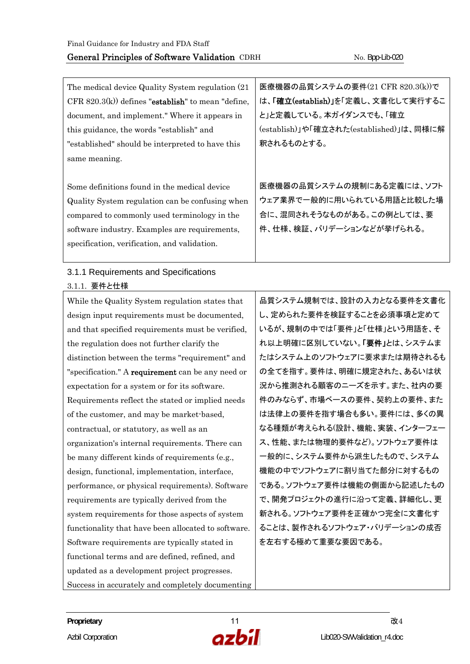| The medical device Quality System regulation (21)<br>CFR $820.3(k)$ defines "establish" to mean "define,<br>document, and implement." Where it appears in<br>this guidance, the words "establish" and<br>"established" should be interpreted to have this<br>same meaning.                                                                                                                                                                                                                                                                                                                                                                                                                                            | 医療機器の品質システムの要件(21 CFR 820.3(k))で<br>は、「確立(establish)」を「定義し、文書化して実行するこ<br>と」と定義している。本ガイダンスでも、「確立<br>(establish)」や「確立された(established)」は、同様に解<br>釈されるものとする。                                                                                                                                                                                                                                                                   |
|-----------------------------------------------------------------------------------------------------------------------------------------------------------------------------------------------------------------------------------------------------------------------------------------------------------------------------------------------------------------------------------------------------------------------------------------------------------------------------------------------------------------------------------------------------------------------------------------------------------------------------------------------------------------------------------------------------------------------|----------------------------------------------------------------------------------------------------------------------------------------------------------------------------------------------------------------------------------------------------------------------------------------------------------------------------------------------------------------------------------------------------------------------------|
| Some definitions found in the medical device<br>Quality System regulation can be confusing when<br>compared to commonly used terminology in the<br>software industry. Examples are requirements,<br>specification, verification, and validation.                                                                                                                                                                                                                                                                                                                                                                                                                                                                      | 医療機器の品質システムの規制にある定義には、ソフト<br>ウェア業界で一般的に用いられている用語と比較した場<br>合に、混同されそうなものがある。この例としては、要<br>件、仕様、検証、バリデーションなどが挙げられる。                                                                                                                                                                                                                                                                                                            |
| 3.1.1 Requirements and Specifications<br>3.1.1. 要件と仕様                                                                                                                                                                                                                                                                                                                                                                                                                                                                                                                                                                                                                                                                 |                                                                                                                                                                                                                                                                                                                                                                                                                            |
| While the Quality System regulation states that<br>design input requirements must be documented,<br>and that specified requirements must be verified,<br>the regulation does not further clarify the<br>distinction between the terms "requirement" and<br>"specification." A requirement can be any need or<br>expectation for a system or for its software.<br>Requirements reflect the stated or implied needs<br>of the customer, and may be market-based,<br>contractual, or statutory, as well as an<br>organization's internal requirements. There can<br>be many different kinds of requirements (e.g.,<br>design, functional, implementation, interface,<br>performance, or physical requirements). Software | 品質システム規制では、設計の入力となる要件を文書化<br>し、定められた要件を検証することを必須事項と定めて<br>いるが、規制の中では「要件」と「仕様」という用語を、そ<br>れ以上明確に区別していない。「要件」とは、システムま<br>たはシステム上のソフトウェアに要求または期待されるも<br>の全てを指す。要件は、明確に規定された、あるいは状<br>況から推測される顧客のニーズを示す。また、社内の要<br>件のみならず、市場ベースの要件、契約上の要件、また<br>は法律上の要件を指す場合も多い。要件には、多くの異<br>なる種類が考えられる(設計、機能、実装、インターフェー<br>ス、性能、または物理的要件など)。ソフトウェア要件は<br>一般的に、システム要件から派生したもので、システム<br>機能の中でソフトウェアに割り当てた部分に対するもの<br>である。ソフトウェア要件は機能の側面から記述したもの |
| requirements are typically derived from the<br>system requirements for those aspects of system<br>functionality that have been allocated to software.<br>Software requirements are typically stated in                                                                                                                                                                                                                                                                                                                                                                                                                                                                                                                | で、開発プロジェクトの進行に沿って定義、詳細化し、更<br>新される。ソフトウェア要件を正確かつ完全に文書化す<br>ることは、製作されるソフトウェア・バリデーションの成否<br>を左右する極めて重要な要因である。                                                                                                                                                                                                                                                                                                                |

functional terms and are defined, refined, and updated as a development project progresses.

Success in accurately and completely documenting

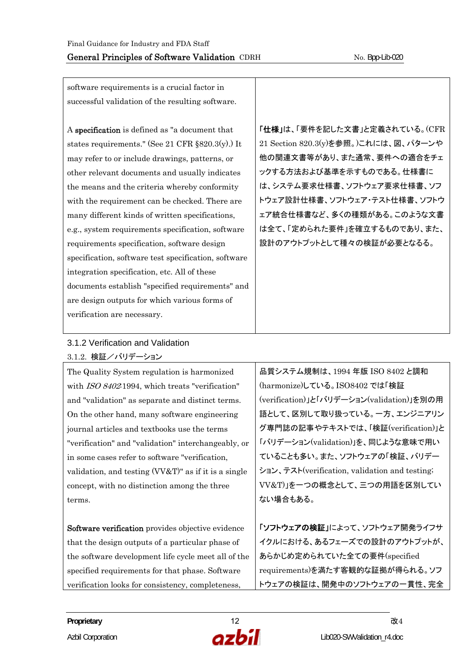software requirements is a crucial factor in successful validation of the resulting software.

A specification is defined as "a document that states requirements." (See 21 CFR §820.3(y).) It may refer to or include drawings, patterns, or other relevant documents and usually indicates the means and the criteria whereby conformity with the requirement can be checked. There are many different kinds of written specifications, e.g., system requirements specification, software requirements specification, software design specification, software test specification, software integration specification, etc. All of these documents establish "specified requirements" and are design outputs for which various forms of verification are necessary.

「仕様」は、「要件を記した文書」と定義されている。(CFR 21 Section 820.3(y)を参照。)これには、図、パターンや 他の関連文書等があり、また通常、要件への適合をチェ ックする方法および基準を示すものである。仕様書に は、システム要求仕様書、ソフトウェア要求仕様書、ソフ トウェア設計仕様書、ソフトウェア・テスト仕様書、ソフトウ ェア統合仕様書など、多くの種類がある。このような文書 は全て、「定められた要件」を確立するものであり、また、 設計のアウトプットとして種々の検証が必要となるる。

# 3.1.2 Verification and Validation 3.1.2. 検証/バリデーション

| The Quality System regulation is harmonized             | 品質システム規制は、1994年版            |
|---------------------------------------------------------|-----------------------------|
| with ISO 8402-1994, which treats "verification"         | (harmonize)している。ISO8402     |
| and "validation" as separate and distinct terms.        | (verification)」と「バリデーション    |
| On the other hand, many software engineering            | 語として、区別して取り扱っている            |
| journal articles and textbooks use the terms            | グ専門誌の記事やテキストでは.             |
| "verification" and "validation" interchangeably, or     | 「バリデーション(validation)」を、     |
| in some cases refer to software "verification,          | ていることも多い。また、ソフトウ.           |
| validation, and testing $(VV&T)$ " as if it is a single | ション、テスト(verification, vali- |
| concept, with no distinction among the three            | VV&T)」を一つの概念として、三           |
| terms.                                                  | ない場合もある。                    |
|                                                         |                             |
|                                                         |                             |

Software verification provides objective evidence that the design outputs of a particular phase of the software development life cycle meet all of the specified requirements for that phase. Software verification looks for consistency, completeness,

品質システム規制は、1994 年版 ISO 8402 と調和 2 では「検証 (verification)」と「バリデーション(validation)」を別の用 る。一方、エンジニアリン 、「検証(verification)」と 同じような意味で用い ェアの「検証、バリデー dation and testing; ミつの用語を区別してい

「ソフトウェアの検証」によって、ソフトウェア開発ライフサ イクルにおける、あるフェーズでの設計のアウトプットが、 あらかじめ定められていた全ての要件(specified requirements)を満たす客観的な証拠が得られる。ソフ トウェアの検証は、開発中のソフトウェアの一貫性、完全

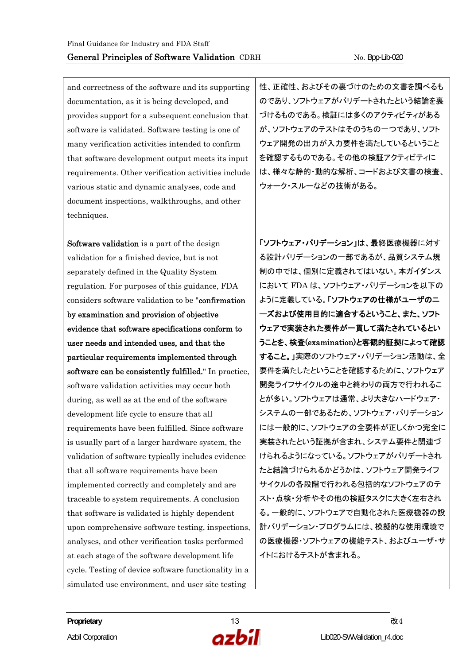and correctness of the software and its supporting documentation, as it is being developed, and provides support for a subsequent conclusion that software is validated. Software testing is one of many verification activities intended to confirm that software development output meets its input requirements. Other verification activities include various static and dynamic analyses, code and document inspections, walkthroughs, and other techniques.

Software validation is a part of the design validation for a finished device, but is not separately defined in the Quality System regulation. For purposes of this guidance, FDA considers software validation to be "confirmation by examination and provision of objective evidence that software specifications conform to user needs and intended uses, and that the particular requirements implemented through software can be consistently fulfilled." In practice, software validation activities may occur both during, as well as at the end of the software development life cycle to ensure that all requirements have been fulfilled. Since software is usually part of a larger hardware system, the validation of software typically includes evidence that all software requirements have been implemented correctly and completely and are traceable to system requirements. A conclusion that software is validated is highly dependent upon comprehensive software testing, inspections, analyses, and other verification tasks performed at each stage of the software development life cycle. Testing of device software functionality in a simulated use environment, and user site testing

性、正確性、およびその裏づけのための文書を調べるも のであり、ソフトウェアがバリデートされたという結論を裏 づけるものである。検証には多くのアクティビティがある が、ソフトウェアのテストはそのうちの一つであり、ソフト ウェア開発の出力が入力要件を満たしているということ を確認するものである。その他の検証アクティビティに は、様々な静的・動的な解析、コードおよび文書の検査、 ウォーク・スルーなどの技術がある。

「ソフトウェア・バリデーション」は、最終医療機器に対す る設計バリデーションの一部であるが、品質システム規 制の中では、個別に定義されてはいない。本ガイダンス において FDA は、ソフトウェア・バリデーションを以下の ように定義している。「ソフトウェアの仕様がユーザのニ ーズおよび使用目的に適合するということ、また、ソフト ウェアで実装された要件が一貫して満たされているとい うことを、検査(examination)と客観的証拠によって確認 すること。」実際のソフトウェア・バリデーション活動は、全 要件を満たしたということを確認するために、ソフトウェア 開発ライフサイクルの途中と終わりの両方で行われるこ とが多い。ソフトウェアは通常、より大きなハードウェア・ システムの一部であるため、ソフトウェア・バリデーション には一般的に、ソフトウェアの全要件が正しくかつ完全に 実装されたという証拠が含まれ、システム要件と関連づ けられるようになっている。ソフトウェアがバリデートされ たと結論づけられるかどうかは、ソフトウェア開発ライフ サイクルの各段階で行われる包括的なソフトウェアのテ スト・点検・分析やその他の検証タスクに大きく左右され る。一般的に、ソフトウェアで自動化された医療機器の設 計バリデーション・プログラムには、模擬的な使用環境で の医療機器・ソフトウェアの機能テスト、およびユーザ・サ イトにおけるテストが含まれる。

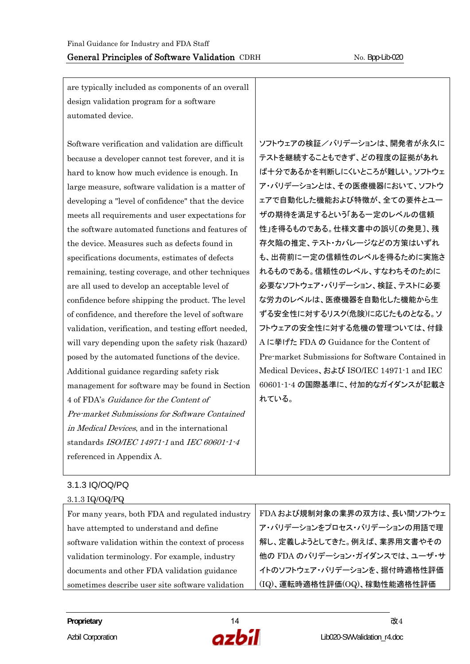are typically included as components of an overall design validation program for a software automated device.

| Software verification and validation are difficult   | ソフトウェアの検証/バリデーションは、開発者が永久に                       |
|------------------------------------------------------|--------------------------------------------------|
| because a developer cannot test forever, and it is   | テストを継続することもできず、どの程度の証拠があれ                        |
| hard to know how much evidence is enough. In         | ば十分であるかを判断しにくいところが難しい。ソフトウェ                      |
| large measure, software validation is a matter of    | ア・バリデーションとは、その医療機器において、ソフトウ                      |
| developing a "level of confidence" that the device   | ェアで自動化した機能および特徴が、全ての要件とユー                        |
| meets all requirements and user expectations for     | ザの期待を満足するという「ある一定のレベルの信頼                         |
| the software automated functions and features of     | 性」を得るものである。仕様文書中の誤り〔の発見〕、残                       |
| the device. Measures such as defects found in        | 存欠陥の推定、テスト・カバレージなどの方策はいずれ                        |
| specifications documents, estimates of defects       | も、出荷前に一定の信頼性のレベルを得るために実施さ                        |
| remaining, testing coverage, and other techniques    | れるものである。信頼性のレベル、すなわちそのために                        |
| are all used to develop an acceptable level of       | 必要なソフトウェア・バリデーション、検証、テストに必要                      |
| confidence before shipping the product. The level    | な労力のレベルは、医療機器を自動化した機能から生                         |
| of confidence, and therefore the level of software   | ずる安全性に対するリスク(危険)に応じたものとなる。ソ                      |
| validation, verification, and testing effort needed, | フトウェアの安全性に対する危機の管理ついては、付録                        |
| will vary depending upon the safety risk (hazard)    | A に挙げた FDA の Guidance for the Content of         |
| posed by the automated functions of the device.      | Pre-market Submissions for Software Contained in |
| Additional guidance regarding safety risk            | Medical Devices、および ISO/IEC 14971-1 and IEC      |
| management for software may be found in Section      | 60601-1-4 の国際基準に、付加的なガイダンスが記載さ                   |
| 4 of FDA's Guidance for the Content of               | れている。                                            |
| Pre-market Submissions for Software Contained        |                                                  |
| in Medical Devices, and in the international         |                                                  |
| standards ISO/IEC 14971-1 and IEC 60601-1-4          |                                                  |
| referenced in Appendix A.                            |                                                  |

# 3.1.3 IQ/OQ/PQ

3.1.3 IQ/OQ/PQ

| For many years, both FDA and regulated industry   | FDA および規制対象の業界の双方は、長い間ソフトウェ   |
|---------------------------------------------------|-------------------------------|
| have attempted to understand and define           | ア・バリデーションをプロセス・バリデーションの用語で理   |
| software validation within the context of process | 解し、定義しようとしてきた。例えば、業界用文書やその    |
| validation terminology. For example, industry     | 他の FDA のバリデーション・ガイダンスでは、ユーザ・サ |
| documents and other FDA validation guidance       | イトのソフトウェア・バリデーションを、据付時適格性評価   |
| sometimes describe user site software validation  | (IQ)、運転時適格性評価(OQ)、稼動性能適格性評価   |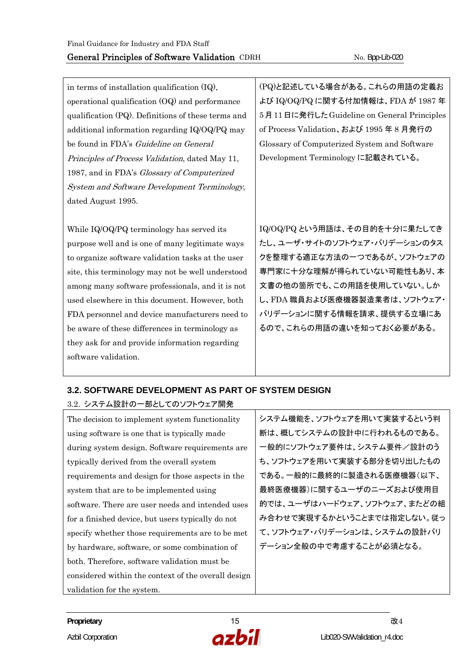in terms of installation qualification (IQ), operational qualification (OQ) and performance qualification (PQ). Definitions of these terms and additional information regarding IQ/OQ/PQ may be found in FDA's Guideline on General Principles of Process Validation, dated May 11, 1987, and in FDA's Glossary of Computerized System and Software Development Terminology, dated August 1995.

While IQ/OQ/PQ terminology has served its purpose well and is one of many legitimate ways to organize software validation tasks at the user site, this terminology may not be well understood among many software professionals, and it is not used elsewhere in this document. However, both FDA personnel and device manufacturers need to be aware of these differences in terminology as they ask for and provide information regarding software validation.

(PQ)と記述している場合がある。これらの用語の定義お よび IQ/OQ/PQ に関する付加情報は、FDA が 1987 年 5月11日に発行したGuideline on General Principles of Process Validation、および 1995 年 8 月発行の Glossary of Computerized System and Software Development Terminology に記載されている。

IQ/OQ/PQ という用語は、その目的を十分に果たしてき たし、ユーザ・サイトのソフトウェア・バリデーションのタス クを整理する適正な方法の一つであるが、ソフトウェアの 専門家に十分な理解が得られていない可能性もあり、本 文書の他の箇所でも、この用語を使用していない。しか し、FDA 職員および医療機器製造業者は、ソフトウェア・ バリデーションに関する情報を請求、提供する立場にあ るので、これらの用語の違いを知っておく必要がある。

# **3.2. SOFTWARE DEVELOPMENT AS PART OF SYSTEM DESIGN**

3.2. システム設計の一部としてのソフトウェア開発

The decision to implement system functionality using software is one that is typically made during system design. Software requirements are typically derived from the overall system requirements and design for those aspects in the system that are to be implemented using software. There are user needs and intended uses for a finished device, but users typically do not specify whether those requirements are to be met by hardware, software, or some combination of both. Therefore, software validation must be considered within the context of the overall design validation for the system.

システム機能を、ソフトウェアを用いて実装するという判 断は、概してシステムの設計中に行われるものである。 一般的にソフトウェア要件は、システム要件/設計のう ち、ソフトウェアを用いて実装する部分を切り出したもの である。一般的に最終的に製造される医療機器(以下、 最終医療機器)に関するユーザのニーズおよび使用目 的では、ユーザはハードウェア、ソフトウェア、またどの組 み合わせで実現するかということまでは指定しない。従っ て、ソフトウェア・バリデーションは、システムの設計バリ デーション全般の中で考慮することが必須となる。

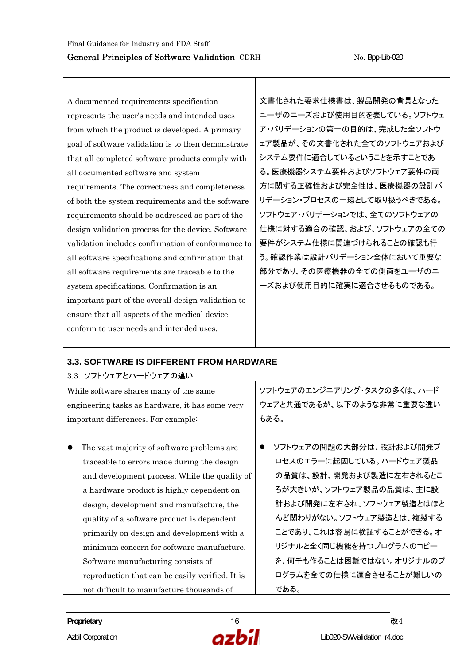A documented requirements specification represents the user's needs and intended uses from which the product is developed. A primary goal of software validation is to then demonstrate that all completed software products comply with all documented software and system requirements. The correctness and completeness of both the system requirements and the software requirements should be addressed as part of the design validation process for the device. Software validation includes confirmation of conformance to all software specifications and confirmation that all software requirements are traceable to the system specifications. Confirmation is an important part of the overall design validation to ensure that all aspects of the medical device conform to user needs and intended uses.

文書化された要求仕様書は、製品開発の背景となった ユーザのニーズおよび使用目的を表している。ソフトウェ ア・バリデーションの第一の目的は、完成した全ソフトウ ェア製品が、その文書化された全てのソフトウェアおよび システム要件に適合しているということを示すことであ る。医療機器システム要件およびソフトウェア要件の両 方に関する正確性および完全性は、医療機器の設計バ リデーション・プロセスの一環として取り扱うべきである。 ソフトウェア・バリデーションでは、全てのソフトウェアの 仕様に対する適合の確認、および、ソフトウェアの全ての 要件がシステム仕様に関連づけられることの確認も行 う。確認作業は設計バリデーション全体において重要な 部分であり、その医療機器の全ての側面をユーザのニ ーズおよび使用目的に確実に適合させるものである。

# **3.3. SOFTWARE IS DIFFERENT FROM HARDWARE**

#### 3.3. ソフトウェアとハードウェアの違い

While software shares many of the same engineering tasks as hardware, it has some very important differences. For example:

 The vast majority of software problems are traceable to errors made during the design and development process. While the quality of a hardware product is highly dependent on design, development and manufacture, the quality of a software product is dependent primarily on design and development with a minimum concern for software manufacture. Software manufacturing consists of reproduction that can be easily verified. It is not difficult to manufacture thousands of

ソフトウェアのエンジニアリング・タスクの多くは、ハード ウェアと共通であるが、以下のような非常に重要な違い もある。

● ソフトウェアの問題の大部分は、設計および開発プ ロセスのエラーに起因している。ハードウェア製品 の品質は、設計、開発および製造に左右されるとこ ろが大きいが、ソフトウェア製品の品質は、主に設 計および開発に左右され、ソフトウェア製造とはほと んど関わりがない。ソフトウェア製造とは、複製する ことであり、これは容易に検証することができる。オ リジナルと全く同じ機能を持つプログラムのコピー を、何千も作ることは困難ではない。オリジナルのプ ログラムを全ての仕様に適合させることが難しいの である。

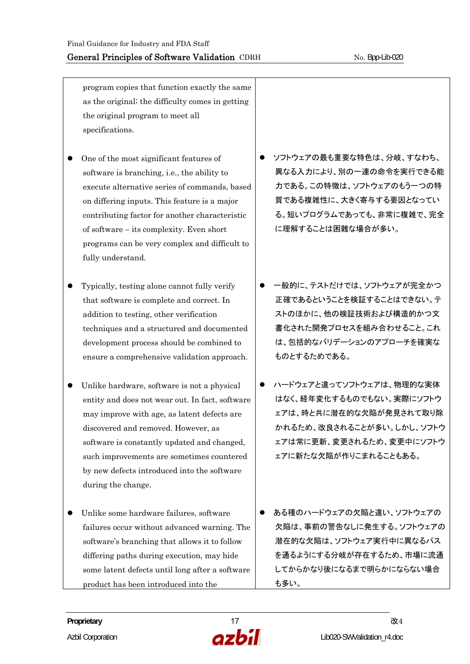program copies that function exactly the same as the original; the difficulty comes in getting the original program to meet all specifications.

- One of the most significant features of software is branching, i.e., the ability to execute alternative series of commands, based on differing inputs. This feature is a major contributing factor for another characteristic of software – its complexity. Even short programs can be very complex and difficult to fully understand.
- Typically, testing alone cannot fully verify that software is complete and correct. In addition to testing, other verification techniques and a structured and documented development process should be combined to ensure a comprehensive validation approach.
- Unlike hardware, software is not a physical entity and does not wear out. In fact, software may improve with age, as latent defects are discovered and removed. However, as software is constantly updated and changed, such improvements are sometimes countered by new defects introduced into the software during the change.
- Unlike some hardware failures, software failures occur without advanced warning. The software's branching that allows it to follow differing paths during execution, may hide some latent defects until long after a software product has been introduced into the
- ソフトウェアの最も重要な特色は、分岐、すなわち、 異なる入力により、別の一連の命令を実行できる能 力である。この特徴は、ソフトウェアのもう一つの特 質である複雑性に、大きく寄与する要因となってい る。短いプログラムであっても、非常に複雑で、完全 に理解することは困難な場合が多い。
- 一般的に、テストだけでは、ソフトウェアが完全かつ 正確であるということを検証することはできない。テ ストのほかに、他の検証技術および構造的かつ文 書化された開発プロセスを組み合わせること。これ は、包括的なバリデーションのアプローチを確実な ものとするためである。
- ハードウェアと違ってソフトウェアは、物理的な実体 はなく、経年変化するものでもない。実際にソフトウ ェアは、時と共に潜在的な欠陥が発見されて取り除 かれるため、改良されることが多い。しかし、ソフトウ ェアは常に更新、変更されるため、変更中にソフトウ ェアに新たな欠陥が作りこまれることもある。
- ある種のハードウェアの欠陥と違い、ソフトウェアの 欠陥は、事前の警告なしに発生する。ソフトウェアの 潜在的な欠陥は、ソフトウェア実行中に異なるパス を通るようにする分岐が存在するため、市場に流通 してからかなり後になるまで明らかにならない場合 も多い。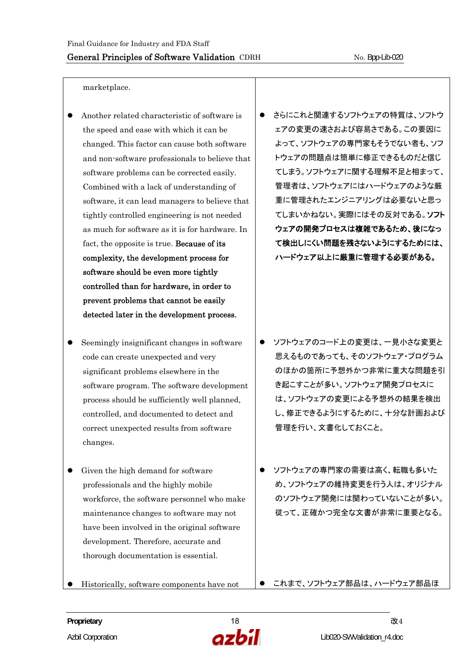marketplace.

- Another related characteristic of software is the speed and ease with which it can be changed. This factor can cause both software and non-software professionals to believe that software problems can be corrected easily. Combined with a lack of understanding of software, it can lead managers to believe that tightly controlled engineering is not needed as much for software as it is for hardware. In fact, the opposite is true. Because of its complexity, the development process for software should be even more tightly controlled than for hardware, in order to prevent problems that cannot be easily detected later in the development process.
- Seemingly insignificant changes in software code can create unexpected and very significant problems elsewhere in the software program. The software development process should be sufficiently well planned, controlled, and documented to detect and correct unexpected results from software changes.
- Given the high demand for software professionals and the highly mobile workforce, the software personnel who make maintenance changes to software may not have been involved in the original software development. Therefore, accurate and thorough documentation is essential.
- 

● さらにこれと関連するソフトウェアの特質は、ソフトウ ェアの変更の速さおよび容易さである。この要因に よって、ソフトウェアの専門家もそうでない者も、ソフ トウェアの問題点は簡単に修正できるものだと信じ てしまう。ソフトウェアに関する理解不足と相まって、 管理者は、ソフトウェアにはハードウェアのような厳 重に管理されたエンジニアリングは必要ないと思っ てしまいかねない。実際にはその反対である。ソフト ウェアの開発プロセスは複雑であるため、後になっ て検出しにくい問題を残さないようにするためには、 ハードウェア以上に厳重に管理する必要がある。

- ソフトウェアのコード上の変更は、一見小さな変更と 思えるものであっても、そのソフトウェア・プログラム のほかの箇所に予想外かつ非常に重大な問題を引 き起こすことが多い。ソフトウェア開発プロセスに は、ソフトウェアの変更による予想外の結果を検出 し、修正できるようにするために、十分な計画および 管理を行い、文書化しておくこと。
- ソフトウェアの専門家の需要は高く、転職も多いた め、ソフトウェアの維持変更を行う人は、オリジナル のソフトウェア開発には関わっていないことが多い。 従って、正確かつ完全な文書が非常に重要となる。

Historically, software components have not これまで、ソフトウェア部品は、ハードウェア部品ほ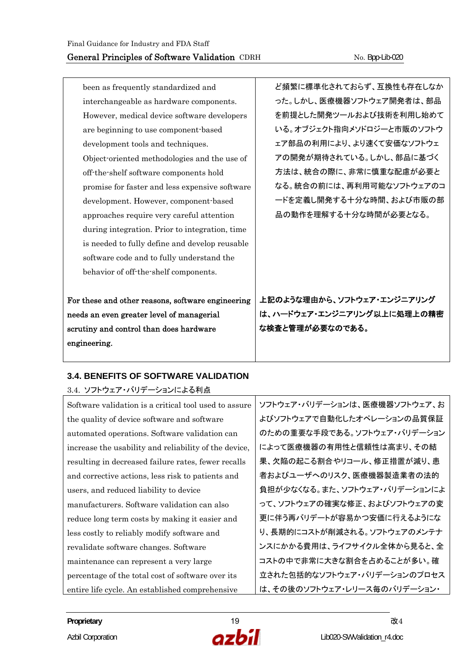been as frequently standardized and interchangeable as hardware components. However, medical device software developers are beginning to use component-based development tools and techniques. Object-oriented methodologies and the use of off-the-shelf software components hold promise for faster and less expensive software development. However, component-based approaches require very careful attention during integration. Prior to integration, time is needed to fully define and develop reusable software code and to fully understand the behavior of off-the-shelf components.

For these and other reasons, software engineering needs an even greater level of managerial scrutiny and control than does hardware engineering.

#### **3.4. BENEFITS OF SOFTWARE VALIDATION**

3.4. ソフトウェア・バリデーションによる利点

Software validation is a critical tool used to assure the quality of device software and software automated operations. Software validation can increase the usability and reliability of the device, resulting in decreased failure rates, fewer recalls and corrective actions, less risk to patients and users, and reduced liability to device manufacturers. Software validation can also reduce long term costs by making it easier and less costly to reliably modify software and revalidate software changes. Software maintenance can represent a very large percentage of the total cost of software over its entire life cycle. An established comprehensive

ど頻繁に標準化されておらず、互換性も存在しなか った。しかし、医療機器ソフトウェア開発者は、部品 を前提とした開発ツールおよび技術を利用し始めて いる。オブジェクト指向メソドロジーと市販のソフトウ ェア部品の利用により、より速くて安価なソフトウェ アの開発が期待されている。しかし、部品に基づく 方法は、統合の際に、非常に慎重な配慮が必要と なる。統合の前には、再利用可能なソフトウェアのコ ードを定義し開発する十分な時間、および市販の部 品の動作を理解する十分な時間が必要となる。

上記のような理由から、ソフトウェア・エンジニアリング は、ハードウェア・エンジニアリング以上に処理上の精密 な検査と管理が必要なのである。

ソフトウェア・バリデーションは、医療機器ソフトウェア、お よびソフトウェアで自動化したオペレーションの品質保証 のための重要な手段である。ソフトウェア・バリデーション によって医療機器の有用性と信頼性は高まり、その結 果、欠陥の起こる割合やリコール、修正措置が減り、患 者およびユーザへのリスク、医療機器製造業者の法的 負担が少なくなる。また、ソフトウェア・バリデーションによ って、ソフトウェアの確実な修正、およびソフトウェアの変 更に伴う再バリデートが容易かつ安価に行えるようにな り、長期的にコストが削減される。ソフトウェアのメンテナ ンスにかかる費用は、ライフサイクル全体から見ると、全 コストの中で非常に大きな割合を占めることが多い。確 立された包括的なソフトウェア・バリデーションのプロセス は、その後のソフトウェア・レリース毎のバリデーション・

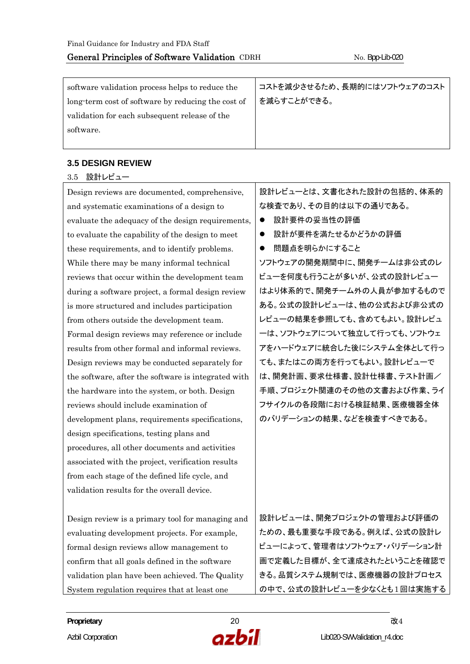software validation process helps to reduce the long-term cost of software by reducing the cost of

validation for each subsequent release of the

### General Principles of Software Validation CDRH No. Bpp-Lib-020

|           | ビューを何度も行うことが多いが、公式の設計レビュー   |
|-----------|-----------------------------|
| $\bar{N}$ | はより体系的で、開発チーム外の人員が参加するもので   |
|           | ある。公式の設計レビューは、他の公式および非公式の   |
|           | レビューの結果を参照しても、含めてもよい。設計レビュ  |
|           | ーは、ソフトウェアについて独立して行っても、ソフトウェ |
|           | アをハードウェアに統合した後にシステム全体として行っ  |
|           | ても、またはこの両方を行ってもよい。設計レビューで   |
| th        | は、開発計画、要求仕様書、設計仕様書、テスト計画/   |
|           | 手順、プロジェクト関連のその他の文書および作業、ライ  |
|           | フサイクルの各段階における検証結果、医療機器全体    |
|           | のバリデーションの結果、などを検査すべきである。    |

Design review is a primary tool for managing and evaluating development projects. For example, formal design reviews allow management to confirm that all goals defined in the software validation plan have been achieved. The Quality System regulation requires that at least one

設計レビューは、開発プロジェクトの管理および評価の ための、最も重要な手段である。例えば、公式の設計レ ビューによって、管理者はソフトウェア・バリデーション計 画で定義した目標が、全て達成されたということを確認で きる。品質システム規制では、医療機器の設計プロセス の中で、公式の設計レビューを少なくとも 1回は実施する

#### コストを減少させるため、長期的にはソフトウェアのコスト を減らすことができる。

設計レビューとは、文書化された設計の包括的、体系的

ソフトウェアの開発期間中に、開発チームは非公式のレ

な検査であり、その目的は以下の通りである。

● 設計が要件を満たせるかどうかの評価

設計要件の妥当性の評価

● 問題点を明らかにすること

| <b>3.5 DESIGN REVIEW</b> |
|--------------------------|
| 3.5 設計レビュー               |

software.

Design reviews are documented, comprehensive, and systematic examinations of a design to evaluate the adequacy of the design requirements, to evaluate the capability of the design to meet these requirements, and to identify problems. While there may be many informal technical reviews that occur within the development team during a software project, a formal design review is more structured and includes participation from others outside the development team. Formal design reviews may reference or include results from other formal and informal reviews. Design reviews may be conducted separately for the software, after the software is integrated with the hardware into the system, or both. Design reviews should include examination of development plans, requirements specifications, design specifications, testing plans and procedures, all other documents and activities associated with the project, verification results from each stage of the defined life cycle, and validation results for the overall device.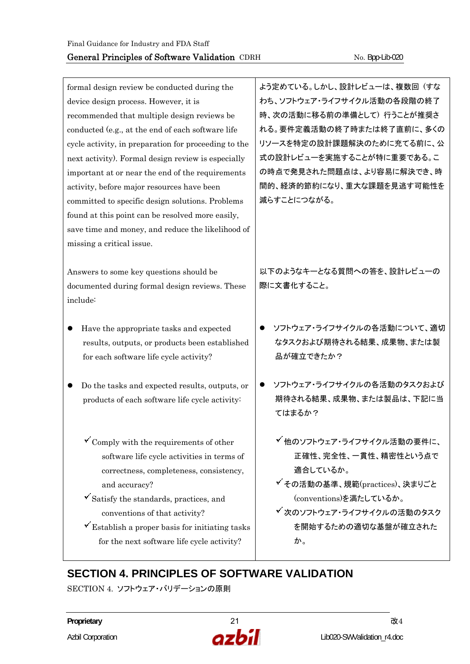formal design review be conducted during the device design process. However, it is recommended that multiple design reviews be conducted (e.g., at the end of each software life cycle activity, in preparation for proceeding to the next activity). Formal design review is especially important at or near the end of the requirements activity, before major resources have been committed to specific design solutions. Problems found at this point can be resolved more easily, save time and money, and reduce the likelihood of missing a critical issue.

Answers to some key questions should be documented during formal design reviews. These include:

- Have the appropriate tasks and expected results, outputs, or products been established for each software life cycle activity?
- Do the tasks and expected results, outputs, or products of each software life cycle activity:
	- $\checkmark$  Comply with the requirements of other software life cycle activities in terms of correctness, completeness, consistency, and accuracy?
	- $\checkmark$  Satisfy the standards, practices, and conventions of that activity?
	- $\checkmark$  Establish a proper basis for initiating tasks for the next software life cycle activity?

よう定めている。しかし、設計レビューは、複数回 (すな わち、ソフトウェア・ライフサイクル活動の各段階の終了 時、次の活動に移る前の準備として) 行うことが推奨さ れる。要件定義活動の終了時または終了直前に、多くの リソースを特定の設計課題解決のために充てる前に、公 式の設計レビューを実施することが特に重要である。こ の時点で発見された問題点は、より容易に解決でき、時 間的、経済的節約になり、重大な課題を見逃す可能性を 減らすことにつながる。

以下のようなキーとなる質問への答を、設計レビューの 際に文書化すること。

- ソフトウェア・ライフサイクルの各活動について、適切 なタスクおよび期待される結果、成果物、または製 品が確立できたか?
- ソフトウェア・ライフサイクルの各活動のタスクおよび 期待される結果、成果物、または製品は、下記に当 てはまるか?
	- ▼他のソフトウェア・ライフサイクル活動の要件に、 正確性、完全性、一貫性、精密性という点で 適合しているか。
	- その活動の基準、規範(practices)、決まりごと (conventions)を満たしているか。
	- ▼次のソフトウェア・ライフサイクルの活動のタスク を開始するための適切な基盤が確立された か。

# **SECTION 4. PRINCIPLES OF SOFTWARE VALIDATION**

SECTION 4. ソフトウェア・バリデーションの原則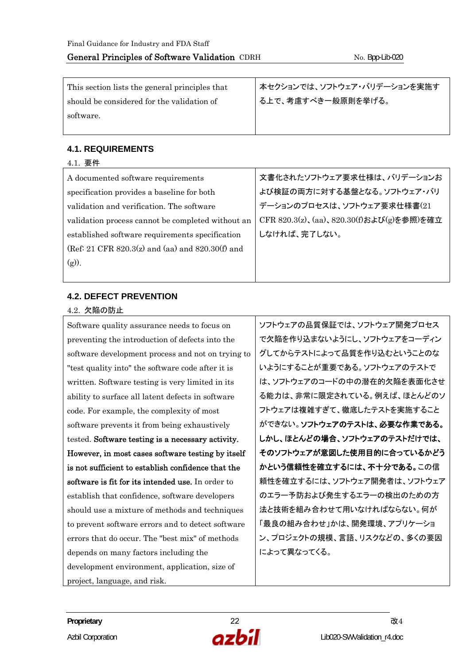| This section lists the general principles that | └ 本セクションでは、ソフトウェア・バリデーションを実施す |
|------------------------------------------------|-------------------------------|
| should be considered for the validation of     | 6上で、考慮すべき一般原則を挙げる。            |
| software.                                      |                               |

#### **4.1. REQUIREMENTS**

| A documented software requirements                | 文書化されたソフトウェア要求仕様は、バリデーションお               |
|---------------------------------------------------|------------------------------------------|
| specification provides a baseline for both        | よび検証の両方に対する基盤となる。ソフトウェア・バリ               |
| validation and verification. The software         | デーションのプロセスは、ソフトウェア要求仕様書(21               |
| validation process cannot be completed without an | CFR 820.3(z)、(aa)、820.30(f)および(g)を参照)を確立 |
| established software requirements specification   | しなければ、完了しない。                             |
| (Ref: 21 CFR 820.3(z) and (aa) and 820.30(f) and  |                                          |
| $(g)$ ).                                          |                                          |
|                                                   |                                          |

### **4.2. DEFECT PREVENTION**

#### 4.2. 欠陥の防止

Software quality assurance needs to focus on preventing the introduction of defects into the software development process and not on trying to "test quality into" the software code after it is written. Software testing is very limited in its ability to surface all latent defects in software code. For example, the complexity of most software prevents it from being exhaustively tested. Software testing is a necessary activity. However, in most cases software testing by itself is not sufficient to establish confidence that the software is fit for its intended use. In order to establish that confidence, software developers should use a mixture of methods and techniques to prevent software errors and to detect software errors that do occur. The "best mix" of methods depends on many factors including the development environment, application, size of project, language, and risk.

ソフトウェアの品質保証では、ソフトウェア開発プロセス で欠陥を作り込まないようにし、ソフトウェアをコーディン グしてからテストによって品質を作り込むということのな いようにすることが重要である。ソフトウェアのテストで は、ソフトウェアのコードの中の潜在的欠陥を表面化させ る能力は、非常に限定されている。例えば、ほとんどのソ フトウェアは複雑すぎて、徹底したテストを実施すること ができない。ソフトウェアのテストは、必要な作業である。 しかし、ほとんどの場合、ソフトウェアのテストだけでは、 そのソフトウェアが意図した使用目的に合っているかどう かという信頼性を確立するには、不十分である。この信 頼性を確立するには、ソフトウェア開発者は、ソフトウェア のエラー予防および発生するエラーの検出のための方 法と技術を組み合わせて用いなければならない。何が 「最良の組み合わせ」かは、開発環境、アプリケーショ ン、プロジェクトの規模、言語、リスクなどの、多くの要因 によって異なってくる。

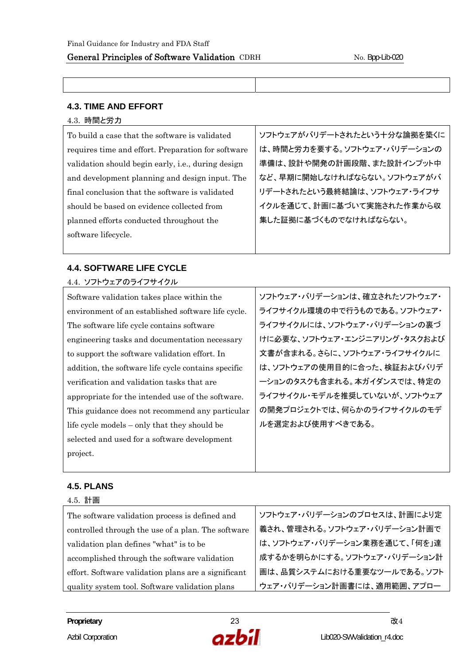# **4.3. TIME AND EFFORT**

#### 4.3. 時間と労力

| To build a case that the software is validated     | ソフトウェアがバリデートされたという十分な論拠を築くに |
|----------------------------------------------------|-----------------------------|
| requires time and effort. Preparation for software | は、時間と労力を要する。ソフトウェア・バリデーションの |
| validation should begin early, i.e., during design | 準備は、設計や開発の計画段階、また設計インプット中   |
| and development planning and design input. The     | など、早期に開始しなければならない。ソフトウェアがバ  |
| final conclusion that the software is validated    | リデートされたという最終結論は、ソフトウェア・ライフサ |
| should be based on evidence collected from         | イクルを通じて、計画に基づいて実施された作業から収   |
| planned efforts conducted throughout the           | 集した証拠に基づくものでなければならない。       |
| software lifecycle.                                |                             |
|                                                    |                             |

#### **4.4. SOFTWARE LIFE CYCLE**

| 4.4. ソフトウェアのライフサイクル                                 |                              |
|-----------------------------------------------------|------------------------------|
| Software validation takes place within the          | ソフトウェア・バリデーションは、確立されたソフトウェア・ |
| environment of an established software life cycle.  | ライフサイクル環境の中で行うものである。ソフトウェア・  |
| The software life cycle contains software           | ライフサイクルには、ソフトウェア・バリデーションの裏づ  |
| engineering tasks and documentation necessary       | けに必要な、ソフトウェア・エンジニアリング・タスクおよび |
| to support the software validation effort. In       | 文書が含まれる。さらに、ソフトウェア・ライフサイクルに  |
| addition, the software life cycle contains specific | は、ソフトウェアの使用目的に合った、検証およびバリデ   |
| verification and validation tasks that are          | 一ションのタスクも含まれる。本ガイダンスでは、特定の   |
| appropriate for the intended use of the software.   | ライフサイクル・モデルを推奨していないが、ソフトウェア  |
| This guidance does not recommend any particular     | の開発プロジェクトでは、何らかのライフサイクルのモデ   |
| life cycle models – only that they should be        | ルを選定および使用すべきである。             |
| selected and used for a software development        |                              |
| project.                                            |                              |

#### **4.5. PLANS**

4.5. 計画

| The software validation process is defined and      | ソフトウェア・バリデーションのプロセスは、計画により定  |
|-----------------------------------------------------|------------------------------|
| controlled through the use of a plan. The software  | 義され、管理される。ソフトウェア・バリデーション計画で  |
| validation plan defines "what" is to be             | は、ソフトウェア・バリデーション業務を通じて、「何を」達 |
| accomplished through the software validation        | 成するかを明らかにする。ソフトウェア・バリデーション計  |
| effort. Software validation plans are a significant | 画は、品質システムにおける重要なツールである。ソフト   |
| quality system tool. Software validation plans      | ウェア・バリデーション計画書には、適用範囲、アプロー   |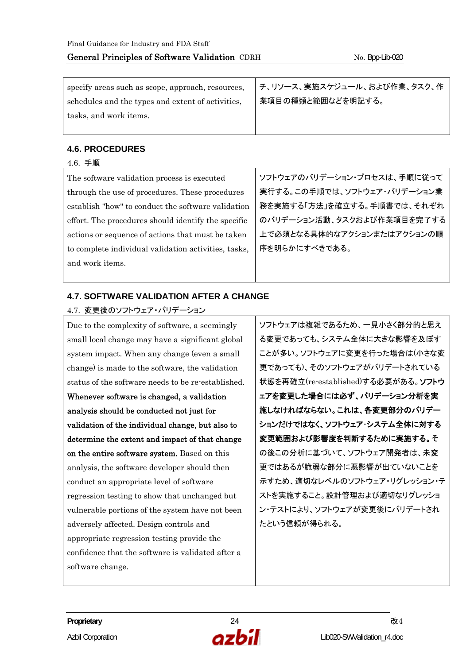| チ、リソース、実施スケジュール、および作業、タスク、作 |
|-----------------------------|
| 業項目の種類と範囲などを明記する。           |
|                             |
|                             |

#### **4.6. PROCEDURES**

|  | 4.6. | 手順 |
|--|------|----|
|--|------|----|

The software validation process is executed through the use of procedures. These procedures establish "how" to conduct the software validation effort. The procedures should identify the specific actions or sequence of actions that must be taken to complete individual validation activities, tasks, and work items.

ソフトウェアのバリデーション・プロセスは、手順に従って 実行する。この手順では、ソフトウェア・バリデーション業 務を実施する「方法」を確立する。手順書では、それぞれ のバリデーション活動、タスクおよび作業項目を完了する 上で必須となる具体的なアクションまたはアクションの順 序を明らかにすべきである。

# **4.7. SOFTWARE VALIDATION AFTER A CHANGE**

#### 4.7. 変更後のソフトウェア・バリデーション

Due to the complexity of software, a seemingly small local change may have a significant global system impact. When any change (even a small change) is made to the software, the validation status of the software needs to be re-established. Whenever software is changed, a validation analysis should be conducted not just for validation of the individual change, but also to determine the extent and impact of that change on the entire software system. Based on this analysis, the software developer should then conduct an appropriate level of software regression testing to show that unchanged but vulnerable portions of the system have not been adversely affected. Design controls and appropriate regression testing provide the confidence that the software is validated after a software change.

ソフトウェアは複雑であるため、一見小さく部分的と思え る変更であっても、システム全体に大きな影響を及ぼす ことが多い。ソフトウェアに変更を行った場合は(小さな変 更であっても)、そのソフトウェアがバリデートされている 状態を再確立(re-established)する必要がある。ソフトウ ェアを変更した場合には必ず、バリデーション分析を実 施しなければならない。これは、各変更部分のバリデー ションだけではなく、ソフトウェア・システム全体に対する 変更範囲および影響度を判断するために実施する。そ の後この分析に基づいて、ソフトウェア開発者は、未変 更ではあるが脆弱な部分に悪影響が出ていないことを 示すため、適切なレベルのソフトウェア・リグレッション・テ ストを実施すること。設計管理および適切なリグレッショ ン・テストにより、ソフトウェアが変更後にバリデートされ たという信頼が得られる。

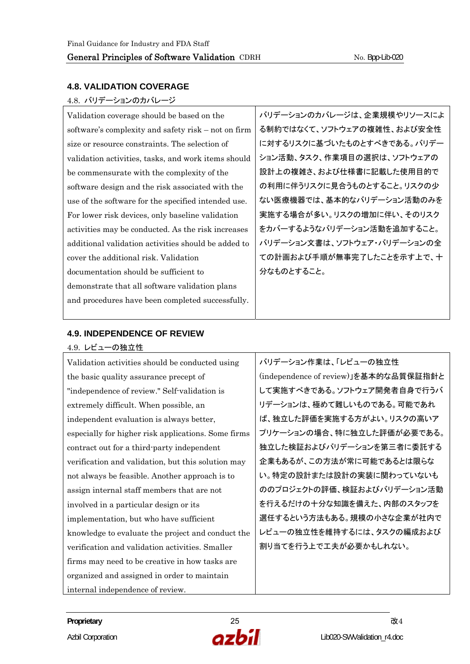### **4.8. VALIDATION COVERAGE**

#### 4.8. バリデーションのカバレージ

| Validation coverage should be based on the          | バリデーションのカバレージは、企業規模やリソースによ  |
|-----------------------------------------------------|-----------------------------|
| software's complexity and safety risk – not on firm | る制約ではなくて、ソフトウェアの複雑性、および安全性  |
| size or resource constraints. The selection of      | に対するリスクに基づいたものとすべきである。 バリデー |
| validation activities, tasks, and work items should | ション活動、タスク、作業項目の選択は、ソフトウェアの  |
| be commensurate with the complexity of the          | 設計上の複雑さ、および仕様書に記載した使用目的で    |
| software design and the risk associated with the    | の利用に伴うリスクに見合うものとすること。リスクの少  |
| use of the software for the specified intended use. | ない医療機器では、基本的なバリデーション活動のみを   |
| For lower risk devices, only baseline validation    | 実施する場合が多い。リスクの増加に伴い、そのリスク   |
| activities may be conducted. As the risk increases  | をカバーするようなバリデーション活動を追加すること。  |
| additional validation activities should be added to | バリデーション文書は、ソフトウェア・バリデーションの全 |
| cover the additional risk. Validation               | ての計画および手順が無事完了したことを示す上で、十   |
| documentation should be sufficient to               | 分なものとすること。                  |
| demonstrate that all software validation plans      |                             |
| and procedures have been completed successfully.    |                             |
|                                                     |                             |

#### **4.9. INDEPENDENCE OF REVIEW**

#### 4.9. レビューの独立性

| Validation activities should be conducted using     | バリデーション作業は、「レビューの独立性                  |
|-----------------------------------------------------|---------------------------------------|
| the basic quality assurance precept of              | (independence of review)」を基本的な品質保証指針と |
| "independence of review." Self-validation is        | して実施すべきである。ソフトウェア開発者自身で行うバ            |
| extremely difficult. When possible, an              | リデーションは、極めて難しいものである。可能であれ             |
| independent evaluation is always better,            | ば、独立した評価を実施する方がよい。リスクの高いア             |
| especially for higher risk applications. Some firms | プリケーションの場合、特に独立した評価が必要である。            |
| contract out for a third-party independent          | 独立した検証およびバリデーションを第三者に委託する             |
| verification and validation, but this solution may  | 企業もあるが、この方法が常に可能であるとは限らな              |
| not always be feasible. Another approach is to      | い。特定の設計または設計の実装に関わっていないも              |
| assign internal staff members that are not          | ののプロジェクトの評価、検証およびバリデーション活動            |
| involved in a particular design or its              | を行えるだけの十分な知識を備えた、内部のスタッフを             |
| implementation, but who have sufficient             | 選任するという方法もある。規模の小さな企業が社内で             |
| knowledge to evaluate the project and conduct the   | レビューの独立性を維持するには、タスクの編成および             |
| verification and validation activities. Smaller     | 割り当てを行う上で工夫が必要かもしれない。                 |
| firms may need to be creative in how tasks are      |                                       |
| organized and assigned in order to maintain         |                                       |
| internal independence of review.                    |                                       |

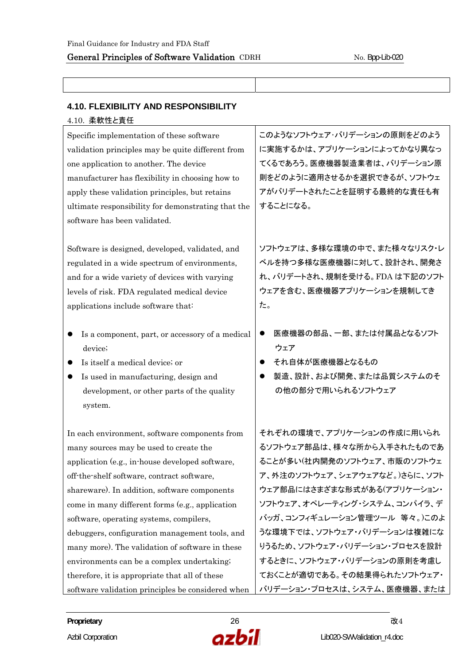# **4.10. FLEXIBILITY AND RESPONSIBILITY**  4.10. 柔軟性と責任

| Specific implementation of these software<br>validation principles may be quite different from<br>one application to another. The device<br>manufacturer has flexibility in choosing how to<br>apply these validation principles, but retains<br>ultimate responsibility for demonstrating that the<br>software has been validated. | このようなソフトウェア・バリデーションの原則をどのよう<br>に実施するかは、アプリケーションによってかなり異なっ<br>てくるであろう。医療機器製造業者は、バリデーション原<br>則をどのように適用させるかを選択できるが、ソフトウェ<br>アがバリデートされたことを証明する最終的な責任も有<br>することになる。 |
|-------------------------------------------------------------------------------------------------------------------------------------------------------------------------------------------------------------------------------------------------------------------------------------------------------------------------------------|----------------------------------------------------------------------------------------------------------------------------------------------------------------|
| Software is designed, developed, validated, and                                                                                                                                                                                                                                                                                     | ソフトウェアは、多様な環境の中で、また様々なリスク・レ                                                                                                                                    |
| regulated in a wide spectrum of environments,                                                                                                                                                                                                                                                                                       | ベルを持つ多様な医療機器に対して、設計され、開発さ                                                                                                                                      |
| and for a wide variety of devices with varying                                                                                                                                                                                                                                                                                      | れ、バリデートされ、規制を受ける。FDA は下記のソフト                                                                                                                                   |
| levels of risk. FDA regulated medical device                                                                                                                                                                                                                                                                                        | ウェアを含む、医療機器アプリケーションを規制してき                                                                                                                                      |
| applications include software that:                                                                                                                                                                                                                                                                                                 | た。                                                                                                                                                             |
| Is a component, part, or accessory of a medical                                                                                                                                                                                                                                                                                     | 医療機器の部品、一部、または付属品となるソフト                                                                                                                                        |
| device;                                                                                                                                                                                                                                                                                                                             |                                                                                                                                                                |
| Is itself a medical device; or                                                                                                                                                                                                                                                                                                      | ウェア                                                                                                                                                            |
| Is used in manufacturing, design and                                                                                                                                                                                                                                                                                                | それ自体が医療機器となるもの                                                                                                                                                 |
| development, or other parts of the quality                                                                                                                                                                                                                                                                                          | 製造、設計、および開発、または品質システムのそ                                                                                                                                        |
| system.                                                                                                                                                                                                                                                                                                                             | の他の部分で用いられるソフトウェア                                                                                                                                              |
| In each environment, software components from                                                                                                                                                                                                                                                                                       | それぞれの環境で、アプリケーションの作成に用いられ                                                                                                                                      |
| many sources may be used to create the                                                                                                                                                                                                                                                                                              | るソフトウェア部品は、様々な所から入手されたものであ                                                                                                                                     |
| application (e.g., in-house developed software,                                                                                                                                                                                                                                                                                     | ることが多い(社内開発のソフトウェア、市販のソフトウェ                                                                                                                                    |
| off-the-shelf software, contract software,                                                                                                                                                                                                                                                                                          | ア、外注のソフトウェア、シェアウェアなど。)さらに、ソフト                                                                                                                                  |
| shareware). In addition, software components                                                                                                                                                                                                                                                                                        | ウェア部品にはさまざまな形式がある(アプリケーション・                                                                                                                                    |
| come in many different forms (e.g., application                                                                                                                                                                                                                                                                                     | ソフトウェア、オペレーティング・システム、コンパイラ、デ                                                                                                                                   |
| software, operating systems, compilers,                                                                                                                                                                                                                                                                                             | バッガ、コンフィギュレーション管理ツール 等々。)このよ                                                                                                                                   |
| debuggers, configuration management tools, and                                                                                                                                                                                                                                                                                      | うな環境下では、ソフトウェア・バリデーションは複雑にな                                                                                                                                    |
| many more). The validation of software in these                                                                                                                                                                                                                                                                                     | りうるため、ソフトウェア・バリデーション・プロセスを設計                                                                                                                                   |
| environments can be a complex undertaking;                                                                                                                                                                                                                                                                                          | するときに、ソフトウェア・バリデーションの原則を考慮し                                                                                                                                    |
| therefore, it is appropriate that all of these                                                                                                                                                                                                                                                                                      | ておくことが適切である。その結果得られたソフトウェア・                                                                                                                                    |
| software validation principles be considered when                                                                                                                                                                                                                                                                                   | バリデーション・プロセスは、システム、医療機器、または                                                                                                                                    |

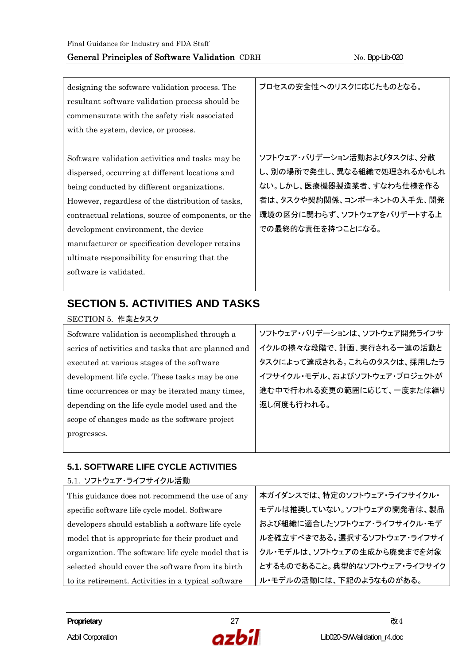| designing the software validation process. The      | プロセスの安全性へのリスクに応じたものとなる。    |
|-----------------------------------------------------|----------------------------|
| resultant software validation process should be     |                            |
| commensurate with the safety risk associated        |                            |
| with the system, device, or process.                |                            |
|                                                     |                            |
| Software validation activities and tasks may be     | ソフトウェア・バリデーション活動およびタスクは、分散 |
| dispersed, occurring at different locations and     | し、別の場所で発生し、異なる組織で処理されるかもしれ |
| being conducted by different organizations.         | ない。しかし、医療機器製造業者、すなわち仕様を作る  |
| However, regardless of the distribution of tasks,   | 者は、タスクや契約関係、コンポーネントの入手先、開発 |
| contractual relations, source of components, or the | 環境の区分に関わらず、ソフトウェアをバリデートする上 |
| development environment, the device                 | での最終的な責任を持つことになる。          |
| manufacturer or specification developer retains     |                            |
| ultimate responsibility for ensuring that the       |                            |
| software is validated.                              |                            |
|                                                     |                            |

# **SECTION 5. ACTIVITIES AND TASKS**

SECTION 5. 作業とタスク

Software validation is accomplished through a series of activities and tasks that are planned and executed at various stages of the software development life cycle. These tasks may be one time occurrences or may be iterated many times, depending on the life cycle model used and the scope of changes made as the software project progresses.

ソフトウェア・バリデーションは、ソフトウェア開発ライフサ イクルの様々な段階で、計画、実行される一連の活動と タスクによって達成される。これらのタスクは、採用したラ イフサイクル・モデル、およびソフトウェア・プロジェクトが 進む中で行われる変更の範囲に応じて、一度または繰り 返し何度も行われる。

# **5.1. SOFTWARE LIFE CYCLE ACTIVITIES**

#### 5.1. ソフトウェア・ライフサイクル活動

| This guidance does not recommend the use of any     | 本ガイダンスでは、特定のソフトウェア・ライフサイクル・  |
|-----------------------------------------------------|------------------------------|
| specific software life cycle model. Software        | モデルは推奨していない。ソフトウェアの開発者は、製品   |
| developers should establish a software life cycle   | および組織に適合したソフトウェア・ライフサイクル・モデ  |
| model that is appropriate for their product and     | ルを確立すべきである。選択するソフトウェア・ライフサイ  |
| organization. The software life cycle model that is | クル・モデルは、ソフトウェアの生成から廃棄までを対象   |
| selected should cover the software from its birth   | とするものであること。典型的なソフトウェア・ライフサイク |
| to its retirement. Activities in a typical software | ル・モデルの活動には、下記のようなものがある。      |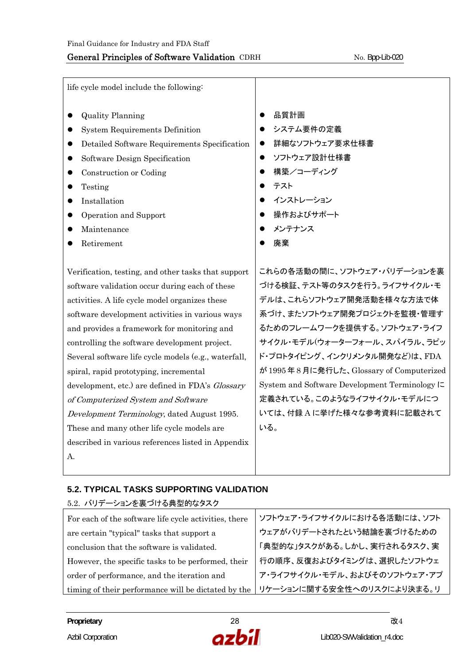life cycle model include the following:

- Quality Planning
- System Requirements Definition
- Detailed Software Requirements Specification
- Software Design Specification
- Construction or Coding
- **•** Testing
- **•** Installation
- Operation and Support
- Maintenance
- Retirement

Verification, testing, and other tasks that support software validation occur during each of these activities. A life cycle model organizes these software development activities in various ways and provides a framework for monitoring and controlling the software development project. Several software life cycle models (e.g., waterfall, spiral, rapid prototyping, incremental development, etc.) are defined in FDA's Glossary of Computerized System and Software Development Terminology, dated August 1995. These and many other life cycle models are described in various references listed in Appendix A.

- 品質計画
- システム要件の定義
- 詳細なソフトウェア要求仕様書
- ソフトウェア設計仕様書
- 構築/コーディング
- テスト
- インストレーション
- 操作およびサポート
- メンテナンス
- 廃棄

これらの各活動の間に、ソフトウェア・バリデーションを裏 づける検証、テスト等のタスクを行う。ライフサイクル・モ デルは、これらソフトウェア開発活動を様々な方法で体 系づけ、またソフトウェア開発プロジェクトを監視・管理す るためのフレームワークを提供する。ソフトウェア・ライフ サイクル・モデル(ウォーターフォール、スパイラル、ラピッ ド・プロトタイピング、インクリメンタル開発など)は、FDA が1995年8月に発行した、Glossary of Computerized System and Software Development Terminology に 定義されている。このようなライフサイクル・モデルにつ いては、付録 A に挙げた様々な参考資料に記載されて いる。

# **5.2. TYPICAL TASKS SUPPORTING VALIDATION**

#### 5.2. バリデーションを裏づける典型的なタスク

| For each of the software life cycle activities, there | ソフトウェア・ライフサイクルにおける各活動には、ソフト  |
|-------------------------------------------------------|------------------------------|
| are certain "typical" tasks that support a            | ウェアがバリデートされたという結論を裏づけるための    |
| conclusion that the software is validated.            | 「典型的な」タスクがある。しかし、実行されるタスク、実  |
| However, the specific tasks to be performed, their    | 行の順序、反復およびタイミングは、選択したソフトウェ   |
| order of performance, and the iteration and           | ア・ライフサイクル・モデル、およびそのソフトウェア・アプ |
| timing of their performance will be dictated by the   | リケーションに関する安全性へのリスクにより決まる。リ   |

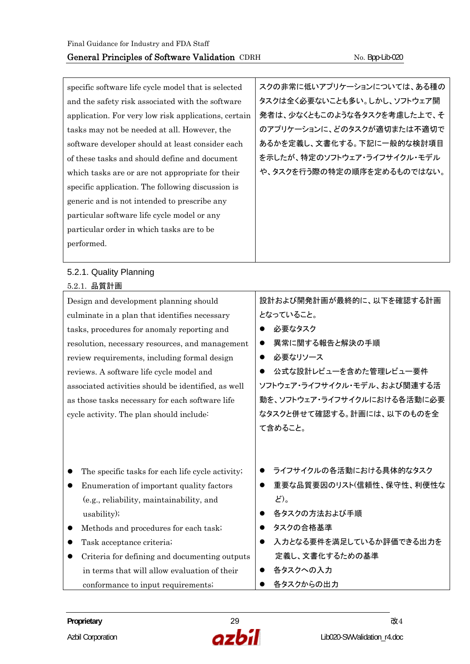| specific software life cycle model that is selected<br>and the safety risk associated with the software<br>application. For very low risk applications, certain<br>tasks may not be needed at all. However, the<br>software developer should at least consider each<br>of these tasks and should define and document<br>which tasks are or are not appropriate for their<br>specific application. The following discussion is<br>generic and is not intended to prescribe any<br>particular software life cycle model or any<br>particular order in which tasks are to be<br>performed. | スクの非常に低いアプリケーションについては、ある種の<br>タスクは全く必要ないことも多い。しかし、ソフトウェア開<br>発者は、少なくともこのような各タスクを考慮した上で、そ<br>のアプリケーションに、どのタスクが適切または不適切で<br>あるかを定義し、文書化する。下記に一般的な検討項目<br>を示したが、特定のソフトウェア・ライフサイクル・モデル<br>や、タスクを行う際の特定の順序を定めるものではない。 |
|-----------------------------------------------------------------------------------------------------------------------------------------------------------------------------------------------------------------------------------------------------------------------------------------------------------------------------------------------------------------------------------------------------------------------------------------------------------------------------------------------------------------------------------------------------------------------------------------|------------------------------------------------------------------------------------------------------------------------------------------------------------------------------------------------------------------|
| 5.2.1. Quality Planning                                                                                                                                                                                                                                                                                                                                                                                                                                                                                                                                                                 |                                                                                                                                                                                                                  |
| 5.2.1. 品質計画                                                                                                                                                                                                                                                                                                                                                                                                                                                                                                                                                                             |                                                                                                                                                                                                                  |
| Design and development planning should                                                                                                                                                                                                                                                                                                                                                                                                                                                                                                                                                  | 設計および開発計画が最終的に、以下を確認する計画                                                                                                                                                                                         |
| culminate in a plan that identifies necessary                                                                                                                                                                                                                                                                                                                                                                                                                                                                                                                                           | となっていること。                                                                                                                                                                                                        |
| tasks, procedures for anomaly reporting and                                                                                                                                                                                                                                                                                                                                                                                                                                                                                                                                             | 必要なタスク<br>$\bullet$                                                                                                                                                                                              |
| resolution, necessary resources, and management                                                                                                                                                                                                                                                                                                                                                                                                                                                                                                                                         | 異常に関する報告と解決の手順<br>$\bullet$                                                                                                                                                                                      |
| review requirements, including formal design                                                                                                                                                                                                                                                                                                                                                                                                                                                                                                                                            | 必要なリソース<br>$\bullet$                                                                                                                                                                                             |
| reviews. A software life cycle model and                                                                                                                                                                                                                                                                                                                                                                                                                                                                                                                                                | 公式な設計レビューを含めた管理レビュー要件                                                                                                                                                                                            |
| associated activities should be identified, as well                                                                                                                                                                                                                                                                                                                                                                                                                                                                                                                                     | ソフトウェア・ライフサイクル・モデル、および関連する活                                                                                                                                                                                      |
| as those tasks necessary for each software life                                                                                                                                                                                                                                                                                                                                                                                                                                                                                                                                         | 動を、ソフトウェア・ライフサイクルにおける各活動に必要                                                                                                                                                                                      |
| cycle activity. The plan should include:                                                                                                                                                                                                                                                                                                                                                                                                                                                                                                                                                | なタスクと併せて確認する。計画には、以下のものを全<br>て含めること。                                                                                                                                                                             |
|                                                                                                                                                                                                                                                                                                                                                                                                                                                                                                                                                                                         |                                                                                                                                                                                                                  |
| The specific tasks for each life cycle activity;                                                                                                                                                                                                                                                                                                                                                                                                                                                                                                                                        | ライフサイクルの各活動における具体的なタスク                                                                                                                                                                                           |
| Enumeration of important quality factors                                                                                                                                                                                                                                                                                                                                                                                                                                                                                                                                                | 重要な品質要因のリスト(信頼性、保守性、利便性な                                                                                                                                                                                         |
| (e.g., reliability, maintainability, and                                                                                                                                                                                                                                                                                                                                                                                                                                                                                                                                                | ど)。                                                                                                                                                                                                              |
| usability);                                                                                                                                                                                                                                                                                                                                                                                                                                                                                                                                                                             | 各タスクの方法および手順                                                                                                                                                                                                     |
| Methods and procedures for each task;                                                                                                                                                                                                                                                                                                                                                                                                                                                                                                                                                   | タスクの合格基準                                                                                                                                                                                                         |
| Task acceptance criteria;                                                                                                                                                                                                                                                                                                                                                                                                                                                                                                                                                               | 入力となる要件を満足しているか評価できる出力を<br>$\bullet$                                                                                                                                                                             |
| Criteria for defining and documenting outputs                                                                                                                                                                                                                                                                                                                                                                                                                                                                                                                                           | 定義し、文書化するための基準                                                                                                                                                                                                   |
| in terms that will allow evaluation of their                                                                                                                                                                                                                                                                                                                                                                                                                                                                                                                                            | 各タスクへの入力<br>$\bullet$                                                                                                                                                                                            |
| conformance to input requirements;                                                                                                                                                                                                                                                                                                                                                                                                                                                                                                                                                      | 各タスクからの出力                                                                                                                                                                                                        |

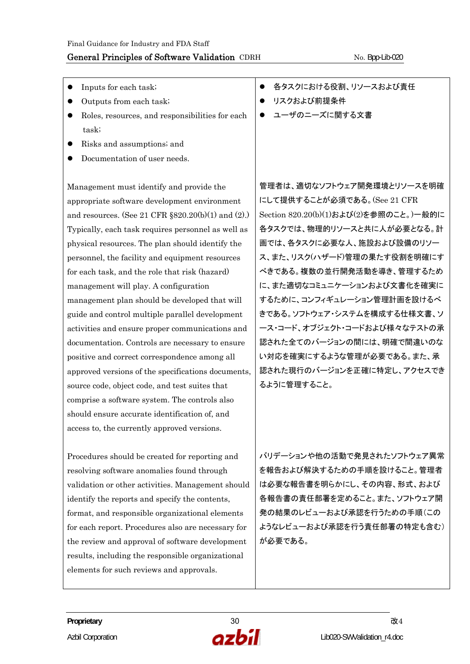- Inputs for each task;
- $\bullet$  Outputs from each task;
- Roles, resources, and responsibilities for each task;
- Risks and assumptions; and
- Documentation of user needs.

Management must identify and provide the appropriate software development environment and resources. (See 21 CFR §820.20(b)(1) and (2).) Typically, each task requires personnel as well as physical resources. The plan should identify the personnel, the facility and equipment resources for each task, and the role that risk (hazard) management will play. A configuration management plan should be developed that will guide and control multiple parallel development activities and ensure proper communications and documentation. Controls are necessary to ensure positive and correct correspondence among all approved versions of the specifications documents, source code, object code, and test suites that comprise a software system. The controls also should ensure accurate identification of, and access to, the currently approved versions.

Procedures should be created for reporting and resolving software anomalies found through validation or other activities. Management should identify the reports and specify the contents, format, and responsible organizational elements for each report. Procedures also are necessary for the review and approval of software development results, including the responsible organizational elements for such reviews and approvals.

- リスクおよび前提条件
- ユーザのニーズに関する文書

管理者は、適切なソフトウェア開発環境とリソースを明確 にして提供することが必須である。(See 21 CFR Section 820.20(b)(1)および(2)を参照のこと。)一般的に 各タスクでは、物理的リソースと共に人が必要となる。計 画では、各タスクに必要な人、施設および設備のリソー ス、また、リスク(ハザード)管理の果たす役割を明確にす べきである。複数の並行開発活動を導き、管理するため に、また適切なコミュニケーションおよび文書化を確実に するために、コンフィギュレーション管理計画を設けるべ きである。ソフトウェア・システムを構成する仕様文書、ソ ース・コード、オブジェクト・コードおよび様々なテストの承 認された全てのバージョンの間には、明確で間違いのな い対応を確実にするような管理が必要である。また、承 認された現行のバージョンを正確に特定し、アクセスでき るように管理すること。

バリデーションや他の活動で発見されたソフトウェア異常 を報告および解決するための手順を設けること。管理者 は必要な報告書を明らかにし、その内容、形式、および 各報告書の責任部署を定めること。また、ソフトウェア開 発の結果のレビューおよび承認を行うための手順(この ようなレビューおよび承認を行う責任部署の特定も含む) が必要である。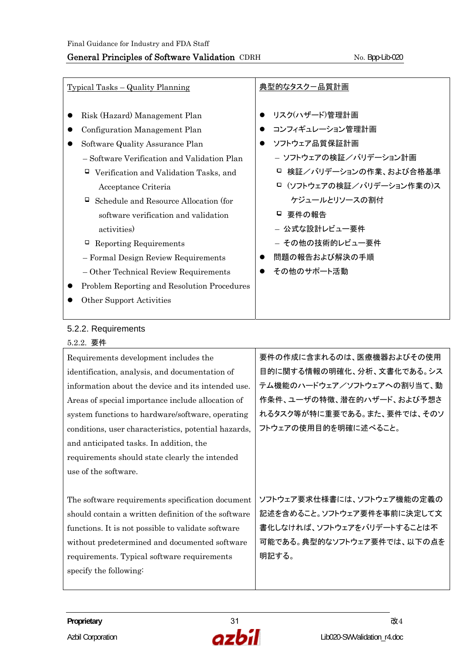# Typical Tasks – Quality Planning インプレー しゅうちょう しゅうしょう 日質計画

- Risk (Hazard) Management Plan
- Configuration Management Plan
- Software Quality Assurance Plan
	- Software Verification and Validation Plan
	- Verification and Validation Tasks, and Acceptance Criteria
	- Schedule and Resource Allocation (for software verification and validation activities)
	- Reporting Requirements
	- Formal Design Review Requirements
	- Other Technical Review Requirements
- Problem Reporting and Resolution Procedures
- **•** Other Support Activities

- リスク(ハザード)管理計画
- コンフィギュレーション管理計画
- ソフトウェア品質保証計画 – ソフトウェアの検証/バリデーション計画 □ 検証/バリデーションの作業、および合格基準 □ (ソフトウェアの検証/バリデーション作業の)ス ケジュールとリソースの割付
	- □ 要件の報告
	- 公式な設計レビュー要件
	- その他の技術的レビュー要件
- 問題の報告および解決の手順
- その他のサポート活動

#### 5.2.2. Requirements

#### 5.2.2. 要件

| Requirements development includes the                | 要件の作成に含まれるのは、医療機器およびその使用   |
|------------------------------------------------------|----------------------------|
| identification, analysis, and documentation of       | 目的に関する情報の明確化、分析、文書化である。シス  |
| information about the device and its intended use.   | テム機能のハードウェア/ソフトウェアへの割り当て、動 |
| Areas of special importance include allocation of    | 作条件、ユーザの特徴、潜在的ハザード、および予想さ  |
| system functions to hardware/software, operating     | れるタスク等が特に重要である。また、要件では、そのソ |
| conditions, user characteristics, potential hazards, | フトウェアの使用目的を明確に述べること。       |
| and anticipated tasks. In addition, the              |                            |
| requirements should state clearly the intended       |                            |
| use of the software.                                 |                            |
|                                                      |                            |
| The software requirements specification document     | ソフトウェア要求仕様書には、ソフトウェア機能の定義の |
| should contain a written definition of the software  | 記述を含めること。ソフトウェア要件を事前に決定して文 |
| functions. It is not possible to validate software   | 書化しなければ、ソフトウェアをバリデートすることは不 |
| without predetermined and documented software        | 可能である。典型的なソフトウェア要件では、以下の点を |
| requirements. Typical software requirements          | 明記する。                      |

specify the following:

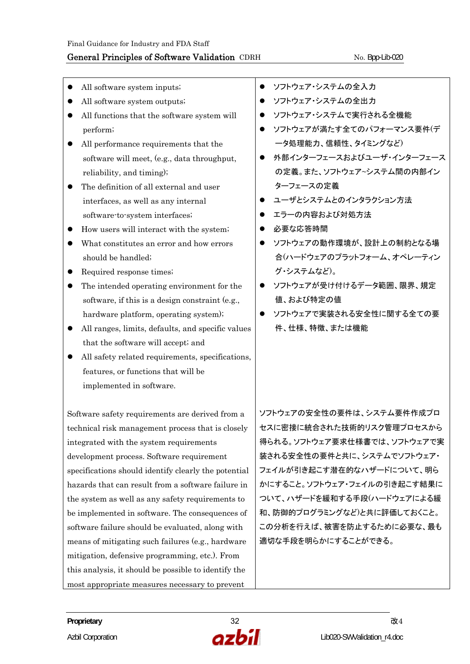- All software system inputs;
- All software system outputs;
- All functions that the software system will perform;
- All performance requirements that the software will meet, (e.g., data throughput, reliability, and timing);
- The definition of all external and user interfaces, as well as any internal software-to-system interfaces;
- How users will interact with the system;
- What constitutes an error and how errors should be handled;
- Required response times;
- The intended operating environment for the software, if this is a design constraint (e.g., hardware platform, operating system);
- All ranges, limits, defaults, and specific values that the software will accept; and
- All safety related requirements, specifications, features, or functions that will be implemented in software.

Software safety requirements are derived from a technical risk management process that is closely integrated with the system requirements development process. Software requirement specifications should identify clearly the potential hazards that can result from a software failure in the system as well as any safety requirements to be implemented in software. The consequences of software failure should be evaluated, along with means of mitigating such failures (e.g., hardware mitigation, defensive programming, etc.). From this analysis, it should be possible to identify the most appropriate measures necessary to prevent

- ソフトウェア・システムの全入力
- ソフトウェア・システムの全出力
- ソフトウェア・システムで実行される全機能
- ソフトウェアが満たす全てのパフォーマンス要件(デ ータ処理能力、信頼性、タイミングなど)
- 外部インターフェースおよびユーザ・インターフェース の定義。また、ソフトウェア~システム間の内部イン ターフェースの定義
- ユーザとシステムとのインタラクション方法
- エラーの内容および対処方法
- 必要な応答時間
- ソフトウェアの動作環境が、設計上の制約となる場 合(ハードウェアのプラットフォーム、オペレーティン グ・システムなど)。
- ソフトウェアが受け付けるデータ範囲、限界、規定 値、および特定の値
- ソフトウェアで実装される安全性に関する全ての要 件、仕様、特徴、または機能

ソフトウェアの安全性の要件は、システム要件作成プロ セスに密接に統合された技術的リスク管理プロセスから 得られる。ソフトウェア要求仕様書では、ソフトウェアで実 装される安全性の要件と共に、システムでソフトウェア・ フェイルが引き起こす潜在的なハザードについて、明ら かにすること。ソフトウェア・フェイルの引き起こす結果に ついて、ハザードを緩和する手段(ハードウェアによる緩 和、防御的プログラミングなど)と共に評価しておくこと。 この分析を行えば、被害を防止するために必要な、最も 適切な手段を明らかにすることができる。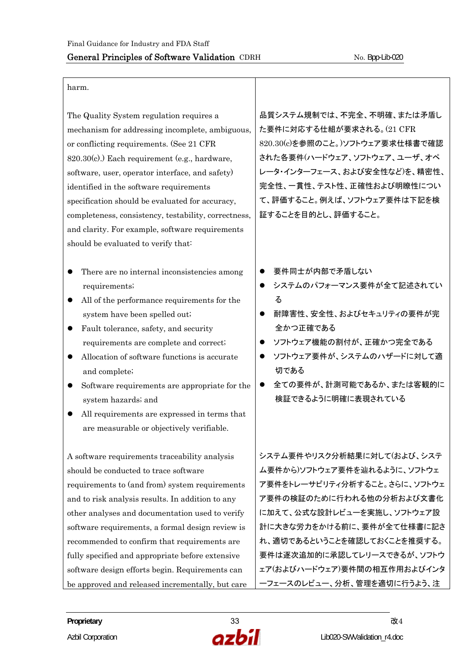#### harm.

The Quality System regulation requires a mechanism for addressing incomplete, ambiguous, or conflicting requirements. (See 21 CFR 820.30(c).) Each requirement (e.g., hardware, software, user, operator interface, and safety) identified in the software requirements specification should be evaluated for accuracy, completeness, consistency, testability, correctness, and clarity. For example, software requirements should be evaluated to verify that:

- There are no internal inconsistencies among requirements;
- All of the performance requirements for the system have been spelled out;
- Fault tolerance, safety, and security requirements are complete and correct;
- Allocation of software functions is accurate and complete;
- Software requirements are appropriate for the system hazards; and
- All requirements are expressed in terms that are measurable or objectively verifiable.

A software requirements traceability analysis should be conducted to trace software requirements to (and from) system requirements and to risk analysis results. In addition to any other analyses and documentation used to verify software requirements, a formal design review is recommended to confirm that requirements are fully specified and appropriate before extensive software design efforts begin. Requirements can be approved and released incrementally, but care

品質システム規制では、不完全、不明確、または矛盾し た要件に対応する仕組が要求される。(21 CFR 820.30(c)を参照のこと。)ソフトウェア要求仕様書で確認 された各要件(ハードウェア、ソフトウェア、ユーザ、オペ レータ・インターフェース、および安全性など)を、精密性、 完全性、一貫性、テスト性、正確性および明瞭性につい て、評価すること。例えば、ソフトウェア要件は下記を検 証することを目的とし、評価すること。

- 要件同士が内部で矛盾しない
- システムのパフォーマンス要件が全て記述されてい る
- 耐障害性、安全性、およびセキュリティの要件が完 全かつ正確である
- ソフトウェア機能の割付が、正確かつ完全である
- ソフトウェア要件が、システムのハザードに対して適 切である
- 全ての要件が、計測可能であるか、または客観的に 検証できるように明確に表現されている

システム要件やリスク分析結果に対して(および、システ ム要件から)ソフトウェア要件を辿れるように、ソフトウェ ア要件をトレーサビリティ分析すること。さらに、ソフトウェ ア要件の検証のために行われる他の分析および文書化 に加えて、公式な設計レビューを実施し、ソフトウェア設 計に大きな労力をかける前に、要件が全て仕様書に記さ れ、適切であるということを確認しておくことを推奨する。 要件は逐次追加的に承認してレリースできるが、ソフトウ ェア(およびハードウェア)要件間の相互作用およびインタ ーフェースのレビュー、分析、管理を適切に行うよう、注

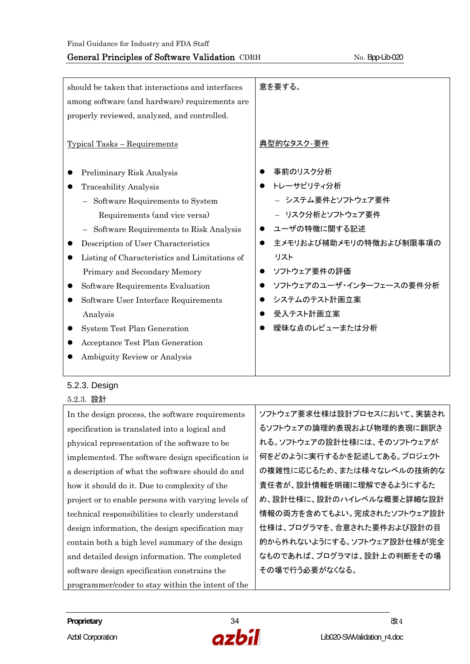## General Principles of Software Validation CDRH No. Bpp-Lib-020

| 意を要する。                   |
|--------------------------|
| 典型的なタスク-要件               |
| 事前のリスク分析                 |
| トレーサビリティ分析               |
| - システム要件とソフトウェア要件        |
| - リスク分析とソフトウェア要件         |
| ユーザの特徴に関する記述             |
| 主メモリおよび補助メモリの特徴および制限事項の  |
| リスト                      |
| ソフトウェア要件の評価              |
| ソフトウェアのユーザ・インターフェースの要件分析 |
| システムのテスト計画立案             |
| 受入テスト計画立案                |
| 曖昧な点のレビューまたは分析           |
|                          |
|                          |
|                          |

# 5.2.3. Design

5.2.3. 設計

| In the design process, the software requirements    | ソフトウェア要求仕様は設計プロセスにおいて、実装され |
|-----------------------------------------------------|----------------------------|
| specification is translated into a logical and      | るソフトウェアの論理的表現および物理的表現に翻訳さ  |
| physical representation of the software to be       | れる。ソフトウェアの設計仕様には、そのソフトウェアが |
| implemented. The software design specification is   | 何をどのように実行するかを記述してある。プロジェクト |
| a description of what the software should do and    | の複雑性に応じるため、または様々なレベルの技術的な  |
| how it should do it. Due to complexity of the       | 責任者が、設計情報を明確に理解できるようにするた   |
| project or to enable persons with varying levels of | め、設計仕様に、設計のハイレベルな概要と詳細な設計  |
| technical responsibilities to clearly understand    | 情報の両方を含めてもよい。完成されたソフトウェア設計 |
| design information, the design specification may    | 仕様は、プログラマを、合意された要件および設計の目  |
| contain both a high level summary of the design     | 的から外れないようにする。ソフトウェア設計仕様が完全 |
| and detailed design information. The completed      | なものであれば、プログラマは、設計上の判断をその場  |
| software design specification constrains the        | その場で行う必要がなくなる。             |
| programmer/coder to stay within the intent of the   |                            |

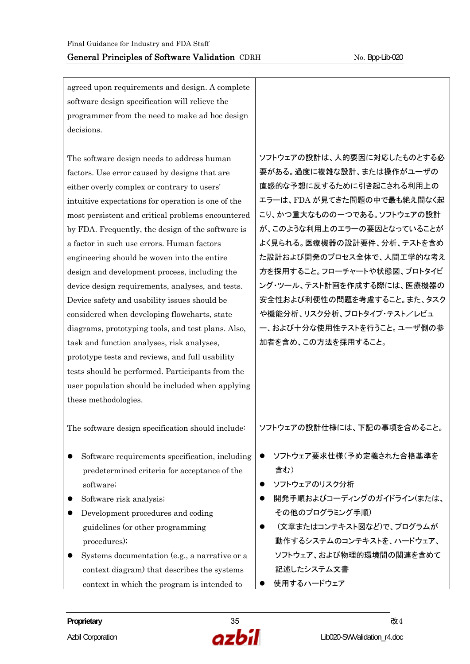agreed upon requirements and design. A complete software design specification will relieve the programmer from the need to make ad hoc design decisions.

The software design needs to address human factors. Use error caused by designs that are either overly complex or contrary to users' intuitive expectations for operation is one of the most persistent and critical problems encountered by FDA. Frequently, the design of the software is a factor in such use errors. Human factors engineering should be woven into the entire design and development process, including the device design requirements, analyses, and tests. Device safety and usability issues should be considered when developing flowcharts, state diagrams, prototyping tools, and test plans. Also, task and function analyses, risk analyses, prototype tests and reviews, and full usability tests should be performed. Participants from the user population should be included when applying these methodologies.

- Software requirements specification, including predetermined criteria for acceptance of the software;
- Software risk analysis;
- Development procedures and coding guidelines (or other programming procedures);
- Systems documentation (e.g., a narrative or a context diagram) that describes the systems context in which the program is intended to

ソフトウェアの設計は、人的要因に対応したものとする必 要がある。過度に複雑な設計、または操作がユーザの 直感的な予想に反するために引き起こされる利用上の エラーは、FDA が見てきた問題の中で最も絶え間なく起 こり、かつ重大なものの一つである。ソフトウェアの設計 が、このような利用上のエラーの要因となっていることが よく見られる。医療機器の設計要件、分析、テストを含め た設計および開発のプロセス全体で、人間工学的な考え 方を採用すること。フローチャートや状態図、プロトタイピ ング・ツール、テスト計画を作成する際には、医療機器の 安全性および利便性の問題を考慮すること。また、タスク や機能分析、リスク分析、プロトタイプ・テスト/レビュ ー、および十分な使用性テストを行うこと。ユーザ側の参 加者を含め、この方法を採用すること。

The software design specification should include: | ソフトウェアの設計仕様には、下記の事項を含めること。

- ソフトウェア要求仕様(予め定義された合格基準を 含む)
- ソフトウェアのリスク分析
- 開発手順およびコーディングのガイドライン(または、 その他のプログラミング手順)
- (文章またはコンテキスト図など)で、プログラムが 動作するシステムのコンテキストを、ハードウェア、 ソフトウェア、および物理的環境間の関連を含めて 記述したシステム文書 ● 使用するハードウェア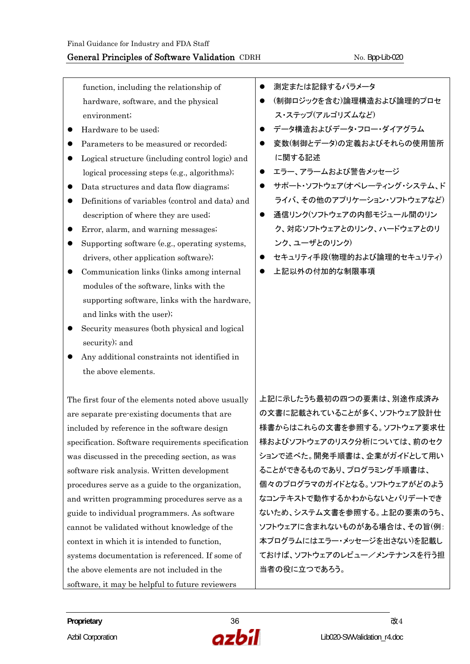## General Principles of Software Validation CDRH No. Bpp-Lib-020

function, including the relationship of hardware, software, and the physical environment;

- Hardware to be used;
- Parameters to be measured or recorded;
- Logical structure (including control logic) and logical processing steps (e.g., algorithms);
- Data structures and data flow diagrams;
- Definitions of variables (control and data) and description of where they are used;
- Error, alarm, and warning messages;
- Supporting software (e.g., operating systems, drivers, other application software);
- Communication links (links among internal modules of the software, links with the supporting software, links with the hardware, and links with the user);
- Security measures (both physical and logical security); and
- Any additional constraints not identified in the above elements.

The first four of the elements noted above usually are separate pre-existing documents that are included by reference in the software design specification. Software requirements specification was discussed in the preceding section, as was software risk analysis. Written development procedures serve as a guide to the organization, and written programming procedures serve as a guide to individual programmers. As software cannot be validated without knowledge of the context in which it is intended to function, systems documentation is referenced. If some of the above elements are not included in the software, it may be helpful to future reviewers

- 測定または記録するパラメータ
- (制御ロジックを含む)論理構造および論理的プロセ ス・ステップ(アルゴリズムなど)
- データ構造およびデータ・フロー・ダイアグラム
- 変数(制御とデータ)の定義およびそれらの使用箇所 に関する記述
- エラー、アラームおよび警告メッセージ
- サポート・ソフトウェア(オペレーティング・システム、ド ライバ、その他のアプリケーション・ソフトウェアなど)
- 通信リンク(ソフトウェアの内部モジュール間のリン ク、対応ソフトウェアとのリンク、ハードウェアとのリ ンク、ユーザとのリンク)
- セキュリティ手段(物理的および論理的セキュリティ)
- 上記以外の付加的な制限事項

上記に示したうち最初の四つの要素は、別途作成済み の文書に記載されていることが多く、ソフトウェア設計仕 様書からはこれらの文書を参照する。ソフトウェア要求仕 様およびソフトウェアのリスク分析については、前のセク ションで述べた。開発手順書は、企業がガイドとして用い ることができるものであり、プログラミング手順書は、 個々のプログラマのガイドとなる。ソフトウェアがどのよう なコンテキストで動作するかわからないとバリデートでき ないため、システム文書を参照する。上記の要素のうち、 ソフトウェアに含まれないものがある場合は、その旨(例: 本プログラムにはエラー・メッセージを出さない)を記載し ておけば、ソフトウェアのレビュー/メンテナンスを行う担 当者の役に立つであろう。

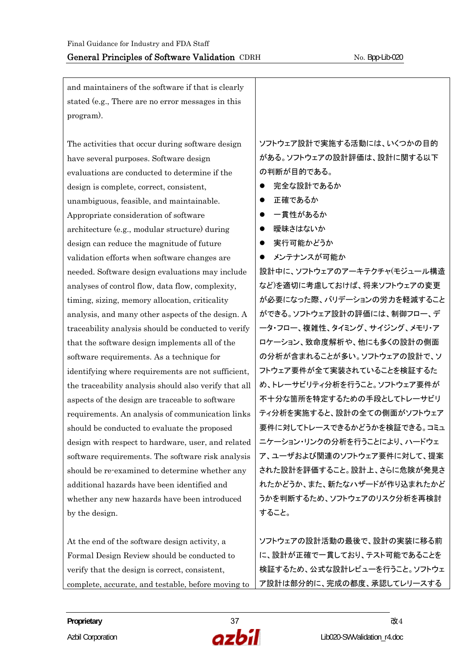and maintainers of the software if that is clearly stated (e.g., There are no error messages in this program).

The activities that occur during software design have several purposes. Software design evaluations are conducted to determine if the design is complete, correct, consistent, unambiguous, feasible, and maintainable. Appropriate consideration of software architecture (e.g., modular structure) during design can reduce the magnitude of future validation efforts when software changes are needed. Software design evaluations may include analyses of control flow, data flow, complexity, timing, sizing, memory allocation, criticality analysis, and many other aspects of the design. A traceability analysis should be conducted to verify that the software design implements all of the software requirements. As a technique for identifying where requirements are not sufficient, the traceability analysis should also verify that all aspects of the design are traceable to software requirements. An analysis of communication links should be conducted to evaluate the proposed design with respect to hardware, user, and related software requirements. The software risk analysis should be re-examined to determine whether any additional hazards have been identified and whether any new hazards have been introduced by the design.

At the end of the software design activity, a Formal Design Review should be conducted to verify that the design is correct, consistent,

ソフトウェア設計で実施する活動には、いくつかの目的 がある。ソフトウェアの設計評価は、設計に関する以下 の判断が目的である。

- 完全な設計であるか
- 正確であるか
- 一貫性があるか
- 曖昧さはないか
- 実行可能かどうか
- メンテナンスが可能か

設計中に、ソフトウェアのアーキテクチャ(モジュール構造 など)を適切に考慮しておけば、将来ソフトウェアの変更 が必要になった際、バリデーションの労力を軽減すること ができる。ソフトウェア設計の評価には、制御フロー、デ ータ・フロー、複雑性、タイミング、サイジング、メモリ・ア ロケーション、致命度解析や、他にも多くの設計の側面 の分析が含まれることが多い。ソフトウェアの設計で、ソ フトウェア要件が全て実装されていることを検証するた め、トレーサビリティ分析を行うこと。ソフトウェア要件が 不十分な箇所を特定するための手段としてトレーサビリ ティ分析を実施すると、設計の全ての側面がソフトウェア 要件に対してトレースできるかどうかを検証できる。コミュ ニケーション・リンクの分析を行うことにより、ハードウェ ア、ユーザおよび関連のソフトウェア要件に対して、提案 された設計を評価すること。設計上、さらに危険が発見さ れたかどうか、また、新たなハザードが作り込まれたかど うかを判断するため、ソフトウェアのリスク分析を再検討 すること。

complete, accurate, and testable, before moving to ソフトウェアの設計活動の最後で、設計の実装に移る前 に、設計が正確で一貫しており、テスト可能であることを 検証するため、公式な設計レビューを行うこと。ソフトウェ ア設計は部分的に、完成の都度、承認してレリースする

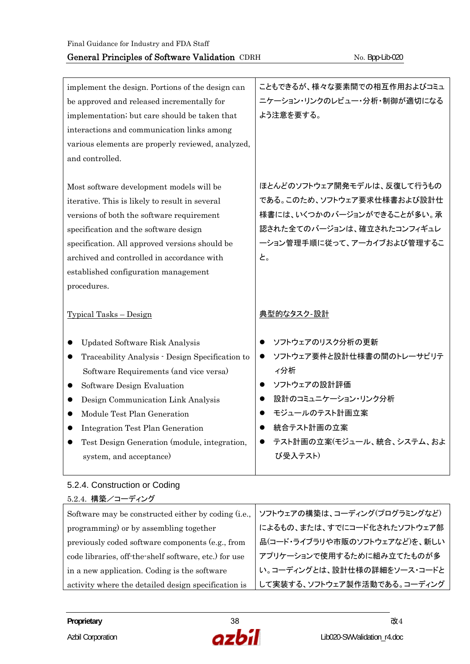| implement the design. Portions of the design can             | こともできるが、様々な要素間での相互作用およびコミュ            |
|--------------------------------------------------------------|---------------------------------------|
| be approved and released incrementally for                   | ニケーション・リンクのレビュー・分析・制御が適切になる           |
| implementation; but care should be taken that                | よう注意を要する。                             |
| interactions and communication links among                   |                                       |
| various elements are properly reviewed, analyzed,            |                                       |
| and controlled.                                              |                                       |
|                                                              |                                       |
| Most software development models will be                     | ほとんどのソフトウェア開発モデルは、反復して行うもの            |
| iterative. This is likely to result in several               | である。このため、ソフトウェア要求仕様書および設計仕            |
| versions of both the software requirement                    | 様書には、いくつかのバージョンができることが多い。承            |
| specification and the software design                        | 認された全てのバージョンは、確立されたコンフィギュレ            |
| specification. All approved versions should be               | ーション管理手順に従って、アーカイブおよび管理するこ            |
| archived and controlled in accordance with                   | と。                                    |
| established configuration management                         |                                       |
| procedures.                                                  |                                       |
|                                                              |                                       |
| Typical Tasks - Design                                       | 典型的なタスク-設計                            |
|                                                              |                                       |
| <b>Updated Software Risk Analysis</b><br>$\bullet$           | ソフトウェアのリスク分析の更新                       |
| Traceability Analysis - Design Specification to<br>$\bullet$ | ソフトウェア要件と設計仕様書の間のトレーサビリテ<br>$\bullet$ |
| Software Requirements (and vice versa)                       | ィ分析                                   |
| Software Design Evaluation<br>$\bullet$                      | ソフトウェアの設計評価<br>$\bullet$              |
| Design Communication Link Analysis<br>$\bullet$              | 設計のコミュニケーション・リンク分析<br>$\bullet$       |
| Module Test Plan Generation<br>$\bullet$                     | モジュールのテスト計画立案<br>$\bullet$            |
| Integration Test Plan Generation<br>$\bullet$                | 統合テスト計画の立案<br>$\bullet$               |
| Test Design Generation (module, integration,<br>$\bullet$    | テスト計画の立案(モジュール、統合、システム、およ             |
| system, and acceptance)                                      | び受入テスト)                               |

#### 5.2.4. Construction or Coding

5.2.4. 構築/コーディング

| Software may be constructed either by coding (i.e.,   | ソフトウェアの構築は、コーディング(プログラミングなど)  |
|-------------------------------------------------------|-------------------------------|
| programming) or by assembling together                | によるもの、または、すでにコード化されたソフトウェア部   |
| previously coded software components (e.g., from      | 品(コード・ライブラリや市販のソフトウェアなど)を、新しい |
| code libraries, off-the-shelf software, etc.) for use | アプリケーションで使用するために組み立てたものが多     |
| in a new application. Coding is the software          | い。コーディングとは、設計仕様の詳細をソース・コードと   |
| activity where the detailed design specification is   | して実装する、ソフトウェア製作活動である。コーディング   |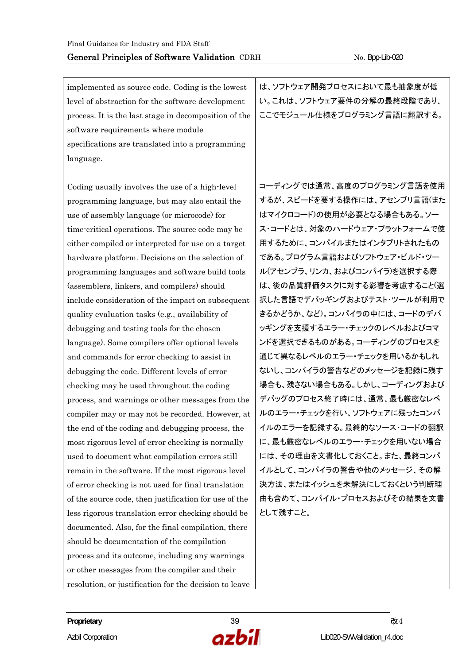implemented as source code. Coding is the lowest level of abstraction for the software development process. It is the last stage in decomposition of the software requirements where module specifications are translated into a programming language.

Coding usually involves the use of a high-level programming language, but may also entail the use of assembly language (or microcode) for time-critical operations. The source code may be either compiled or interpreted for use on a target hardware platform. Decisions on the selection of programming languages and software build tools (assemblers, linkers, and compilers) should include consideration of the impact on subsequent quality evaluation tasks (e.g., availability of debugging and testing tools for the chosen language). Some compilers offer optional levels and commands for error checking to assist in debugging the code. Different levels of error checking may be used throughout the coding process, and warnings or other messages from the compiler may or may not be recorded. However, at the end of the coding and debugging process, the most rigorous level of error checking is normally used to document what compilation errors still remain in the software. If the most rigorous level of error checking is not used for final translation of the source code, then justification for use of the less rigorous translation error checking should be documented. Also, for the final compilation, there should be documentation of the compilation process and its outcome, including any warnings or other messages from the compiler and their resolution, or justification for the decision to leave

は、ソフトウェア開発プロセスにおいて最も抽象度が低 い。これは、ソフトウェア要件の分解の最終段階であり、 ここでモジュール仕様をプログラミング言語に翻訳する。

コーディングでは通常、高度のプログラミング言語を使用 するが、スピードを要する操作には、アセンブリ言語(また はマイクロコード)の使用が必要となる場合もある。ソー ス・コードとは、対象のハードウェア・プラットフォームで使 用するために、コンパイルまたはインタプリトされたもの である。プログラム言語およびソフトウェア・ビルド・ツー ル(アセンブラ、リンカ、およびコンパイラ)を選択する際 は、後の品質評価タスクに対する影響を考慮すること(選 択した言語でデバッギングおよびテスト・ツールが利用で きるかどうか、など)。コンパイラの中には、コードのデバ ッギングを支援するエラー・チェックのレベルおよびコマ ンドを選択できるものがある。コーディングのプロセスを 通じて異なるレベルのエラー・チェックを用いるかもしれ ないし、コンパイラの警告などのメッセージを記録に残す 場合も、残さない場合もある。しかし、コーディングおよび デバッグのプロセス終了時には、通常、最も厳密なレベ ルのエラー・チェックを行い、ソフトウェアに残ったコンパ イルのエラーを記録する。最終的なソース・コードの翻訳 に、最も厳密なレベルのエラー・チェックを用いない場合 には、その理由を文書化しておくこと。また、最終コンパ イルとして、コンパイラの警告や他のメッセージ、その解 決方法、またはイッシュを未解決にしておくという判断理 由も含めて、コンパイル・プロセスおよびその結果を文書 として残すこと。

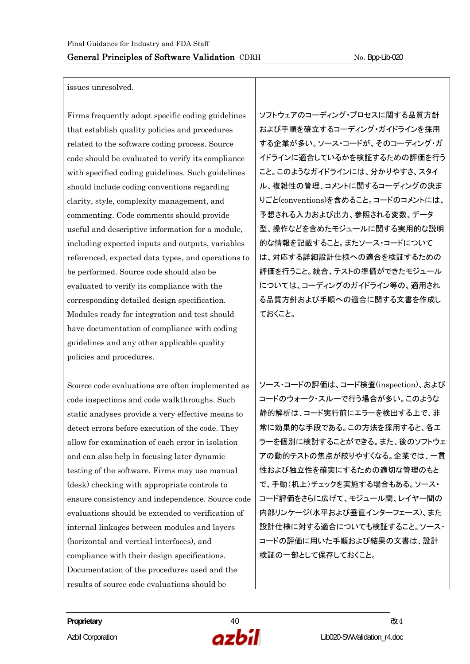issues unresolved.

Firms frequently adopt specific coding guidelines that establish quality policies and procedures related to the software coding process. Source code should be evaluated to verify its compliance with specified coding guidelines. Such guidelines should include coding conventions regarding clarity, style, complexity management, and commenting. Code comments should provide useful and descriptive information for a module, including expected inputs and outputs, variables referenced, expected data types, and operations to be performed. Source code should also be evaluated to verify its compliance with the corresponding detailed design specification. Modules ready for integration and test should have documentation of compliance with coding guidelines and any other applicable quality policies and procedures.

Source code evaluations are often implemented as code inspections and code walkthroughs. Such static analyses provide a very effective means to detect errors before execution of the code. They allow for examination of each error in isolation and can also help in focusing later dynamic testing of the software. Firms may use manual (desk) checking with appropriate controls to ensure consistency and independence. Source code evaluations should be extended to verification of internal linkages between modules and layers (horizontal and vertical interfaces), and compliance with their design specifications. Documentation of the procedures used and the results of source code evaluations should be

ソフトウェアのコーディング・プロセスに関する品質方針 および手順を確立するコーディング・ガイドラインを採用 する企業が多い。ソース・コードが、そのコーディング・ガ イドラインに適合しているかを検証するための評価を行う こと。このようなガイドラインには、分かりやすさ、スタイ ル、複雑性の管理、コメントに関するコーディングの決ま りごと(conventions)を含めること。コードのコメントには、 予想される入力および出力、参照される変数、データ 型、操作などを含めたモジュールに関する実用的な説明 的な情報を記載すること。またソース・コードについて は、対応する詳細設計仕様への適合を検証するための 評価を行うこと。統合、テストの準備ができたモジュール については、コーディングのガイドライン等の、適用され る品質方針および手順への適合に関する文書を作成し ておくこと。

ソース・コードの評価は、コード検査(inspection)、および コードのウォーク・スルーで行う場合が多い。このような 静的解析は、コード実行前にエラーを検出する上で、非 常に効果的な手段である。この方法を採用すると、各エ ラーを個別に検討することができる。また、後のソフトウェ アの動的テストの焦点が絞りやすくなる。企業では、一貫 性および独立性を確実にするための適切な管理のもと で、手動(机上)チェックを実施する場合もある。ソース・ コード評価をさらに広げて、モジュール間、レイヤー間の 内部リンケージ(水平および垂直インターフェース)、また 設計仕様に対する適合についても検証すること。ソース・ コードの評価に用いた手順および結果の文書は、設計 検証の一部として保存しておくこと。

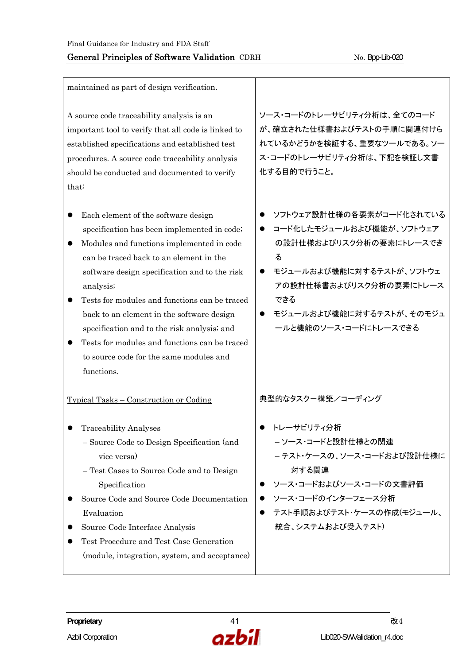maintained as part of design verification.

A source code traceability analysis is an important tool to verify that all code is linked to established specifications and established test procedures. A source code traceability analysis should be conducted and documented to verify that:

- Each element of the software design specification has been implemented in code;
- Modules and functions implemented in code can be traced back to an element in the software design specification and to the risk analysis;
- Tests for modules and functions can be traced back to an element in the software design specification and to the risk analysis; and
- Tests for modules and functions can be traced to source code for the same modules and functions.

#### Typical Tasks – Construction or Coding 典型的なタスク-構築/コーディング

- Traceability Analyses
	- Source Code to Design Specification (and vice versa)
	- Test Cases to Source Code and to Design Specification
- Source Code and Source Code Documentation Evaluation
- Source Code Interface Analysis
- Test Procedure and Test Case Generation (module, integration, system, and acceptance)

ソース・コードのトレーサビリティ分析は、全てのコード が、確立された仕様書およびテストの手順に関連付けら れているかどうかを検証する、重要なツールである。ソー ス・コードのトレーサビリティ分析は、下記を検証し文書 化する目的で行うこと。

- ソフトウェア設計仕様の各要素がコード化されている
- コード化したモジュールおよび機能が、ソフトウェア の設計仕様およびリスク分析の要素にトレースでき る
- モジュールおよび機能に対するテストが、ソフトウェ アの設計仕様書およびリスク分析の要素にトレース できる
- モジュールおよび機能に対するテストが、そのモジュ ールと機能のソース・コードにトレースできる

- トレーサビリティ分析 – ソース・コードと設計仕様との関連
	- テスト・ケースの、ソース・コードおよび設計仕様に 対する関連
- ソース・コードの文書評価
- ソース・コードのインターフェース分析
- テスト手順およびテスト・ケースの作成(モジュール、 統合、システムおよび受入テスト)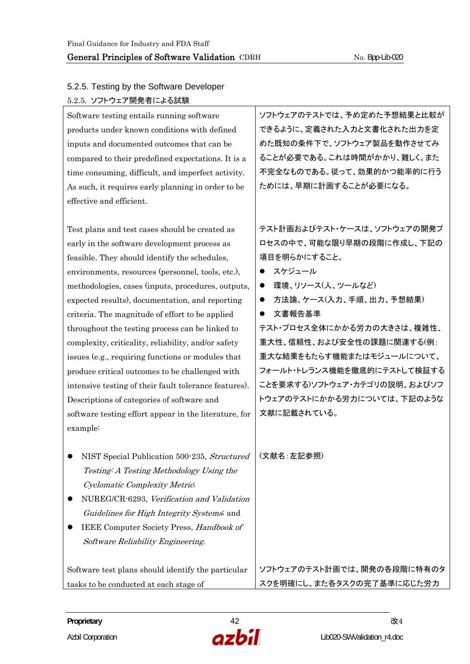#### 5.2.5. Testing by the Software Developer

| 5.2.5. ソフトウェア開発者による試験 |
|-----------------------|
|                       |

Software testing entails running software products under known conditions with defined inputs and documented outcomes that can be compared to their predefined expectations. It is a time consuming, difficult, and imperfect activity. As such, it requires early planning in order to be effective and efficient.

Test plans and test cases should be created as early in the software development process as feasible. They should identify the schedules, environments, resources (personnel, tools, etc.), methodologies, cases (inputs, procedures, outputs, expected results), documentation, and reporting criteria. The magnitude of effort to be applied throughout the testing process can be linked to complexity, criticality, reliability, and/or safety issues (e.g., requiring functions or modules that produce critical outcomes to be challenged with intensive testing of their fault tolerance features). Descriptions of categories of software and software testing effort appear in the literature, for example:

• NIST Special Publication 500-235, Structured Testing: A Testing Methodology Using the Cyclomatic Complexity Metric;

- NUREG/CR-6293, Verification and Validation Guidelines for High Integrity Systems; and
- IEEE Computer Society Press, Handbook of Software Reliability Engineering.

Software test plans should identify the particular tasks to be conducted at each stage of

ソフトウェアのテストでは、予め定めた予想結果と比較が できるように、定義された入力と文書化された出力を定 めた既知の条件下で、ソフトウェア製品を動作させてみ ることが必要である。これは時間がかかり、難しく、また 不完全なものである。従って、効果的かつ能率的に行う ためには、早期に計画することが必要になる。

テスト計画およびテスト・ケースは、ソフトウェアの開発プ ロセスの中で、可能な限り早期の段階に作成し、下記の 項目を明らかにすること。

- スケジュール
- 環境、リソース(人、ツールなど)
- 方法論、ケース(入力、手順、出力、予想結果)
- 文書報告基準

テスト・プロセス全体にかかる労力の大きさは、複雑性、 重大性、信頼性、および安全性の課題に関連する(例: 重大な結果をもたらす機能またはモジュールについて、 フォールト・トレランス機能を徹底的にテストして検証する ことを要求する)ソフトウェア・カテゴリの説明、およびソフ トウェアのテストにかかる労力については、下記のような 文献に記載されている。

(文献名:左記参照)

ソフトウェアのテスト計画では、開発の各段階に特有のタ スクを明確にし、また各タスクの完了基準に応じた労力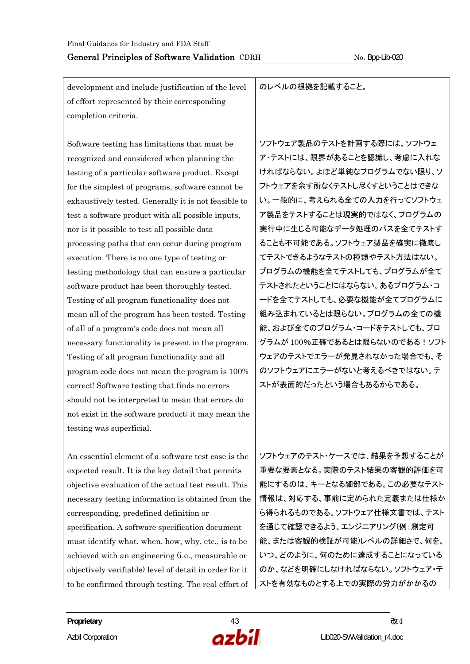development and include justification of the level of effort represented by their corresponding completion criteria.

Software testing has limitations that must be recognized and considered when planning the testing of a particular software product. Except for the simplest of programs, software cannot be exhaustively tested. Generally it is not feasible to test a software product with all possible inputs, nor is it possible to test all possible data processing paths that can occur during program execution. There is no one type of testing or testing methodology that can ensure a particular software product has been thoroughly tested. Testing of all program functionality does not mean all of the program has been tested. Testing of all of a program's code does not mean all necessary functionality is present in the program. Testing of all program functionality and all program code does not mean the program is 100% correct! Software testing that finds no errors should not be interpreted to mean that errors do not exist in the software product; it may mean the testing was superficial.

An essential element of a software test case is the expected result. It is the key detail that permits objective evaluation of the actual test result. This necessary testing information is obtained from the corresponding, predefined definition or specification. A software specification document must identify what, when, how, why, etc., is to be achieved with an engineering (i.e., measurable or objectively verifiable) level of detail in order for it to be confirmed through testing. The real effort of

のレベルの根拠を記載すること。

ソフトウェア製品のテストを計画する際には、ソフトウェ ア・テストには、限界があることを認識し、考慮に入れな ければならない。よほど単純なプログラムでない限り、ソ フトウェアを余す所なくテストし尽くすということはできな い。一般的に、考えられる全ての入力を行ってソフトウェ ア製品をテストすることは現実的ではなく、プログラムの 実行中に生じる可能なデータ処理のパスを全てテストす ることも不可能である。ソフトウェア製品を確実に徹底し てテストできるようなテストの種類やテスト方法はない。 プログラムの機能を全てテストしても、プログラムが全て テストされたということにはならない。あるプログラム・コ ードを全てテストしても、必要な機能が全てプログラムに 組み込まれているとは限らない。プログラムの全ての機 能、および全てのプログラム・コードをテストしても、プロ グラムが 100%正確であるとは限らないのである!ソフト ウェアのテストでエラーが発見されなかった場合でも、そ のソフトウェアにエラーがないと考えるべきではない。テ ストが表面的だったという場合もあるからである。

ソフトウェアのテスト・ケースでは、結果を予想することが 重要な要素となる。実際のテスト結果の客観的評価を可 能にするのは、キーとなる細部である。この必要なテスト 情報は、対応する、事前に定められた定義または仕様か ら得られるものである。ソフトウェア仕様文書では、テスト を通じて確認できるよう、エンジニアリング(例:測定可 能、または客観的検証が可能)レベルの詳細さで、何を、 いつ、どのように、何のために達成することになっている のか、などを明確にしなければならない。ソフトウェア・テ ストを有効なものとする上での実際の労力がかかるの

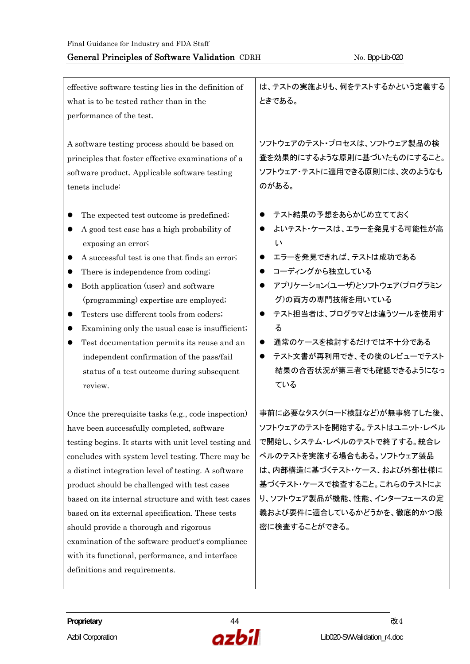| は、テストの実施よりも、何をテストするかという定義する<br>ときである。                                                                                                                                                                                                                                                                                                    |
|------------------------------------------------------------------------------------------------------------------------------------------------------------------------------------------------------------------------------------------------------------------------------------------------------------------------------------------|
| ソフトウェアのテスト・プロセスは、ソフトウェア製品の検<br>査を効果的にするような原則に基づいたものにすること。<br>ソフトウェア・テストに適用できる原則には、次のようなも<br>のがある。                                                                                                                                                                                                                                        |
| テスト結果の予想をあらかじめ立てておく<br>よいテスト・ケースは、エラーを発見する可能性が高<br>$\mathsf{L}$<br>エラーを発見できれば、テストは成功である<br>コーディングから独立している<br>$\bullet$<br>アプリケーション(ユーザ)とソフトウェア(プログラミン<br>グ)の両方の専門技術を用いている<br>テスト担当者は、プログラマとは違うツールを使用す<br>$\bullet$<br>る<br>通常のケースを検討するだけでは不十分である<br>$\bullet$<br>テスト文書が再利用でき、その後のレビューでテスト<br>$\bullet$<br>結果の合否状況が第三者でも確認できるようになっ<br>ている |
| 事前に必要なタスク(コード検証など)が無事終了した後、<br>ソフトウェアのテストを開始する。テストはユニット・レベル<br>で開始し、システム・レベルのテストで終了する。統合レ<br>ベルのテストを実施する場合もある。ソフトウェア製品<br>は、内部構造に基づくテスト・ケース、および外部仕様に<br>基づくテスト・ケースで検査すること。これらのテストによ<br>り、ソフトウェア製品が機能、性能、インターフェースの定<br>義および要件に適合しているかどうかを、徹底的かつ厳<br>密に検査することができる。                                                                         |
|                                                                                                                                                                                                                                                                                                                                          |

with its functional, performance, and interface

definitions and requirements.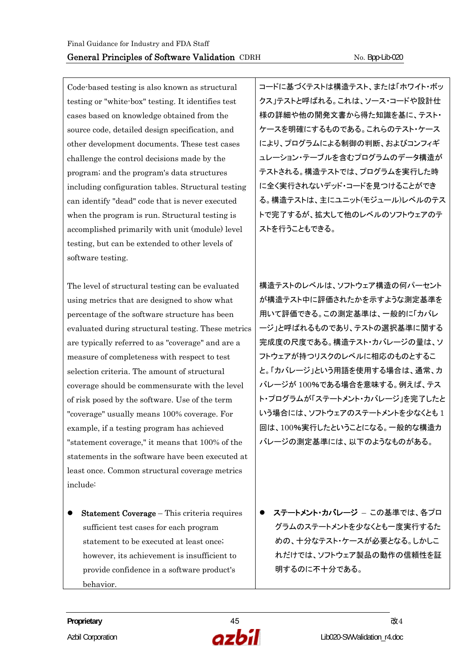Code-based testing is also known as structural testing or "white-box" testing. It identifies test cases based on knowledge obtained from the source code, detailed design specification, and other development documents. These test cases challenge the control decisions made by the program; and the program's data structures including configuration tables. Structural testing can identify "dead" code that is never executed when the program is run. Structural testing is accomplished primarily with unit (module) level testing, but can be extended to other levels of software testing.

The level of structural testing can be evaluated using metrics that are designed to show what percentage of the software structure has been evaluated during structural testing. These metrics are typically referred to as "coverage" and are a measure of completeness with respect to test selection criteria. The amount of structural coverage should be commensurate with the level of risk posed by the software. Use of the term "coverage" usually means 100% coverage. For example, if a testing program has achieved "statement coverage," it means that 100% of the statements in the software have been executed at least once. Common structural coverage metrics include:

 Statement Coverage – This criteria requires sufficient test cases for each program statement to be executed at least once; however, its achievement is insufficient to provide confidence in a software product's behavior.

コードに基づくテストは構造テスト、または「ホワイト・ボッ クス」テストと呼ばれる。これは、ソース・コードや設計仕 様の詳細や他の開発文書から得た知識を基に、テスト・ ケースを明確にするものである。これらのテスト・ケース により、プログラムによる制御の判断、およびコンフィギ ュレーション・テーブルを含むプログラムのデータ構造が テストされる。構造テストでは、プログラムを実行した時 に全く実行されないデッド・コードを見つけることができ る。構造テストは、主にユニット(モジュール)レベルのテス トで完了するが、拡大して他のレベルのソフトウェアのテ ストを行うこともできる。

構造テストのレベルは、ソフトウェア構造の何パーセント が構造テスト中に評価されたかを示すような測定基準を 用いて評価できる。この測定基準は、一般的に「カバレ ージ」と呼ばれるものであり、テストの選択基準に関する 完成度の尺度である。構造テスト・カバレージの量は、ソ フトウェアが持つリスクのレベルに相応のものとするこ と。「カバレージ」という用語を使用する場合は、通常、カ バレージが 100%である場合を意味する。例えば、テス ト・プログラムが「ステートメント・カバレージ」を完了したと いう場合には、ソフトウェアのステートメントを少なくとも 1 回は、100%実行したということになる。一般的な構造カ バレージの測定基準には、以下のようなものがある。

● ステートメント・カバレージ – この基準では、各プロ グラムのステートメントを少なくとも一度実行するた めの、十分なテスト・ケースが必要となる。しかしこ れだけでは、ソフトウェア製品の動作の信頼性を証 明するのに不十分である。

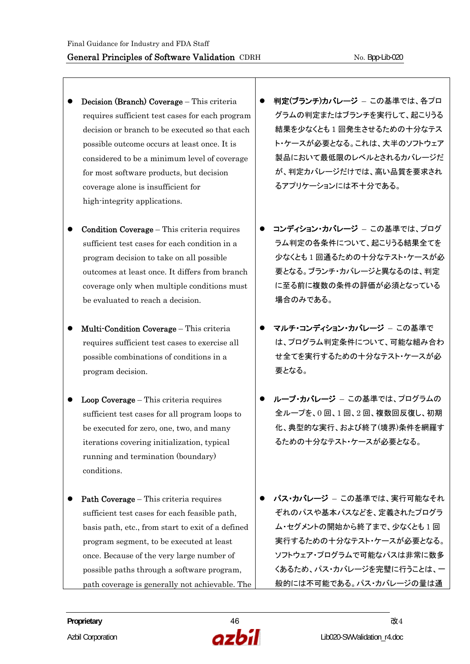- Decision (Branch) Coverage This criteria requires sufficient test cases for each program decision or branch to be executed so that each possible outcome occurs at least once. It is considered to be a minimum level of coverage for most software products, but decision coverage alone is insufficient for high-integrity applications.
- Condition Coverage This criteria requires sufficient test cases for each condition in a program decision to take on all possible outcomes at least once. It differs from branch coverage only when multiple conditions must be evaluated to reach a decision.
- Multi-Condition Coverage This criteria requires sufficient test cases to exercise all possible combinations of conditions in a program decision.
- Loop Coverage This criteria requires sufficient test cases for all program loops to be executed for zero, one, two, and many iterations covering initialization, typical running and termination (boundary) conditions.
- Path Coverage This criteria requires sufficient test cases for each feasible path, basis path, etc., from start to exit of a defined program segment, to be executed at least once. Because of the very large number of possible paths through a software program, path coverage is generally not achievable. The
- 判定(ブランチ)カバレージ この基準では、各プロ グラムの判定またはブランチを実行して、起こりうる 結果を少なくとも 1 回発生させるための十分なテス ト・ケースが必要となる。これは、大半のソフトウェア 製品において最低限のレベルとされるカバレージだ が、判定カバレージだけでは、高い品質を要求され るアプリケーションには不十分である。
- コンディション・カバレージ この基準では、プログ ラム判定の各条件について、起こりうる結果全てを 少なくとも 1 回通るための十分なテスト・ケースが必 要となる。ブランチ・カバレージと異なるのは、判定 に至る前に複数の条件の評価が必須となっている 場合のみである。
- マルチ・コンディション・カバレージ この基準で は、プログラム判定条件について、可能な組み合わ せ全てを実行するための十分なテスト・ケースが必 要となる。
- ループ・カバレージ この基準では、プログラムの 全ループを、0 回、1 回、2 回、複数回反復し、初期 化、典型的な実行、および終了(境界)条件を網羅す るための十分なテスト・ケースが必要となる。
- パス・カバレージ この基準では、実行可能なそれ ぞれのパスや基本パスなどを、定義されたプログラ ム・セグメントの開始から終了まで、少なくとも 1 回 実行するための十分なテスト・ケースが必要となる。 ソフトウェア・プログラムで可能なパスは非常に数多 くあるため、パス・カバレージを完璧に行うことは、一 般的には不可能である。パス・カバレージの量は通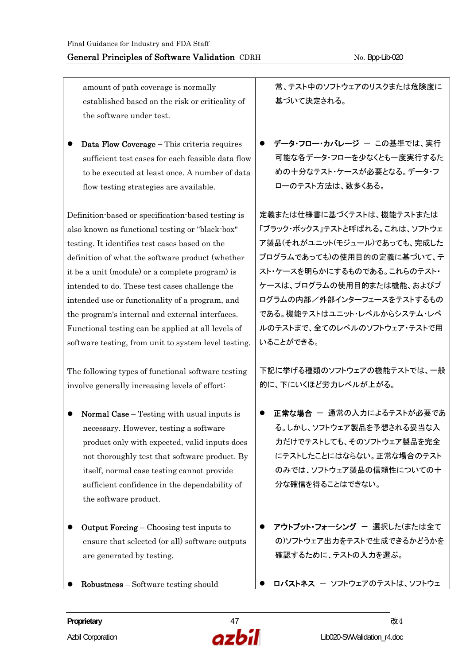amount of path coverage is normally established based on the risk or criticality of the software under test.

 Data Flow Coverage – This criteria requires sufficient test cases for each feasible data flow to be executed at least once. A number of data flow testing strategies are available.

Definition-based or specification-based testing is also known as functional testing or "black-box" testing. It identifies test cases based on the definition of what the software product (whether it be a unit (module) or a complete program) is intended to do. These test cases challenge the intended use or functionality of a program, and the program's internal and external interfaces. Functional testing can be applied at all levels of software testing, from unit to system level testing.

The following types of functional software testing involve generally increasing levels of effort:

- Normal Case Testing with usual inputs is necessary. However, testing a software product only with expected, valid inputs does not thoroughly test that software product. By itself, normal case testing cannot provide sufficient confidence in the dependability of the software product.
- $\bullet$  Output Forcing Choosing test inputs to ensure that selected (or all) software outputs are generated by testing.
- 

常、テスト中のソフトウェアのリスクまたは危険度に 基づいて決定される。

データ・フロー・カバレージ - この基準では、実行 可能な各データ・フローを少なくとも一度実行するた めの十分なテスト・ケースが必要となる。データ・フ ローのテスト方法は、数多くある。

定義または仕様書に基づくテストは、機能テストまたは 「ブラック・ボックス」テストと呼ばれる。これは、ソフトウェ ア製品(それがユニット(モジュール)であっても、完成した プログラムであっても)の使用目的の定義に基づいて、テ スト・ケースを明らかにするものである。これらのテスト・ ケースは、プログラムの使用目的または機能、およびプ ログラムの内部/外部インターフェースをテストするもの である。機能テストはユニット・レベルからシステム・レベ ルのテストまで、全てのレベルのソフトウェア・テストで用 いることができる。

下記に挙げる種類のソフトウェアの機能テストでは、一般 的に、下にいくほど労力レベルが上がる。

- 正常な場合 通常の入力によるテストが必要であ る。しかし、ソフトウェア製品を予想される妥当な入 力だけでテストしても、そのソフトウェア製品を完全 にテストしたことにはならない。正常な場合のテスト のみでは、ソフトウェア製品の信頼性についての十 分な確信を得ることはできない。
- アウトプット・フォーシング ー 選択した(または全て の)ソフトウェア出力をテストで生成できるかどうかを 確認するために、テストの入力を選ぶ。
- Robustness Software testing should ■ コバストネス ー ソフトウェアのテストは、ソフトウェ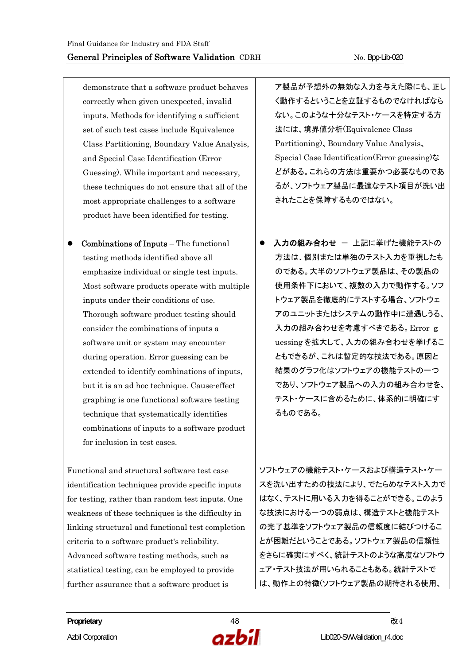demonstrate that a software product behaves correctly when given unexpected, invalid inputs. Methods for identifying a sufficient set of such test cases include Equivalence Class Partitioning, Boundary Value Analysis, and Special Case Identification (Error Guessing). While important and necessary, these techniques do not ensure that all of the most appropriate challenges to a software product have been identified for testing.

 $\bullet$  Combinations of Inputs – The functional testing methods identified above all emphasize individual or single test inputs. Most software products operate with multiple inputs under their conditions of use. Thorough software product testing should consider the combinations of inputs a software unit or system may encounter during operation. Error guessing can be extended to identify combinations of inputs, but it is an ad hoc technique. Cause-effect graphing is one functional software testing technique that systematically identifies combinations of inputs to a software product for inclusion in test cases.

Functional and structural software test case identification techniques provide specific inputs for testing, rather than random test inputs. One weakness of these techniques is the difficulty in linking structural and functional test completion criteria to a software product's reliability. Advanced software testing methods, such as statistical testing, can be employed to provide further assurance that a software product is

ア製品が予想外の無効な入力を与えた際にも、正し く動作するということを立証するものでなければなら ない。このような十分なテスト・ケースを特定する方 法には、境界値分析(Equivalence Class Partitioning)、Boundary Value Analysis、 Special Case Identification(Error guessing)な どがある。これらの方法は重要かつ必要なものであ るが、ソフトウェア製品に最適なテスト項目が洗い出 されたことを保障するものではない。

● 入力の組み合わせ - 上記に挙げた機能テストの 方法は、個別または単独のテスト入力を重視したも のである。大半のソフトウェア製品は、その製品の 使用条件下において、複数の入力で動作する。ソフ トウェア製品を徹底的にテストする場合、ソフトウェ アのユニットまたはシステムの動作中に遭遇しうる、 入力の組み合わせを考慮すべきである。Error g uessing を拡大して、入力の組み合わせを挙げるこ ともできるが、これは暫定的な技法である。原因と 結果のグラフ化はソフトウェアの機能テストの一つ であり、ソフトウェア製品への入力の組み合わせを、 テスト・ケースに含めるために、体系的に明確にす るものである。

ソフトウェアの機能テスト・ケースおよび構造テスト・ケー スを洗い出すための技法により、でたらめなテスト入力で はなく、テストに用いる入力を得ることができる。このよう な技法における一つの弱点は、構造テストと機能テスト の完了基準をソフトウェア製品の信頼度に結びつけるこ とが困難だということである。ソフトウェア製品の信頼性 をさらに確実にすべく、統計テストのような高度なソフトウ ェア・テスト技法が用いられることもある。統計テストで は、動作上の特徴(ソフトウェア製品の期待される使用、

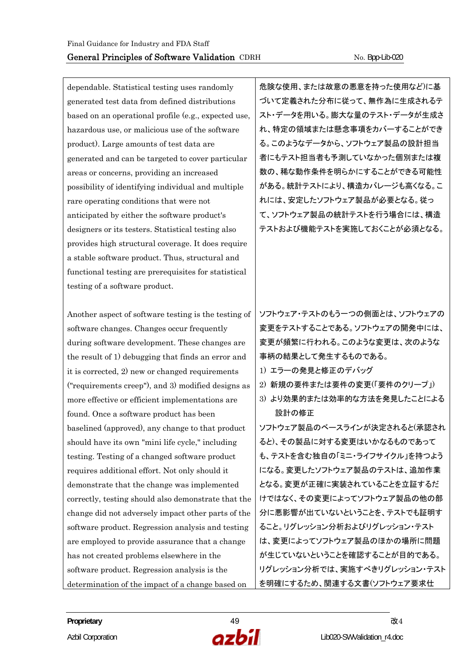dependable. Statistical testing uses randomly generated test data from defined distributions based on an operational profile (e.g., expected use, hazardous use, or malicious use of the software product). Large amounts of test data are generated and can be targeted to cover particular areas or concerns, providing an increased possibility of identifying individual and multiple rare operating conditions that were not anticipated by either the software product's designers or its testers. Statistical testing also provides high structural coverage. It does require a stable software product. Thus, structural and functional testing are prerequisites for statistical testing of a software product.

Another aspect of software testing is the testing of software changes. Changes occur frequently during software development. These changes are the result of 1) debugging that finds an error and it is corrected, 2) new or changed requirements ("requirements creep"), and 3) modified designs as more effective or efficient implementations are found. Once a software product has been baselined (approved), any change to that product should have its own "mini life cycle," including testing. Testing of a changed software product requires additional effort. Not only should it demonstrate that the change was implemented correctly, testing should also demonstrate that the change did not adversely impact other parts of the software product. Regression analysis and testing are employed to provide assurance that a change has not created problems elsewhere in the software product. Regression analysis is the determination of the impact of a change based on

危険な使用、または故意の悪意を持った使用など)に基 づいて定義された分布に従って、無作為に生成されるテ スト・データを用いる。膨大な量のテスト・データが生成さ れ、特定の領域または懸念事項をカバーすることができ る。このようなデータから、ソフトウェア製品の設計担当 者にもテスト担当者も予測していなかった個別または複 数の、稀な動作条件を明らかにすることができる可能性 がある。統計テストにより、構造カバレージも高くなる。こ れには、安定したソフトウェア製品が必要となる。従っ て、ソフトウェア製品の統計テストを行う場合には、構造 テストおよび機能テストを実施しておくことが必須となる。

ソフトウェア・テストのもう一つの側面とは、ソフトウェアの 変更をテストすることである。ソフトウェアの開発中には、 変更が頻繁に行われる。このような変更は、次のような 事柄の結果として発生するものである。

- 1) エラーの発見と修正のデバッグ
- 2) 新規の要件または要件の変更(「要件のクリープ」)

3) より効果的または効率的な方法を発見したことによる 設計の修正

ソフトウェア製品のベースラインが決定されると(承認され ると)、その製品に対する変更はいかなるものであって も、テストを含む独自の「ミニ・ライフサイクル」を持つよう になる。変更したソフトウェア製品のテストは、追加作業 となる。変更が正確に実装されていることを立証するだ けではなく、その変更によってソフトウェア製品の他の部 分に悪影響が出ていないということを、テストでも証明す ること。リグレッション分析およびリグレッション・テスト は、変更によってソフトウェア製品のほかの場所に問題 が生じていないということを確認することが目的である。 リグレッション分析では、実施すべきリグレッション・テスト を明確にするため、関連する文書(ソフトウェア要求仕

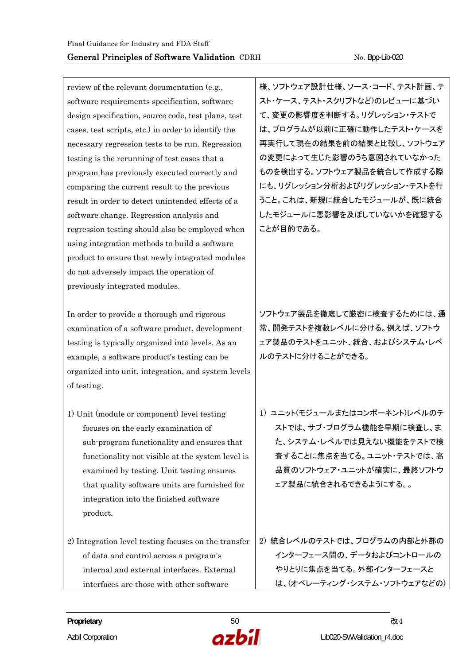review of the relevant documentation (e.g., software requirements specification, software design specification, source code, test plans, test cases, test scripts, etc.) in order to identify the necessary regression tests to be run. Regression testing is the rerunning of test cases that a program has previously executed correctly and comparing the current result to the previous result in order to detect unintended effects of a software change. Regression analysis and regression testing should also be employed when using integration methods to build a software product to ensure that newly integrated modules do not adversely impact the operation of previously integrated modules.

In order to provide a thorough and rigorous examination of a software product, development testing is typically organized into levels. As an example, a software product's testing can be organized into unit, integration, and system levels of testing.

- 1) Unit (module or component) level testing focuses on the early examination of sub-program functionality and ensures that functionality not visible at the system level is examined by testing. Unit testing ensures that quality software units are furnished for integration into the finished software product.
- 2) Integration level testing focuses on the transfer of data and control across a program's internal and external interfaces. External interfaces are those with other software

様、ソフトウェア設計仕様、ソース・コード、テスト計画、テ スト・ケース、テスト・スクリプトなど)のレビューに基づい て、変更の影響度を判断する。リグレッション・テストで は、プログラムが以前に正確に動作したテスト・ケースを 再実行して現在の結果を前の結果と比較し、ソフトウェア の変更によって生じた影響のうち意図されていなかった ものを検出する。ソフトウェア製品を統合して作成する際 にも、リグレッション分析およびリグレッション・テストを行 うこと。これは、新規に統合したモジュールが、既に統合 したモジュールに悪影響を及ぼしていないかを確認する ことが目的である。

ソフトウェア製品を徹底して厳密に検査するためには、通 常、開発テストを複数レベルに分ける。例えば、ソフトウ ェア製品のテストをユニット、統合、およびシステム・レベ ルのテストに分けることができる。

1) ユニット(モジュールまたはコンポーネント)レベルのテ ストでは、サブ・プログラム機能を早期に検査し、ま た、システム・レベルでは見えない機能をテストで検 査することに焦点を当てる。ユニット・テストでは、高 品質のソフトウェア・ユニットが確実に、最終ソフトウ ェア製品に統合されるできるようにする。。

2) 統合レベルのテストでは、プログラムの内部と外部の インターフェース間の、データおよびコントロールの やりとりに焦点を当てる。外部インターフェースと は、(オペレーティング・システム・ソフトウェアなどの)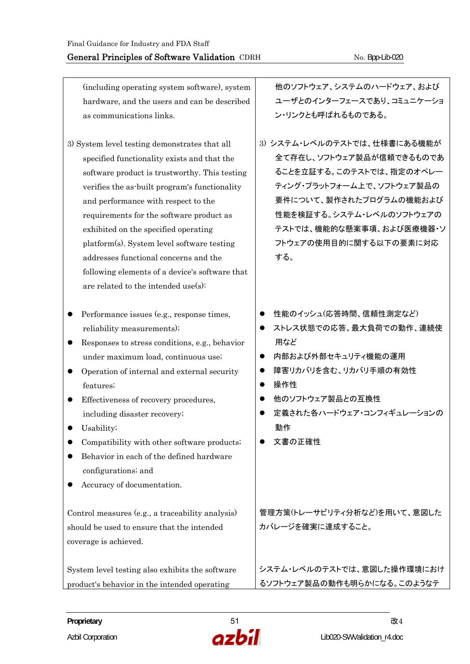(including operating system software), system hardware, and the users and can be described as communications links.

- 3) System level testing demonstrates that all specified functionality exists and that the software product is trustworthy. This testing verifies the as-built program's functionality and performance with respect to the requirements for the software product as exhibited on the specified operating platform(s). System level software testing addresses functional concerns and the following elements of a device's software that are related to the intended use(s):
- Performance issues (e.g., response times, reliability measurements);
- Responses to stress conditions, e.g., behavior under maximum load, continuous use;
- Operation of internal and external security features;
- Effectiveness of recovery procedures, including disaster recovery;
- $\bullet$  Usability;
- Compatibility with other software products;
- Behavior in each of the defined hardware configurations; and
- Accuracy of documentation.

Control measures (e.g., a traceability analysis) should be used to ensure that the intended coverage is achieved.

System level testing also exhibits the software product's behavior in the intended operating

他のソフトウェア、システムのハードウェア、および ユーザとのインターフェースであり、コミュニケーショ ン・リンクとも呼ばれるものである。

- 3) システム・レベルのテストでは、仕様書にある機能が 全て存在し、ソフトウェア製品が信頼できるものであ ることを立証する。このテストでは、指定のオペレー ティング・プラットフォーム上で、ソフトウェア製品の 要件について、製作されたプログラムの機能および 性能を検証する。システム・レベルのソフトウェアの テストでは、機能的な懸案事項、および医療機器・ソ フトウェアの使用目的に関する以下の要素に対応 する。
- 性能のイッシュ(応答時間、信頼性測定など)
- ストレス状態での応答。最大負荷での動作、連続使 用など
- 内部および外部セキュリティ機能の運用
- 障害リカバリを含む、リカバリ手順の有効性
- 操作性
- 他のソフトウェア製品との互換性
- 定義された各ハードウェア・コンフィギュレーションの 動作
- 文書の正確性

管理方策(トレーサビリティ分析など)を用いて、意図した カバレージを確実に達成すること。

システム・レベルのテストでは、意図した操作環境におけ るソフトウェア製品の動作も明らかになる。このようなテ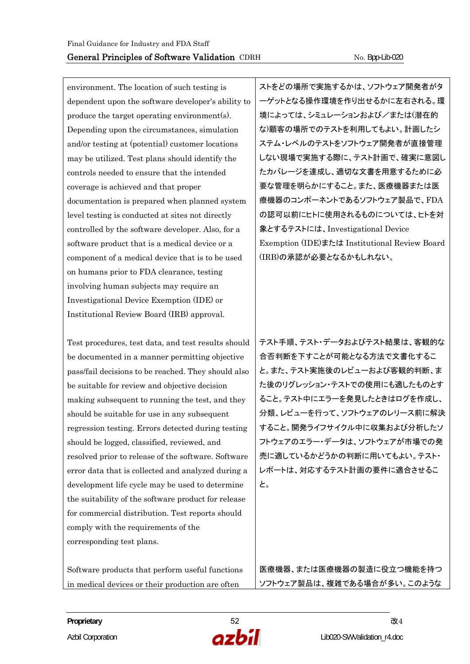environment. The location of such testing is dependent upon the software developer's ability to produce the target operating environment(s). Depending upon the circumstances, simulation and/or testing at (potential) customer locations may be utilized. Test plans should identify the controls needed to ensure that the intended coverage is achieved and that proper documentation is prepared when planned system level testing is conducted at sites not directly controlled by the software developer. Also, for a software product that is a medical device or a component of a medical device that is to be used on humans prior to FDA clearance, testing involving human subjects may require an Investigational Device Exemption (IDE) or Institutional Review Board (IRB) approval.

Test procedures, test data, and test results should be documented in a manner permitting objective pass/fail decisions to be reached. They should also be suitable for review and objective decision making subsequent to running the test, and they should be suitable for use in any subsequent regression testing. Errors detected during testing should be logged, classified, reviewed, and resolved prior to release of the software. Software error data that is collected and analyzed during a development life cycle may be used to determine the suitability of the software product for release for commercial distribution. Test reports should comply with the requirements of the corresponding test plans.

Software products that perform useful functions in medical devices or their production are often

ストをどの場所で実施するかは、ソフトウェア開発者がタ ーゲットとなる操作環境を作り出せるかに左右される。環 境によっては、シミュレーションおよび/または(潜在的 な)顧客の場所でのテストを利用してもよい。計画したシ ステム・レベルのテストをソフトウェア開発者が直接管理 しない現場で実施する際に、テスト計画で、確実に意図し たカバレージを達成し、適切な文書を用意するために必 要な管理を明らかにすること。また、医療機器または医 療機器のコンポーネントであるソフトウェア製品で、FDA の認可以前にヒトに使用されるものについては、ヒトを対 象とするテストには、Investigational Device Exemption (IDE)または Institutional Review Board (IRB)の承認が必要となるかもしれない。

テスト手順、テスト・データおよびテスト結果は、客観的な 合否判断を下すことが可能となる方法で文書化するこ と。また、テスト実施後のレビューおよび客観的判断、ま た後のリグレッション・テストでの使用にも適したものとす ること。テスト中にエラーを発見したときはログを作成し、 分類、レビューを行って、ソフトウェアのレリース前に解決 すること。開発ライフサイクル中に収集および分析したソ フトウェアのエラー・データは、ソフトウェアが市場での発 売に適しているかどうかの判断に用いてもよい。テスト・ レポートは、対応するテスト計画の要件に適合させるこ と。

医療機器、または医療機器の製造に役立つ機能を持つ ソフトウェア製品は、複雑である場合が多い。このような

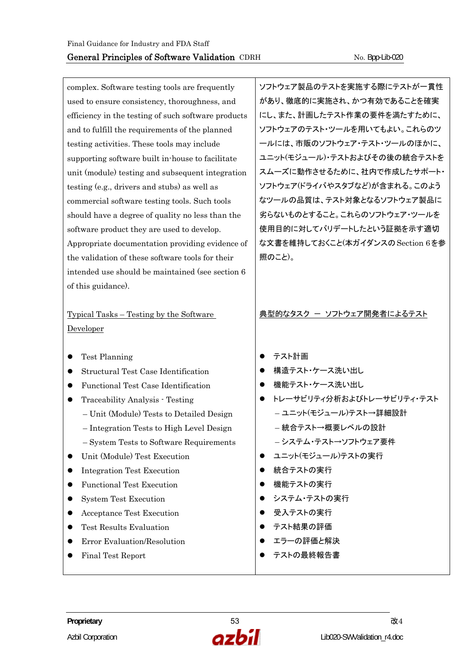complex. Software testing tools are frequently used to ensure consistency, thoroughness, and efficiency in the testing of such software products and to fulfill the requirements of the planned testing activities. These tools may include supporting software built in-house to facilitate unit (module) testing and subsequent integration testing (e.g., drivers and stubs) as well as commercial software testing tools. Such tools should have a degree of quality no less than the software product they are used to develop. Appropriate documentation providing evidence of the validation of these software tools for their intended use should be maintained (see section 6 of this guidance).

Typical Tasks – Testing by the Software Developer

- Test Planning
- Structural Test Case Identification
- Functional Test Case Identification
- Traceability Analysis Testing
	- Unit (Module) Tests to Detailed Design
	- Integration Tests to High Level Design
	- System Tests to Software Requirements
- Unit (Module) Test Execution
- $\bullet$  Integration Test Execution
- Functional Test Execution
- System Test Execution
- Acceptance Test Execution
- **•** Test Results Evaluation
- **•** Error Evaluation/Resolution
- Final Test Report

ソフトウェア製品のテストを実施する際にテストが一貫性 があり、徹底的に実施され、かつ有効であることを確実 にし、また、計画したテスト作業の要件を満たすために、 ソフトウェアのテスト・ツールを用いてもよい。これらのツ ールには、市販のソフトウェア・テスト・ツールのほかに、 ユニット(モジュール)・テストおよびその後の統合テストを スムーズに動作させるために、社内で作成したサポート・ ソフトウェア(ドライバやスタブなど)が含まれる。このよう なツールの品質は、テスト対象となるソフトウェア製品に 劣らないものとすること。これらのソフトウェア・ツールを 使用目的に対してバリデートしたという証拠を示す適切 な文書を維持しておくこと(本ガイダンスのSection 6を参 照のこと)。

典型的なタスク ー ソフトウェア開発者によるテスト

- テスト計画
- 構造テスト・ケース洗い出し
- 機能テスト・ケース洗い出し
- トレーサビリティ分析およびトレーサビリティ・テスト
	- ユニット(モジュール)テスト→詳細設計
	- 統合テスト→概要レベルの設計
	- システム・テスト→ソフトウェア要件
- ユニット(モジュール)テストの実行
- 統合テストの実行
- 機能テストの実行
- システム・テストの実行
- 受入テストの実行
- テスト結果の評価
- エラーの評価と解決
- テストの最終報告書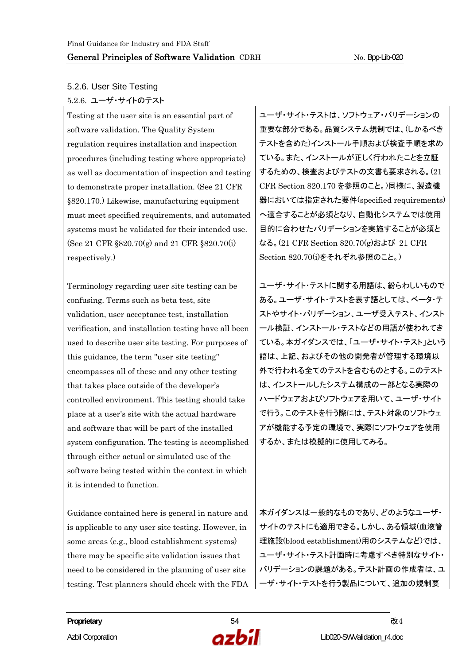#### 5.2.6. User Site Testing

#### 5.2.6. ユーザ・サイトのテスト

Testing at the user site is an essential part of software validation. The Quality System regulation requires installation and inspection procedures (including testing where appropriate) as well as documentation of inspection and testing to demonstrate proper installation. (See 21 CFR §820.170.) Likewise, manufacturing equipment must meet specified requirements, and automated systems must be validated for their intended use. (See 21 CFR §820.70(g) and 21 CFR §820.70(i) respectively.)

Terminology regarding user site testing can be confusing. Terms such as beta test, site validation, user acceptance test, installation verification, and installation testing have all been used to describe user site testing. For purposes of this guidance, the term "user site testing" encompasses all of these and any other testing that takes place outside of the developer's controlled environment. This testing should take place at a user's site with the actual hardware and software that will be part of the installed system configuration. The testing is accomplished through either actual or simulated use of the software being tested within the context in which it is intended to function.

Guidance contained here is general in nature and is applicable to any user site testing. However, in some areas (e.g., blood establishment systems) there may be specific site validation issues that need to be considered in the planning of user site testing. Test planners should check with the FDA

ユーザ・サイト・テストは、ソフトウェア・バリデーションの 重要な部分である。品質システム規制では、(しかるべき テストを含めた)インストール手順および検査手順を求め ている。また、インストールが正しく行われたことを立証 するための、検査およびテストの文書も要求される。(21 CFR Section 820.170 を参照のこと。)同様に、製造機 器においては指定された要件(specified requirements) へ適合することが必須となり、自動化システムでは使用 目的に合わせたバリデーションを実施することが必須と なる。(21 CFR Section 820.70(g)および 21 CFR Section 820.70(i)をそれぞれ参照のこと。)

ユーザ・サイト・テストに関する用語は、紛らわしいもので ある。ユーザ・サイト・テストを表す語としては、ベータ・テ ストやサイト・バリデーション、ユーザ受入テスト、インスト ール検証、インストール・テストなどの用語が使われてき ている。本ガイダンスでは、「ユーザ・サイト・テスト」という 語は、上記、およびその他の開発者が管理する環境以 外で行われる全てのテストを含むものとする。このテスト は、インストールしたシステム構成の一部となる実際の ハードウェアおよびソフトウェアを用いて、ユーザ・サイト で行う。このテストを行う際には、テスト対象のソフトウェ アが機能する予定の環境で、実際にソフトウェアを使用 するか、または模擬的に使用してみる。

本ガイダンスは一般的なものであり、どのようなユーザ・ サイトのテストにも適用できる。しかし、ある領域(血液管 理施設(blood establishment)用のシステムなど)では、 ユーザ・サイト・テスト計画時に考慮すべき特別なサイト・ バリデーションの課題がある。テスト計画の作成者は、ユ ーザ・サイト・テストを行う製品について、追加の規制要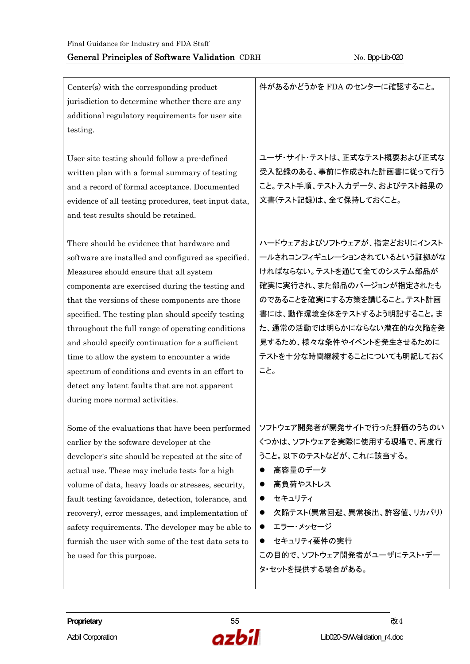Center(s) with the corresponding product jurisdiction to determine whether there are any additional regulatory requirements for user site testing.

User site testing should follow a pre-defined written plan with a formal summary of testing and a record of formal acceptance. Documented evidence of all testing procedures, test input data, and test results should be retained.

There should be evidence that hardware and software are installed and configured as specified. Measures should ensure that all system components are exercised during the testing and that the versions of these components are those specified. The testing plan should specify testing throughout the full range of operating conditions and should specify continuation for a sufficient time to allow the system to encounter a wide spectrum of conditions and events in an effort to detect any latent faults that are not apparent during more normal activities.

Some of the evaluations that have been performed earlier by the software developer at the developer's site should be repeated at the site of actual use. These may include tests for a high volume of data, heavy loads or stresses, security, fault testing (avoidance, detection, tolerance, and recovery), error messages, and implementation of safety requirements. The developer may be able to furnish the user with some of the test data sets to be used for this purpose.

件があるかどうかを FDA のセンターに確認すること。

ユーザ・サイト・テストは、正式なテスト概要および正式な 受入記録のある、事前に作成された計画書に従って行う こと。テスト手順、テスト入力データ、およびテスト結果の 文書(テスト記録)は、全て保持しておくこと。

ハードウェアおよびソフトウェアが、指定どおりにインスト ールされコンフィギュレーションされているという証拠がな ければならない。テストを通じて全てのシステム部品が 確実に実行され、また部品のバージョンが指定されたも のであることを確実にする方策を講じること。テスト計画 書には、動作環境全体をテストするよう明記すること。ま た、通常の活動では明らかにならない潜在的な欠陥を発 見するため、様々な条件やイベントを発生させるために テストを十分な時間継続することについても明記しておく こと。

ソフトウェア開発者が開発サイトで行った評価のうちのい くつかは、ソフトウェアを実際に使用する現場で、再度行 うこと。以下のテストなどが、これに該当する。

- 高容量のデータ
- 高負荷やストレス
- セキュリティ
- 欠陥テスト(異常回避、異常検出、許容値、リカバリ)
- エラー・メッセージ
- セキュリティ要件の実行

この目的で、ソフトウェア開発者がユーザにテスト・デー タ・セットを提供する場合がある。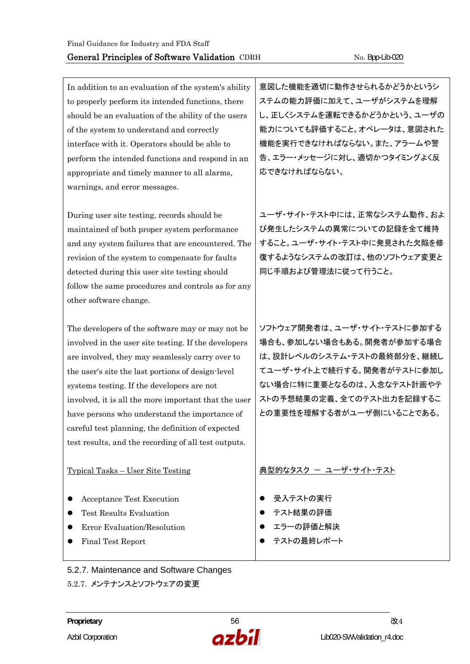In addition to an evaluation of the system's ability to properly perform its intended functions, there should be an evaluation of the ability of the users of the system to understand and correctly interface with it. Operators should be able to perform the intended functions and respond in an appropriate and timely manner to all alarms, warnings, and error messages.

During user site testing, records should be maintained of both proper system performance and any system failures that are encountered. The revision of the system to compensate for faults detected during this user site testing should follow the same procedures and controls as for any other software change.

The developers of the software may or may not be involved in the user site testing. If the developers are involved, they may seamlessly carry over to the user's site the last portions of design-level systems testing. If the developers are not involved, it is all the more important that the user have persons who understand the importance of careful test planning, the definition of expected test results, and the recording of all test outputs.

- Acceptance Test Execution
- Test Results Evaluation
- Error Evaluation/Resolution
- Final Test Report

意図した機能を適切に動作させられるかどうかというシ ステムの能力評価に加えて、ユーザがシステムを理解 し、正しくシステムを運転できるかどうかという、ユーザの 能力についても評価すること。オペレータは、意図された 機能を実行できなければならない。また、アラームや警 告、エラー・メッセージに対し、適切かつタイミングよく反 応できなければならない。

ユーザ・サイト・テスト中には、正常なシステム動作、およ び発生したシステムの異常についての記録を全て維持 すること。ユーザ・サイト・テスト中に発見された欠陥を修 復するようなシステムの改訂は、他のソフトウェア変更と 同じ手順および管理法に従って行うこと。

ソフトウェア開発者は、ユーザ・サイト・テストに参加する 場合も、参加しない場合もある。開発者が参加する場合 は、設計レベルのシステム・テストの最終部分を、継続し てユーザ・サイト上で続行する。開発者がテストに参加し ない場合に特に重要となるのは、入念なテスト計画やテ ストの予想結果の定義、全てのテスト出力を記録するこ との重要性を理解する者がユーザ側にいることである。

Typical Tasks – User Site Testing インプレート 典型的なタスク ー ユーザ・サイト・テスト

- 受入テストの実行
- テスト結果の評価
- エラーの評価と解決
- テストの最終レポート

## 5.2.7. Maintenance and Software Changes

5.2.7. メンテナンスとソフトウェアの変更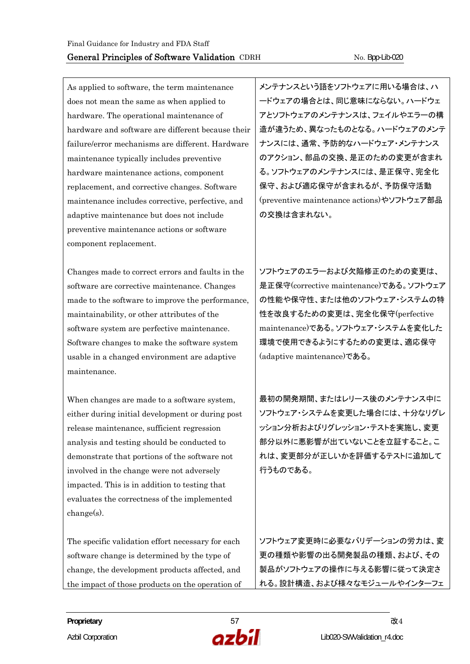As applied to software, the term maintenance does not mean the same as when applied to hardware. The operational maintenance of hardware and software are different because their failure/error mechanisms are different. Hardware maintenance typically includes preventive hardware maintenance actions, component replacement, and corrective changes. Software maintenance includes corrective, perfective, and adaptive maintenance but does not include preventive maintenance actions or software component replacement.

Changes made to correct errors and faults in the software are corrective maintenance. Changes made to the software to improve the performance, maintainability, or other attributes of the software system are perfective maintenance. Software changes to make the software system usable in a changed environment are adaptive maintenance.

When changes are made to a software system, either during initial development or during post release maintenance, sufficient regression analysis and testing should be conducted to demonstrate that portions of the software not involved in the change were not adversely impacted. This is in addition to testing that evaluates the correctness of the implemented change(s).

The specific validation effort necessary for each software change is determined by the type of change, the development products affected, and the impact of those products on the operation of

メンテナンスという語をソフトウェアに用いる場合は、ハ ードウェアの場合とは、同じ意味にならない。ハードウェ アとソフトウェアのメンテナンスは、フェイルやエラーの構 造が違うため、異なったものとなる。ハードウェアのメンテ ナンスには、通常、予防的なハードウェア・メンテナンス のアクション、部品の交換、是正のための変更が含まれ る。ソフトウェアのメンテナンスには、是正保守、完全化 保守、および適応保守が含まれるが、予防保守活動 (preventive maintenance actions)やソフトウェア部品 の交換は含まれない。

ソフトウェアのエラーおよび欠陥修正のための変更は、 是正保守(corrective maintenance)である。ソフトウェア の性能や保守性、または他のソフトウェア・システムの特 性を改良するための変更は、完全化保守(perfective maintenance)である。ソフトウェア・システムを変化した 環境で使用できるようにするための変更は、適応保守 (adaptive maintenance)である。

最初の開発期間、またはレリース後のメンテナンス中に ソフトウェア・システムを変更した場合には、十分なリグレ ッション分析およびリグレッション・テストを実施し、変更 部分以外に悪影響が出ていないことを立証すること。こ れは、変更部分が正しいかを評価するテストに追加して 行うものである。

ソフトウェア変更時に必要なバリデーションの労力は、変 更の種類や影響の出る開発製品の種類、および、その 製品がソフトウェアの操作に与える影響に従って決定さ れる。設計構造、および様々なモジュールやインターフェ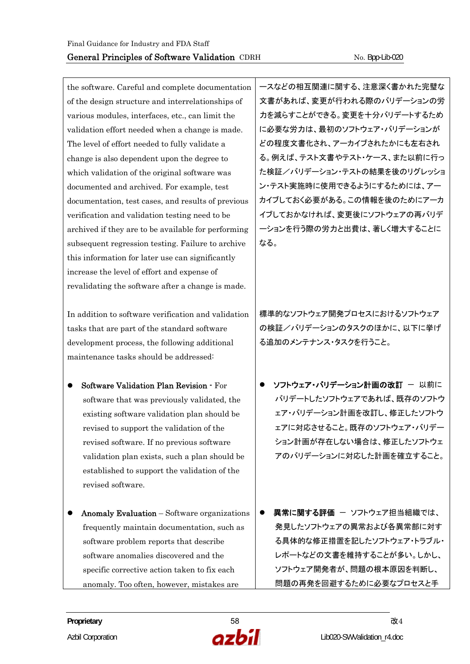the software. Careful and complete documentation of the design structure and interrelationships of various modules, interfaces, etc., can limit the validation effort needed when a change is made. The level of effort needed to fully validate a change is also dependent upon the degree to which validation of the original software was documented and archived. For example, test documentation, test cases, and results of previous verification and validation testing need to be archived if they are to be available for performing subsequent regression testing. Failure to archive this information for later use can significantly increase the level of effort and expense of revalidating the software after a change is made.

In addition to software verification and validation tasks that are part of the standard software development process, the following additional maintenance tasks should be addressed:

- Software Validation Plan Revision For software that was previously validated, the existing software validation plan should be revised to support the validation of the revised software. If no previous software validation plan exists, such a plan should be established to support the validation of the revised software.
- Anomaly Evaluation Software organizations frequently maintain documentation, such as software problem reports that describe software anomalies discovered and the specific corrective action taken to fix each anomaly. Too often, however, mistakes are

ースなどの相互関連に関する、注意深く書かれた完璧な 文書があれば、変更が行われる際のバリデーションの労 力を減らすことができる。変更を十分バリデートするため に必要な労力は、最初のソフトウェア・バリデーションが どの程度文書化され、アーカイブされたかにも左右され る。例えば、テスト文書やテスト・ケース、また以前に行っ た検証/バリデーション・テストの結果を後のリグレッショ ン・テスト実施時に使用できるようにするためには、アー カイブしておく必要がある。この情報を後のためにアーカ イブしておかなければ、変更後にソフトウェアの再バリデ ーションを行う際の労力と出費は、著しく増大することに なる。

標準的なソフトウェア開発プロセスにおけるソフトウェア の検証/バリデーションのタスクのほかに、以下に挙げ る追加のメンテナンス・タスクを行うこと。

- ソフトウェア・バリデーション計画の改訂 以前に バリデートしたソフトウェアであれば、既存のソフトウ ェア・バリデーション計画を改訂し、修正したソフトウ ェアに対応させること。既存のソフトウェア・バリデー ション計画が存在しない場合は、修正したソフトウェ アのバリデーションに対応した計画を確立すること。
- 異常に関する評価 ー ソフトウェア担当組織では、 発見したソフトウェアの異常および各異常部に対す る具体的な修正措置を記したソフトウェア・トラブル・ レポートなどの文書を維持することが多い。しかし、 ソフトウェア開発者が、問題の根本原因を判断し、 問題の再発を回避するために必要なプロセスと手

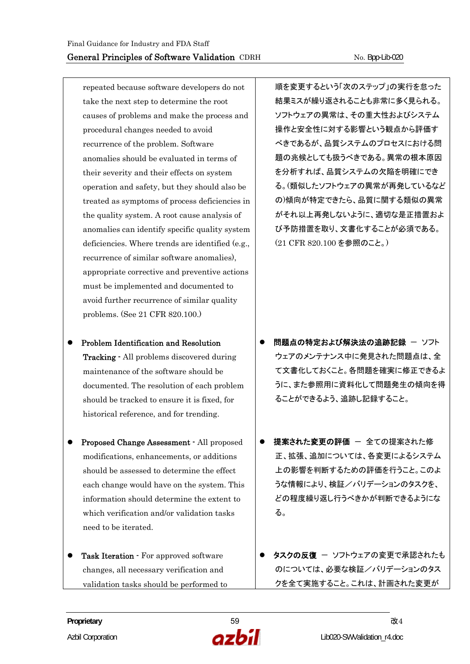repeated because software developers do not take the next step to determine the root causes of problems and make the process and procedural changes needed to avoid recurrence of the problem. Software anomalies should be evaluated in terms of their severity and their effects on system operation and safety, but they should also be treated as symptoms of process deficiencies in the quality system. A root cause analysis of anomalies can identify specific quality system deficiencies. Where trends are identified (e.g., recurrence of similar software anomalies), appropriate corrective and preventive actions must be implemented and documented to avoid further recurrence of similar quality problems. (See 21 CFR 820.100.)

- Problem Identification and Resolution Tracking - All problems discovered during maintenance of the software should be documented. The resolution of each problem should be tracked to ensure it is fixed, for historical reference, and for trending.
- Proposed Change Assessment All proposed modifications, enhancements, or additions should be assessed to determine the effect each change would have on the system. This information should determine the extent to which verification and/or validation tasks need to be iterated.
- Task Iteration For approved software changes, all necessary verification and validation tasks should be performed to

順を変更するという「次のステップ」の実行を怠った 結果ミスが繰り返されることも非常に多く見られる。 ソフトウェアの異常は、その重大性およびシステム 操作と安全性に対する影響という観点から評価す べきであるが、品質システムのプロセスにおける問 題の兆候としても扱うべきである。異常の根本原因 を分析すれば、品質システムの欠陥を明確にでき る。(類似したソフトウェアの異常が再発しているなど の)傾向が特定できたら、品質に関する類似の異常 がそれ以上再発しないように、適切な是正措置およ び予防措置を取り、文書化することが必須である。 (21 CFR 820.100 を参照のこと。)

- 問題点の特定および解決法の追跡記録 ソフト ウェアのメンテナンス中に発見された問題点は、全 て文書化しておくこと。各問題を確実に修正できるよ うに、また参照用に資料化して問題発生の傾向を得 ることができるよう、追跡し記録すること。
- 提案された変更の評価 全ての提案された修 正、拡張、追加については、各変更によるシステム 上の影響を判断するための評価を行うこと。このよ うな情報により、検証/バリデーションのタスクを、 どの程度繰り返し行うべきかが判断できるようにな る。
- タスクの反復 ソフトウェアの変更で承認されたも のについては、必要な検証/バリデーションのタス クを全て実施すること。これは、計画された変更が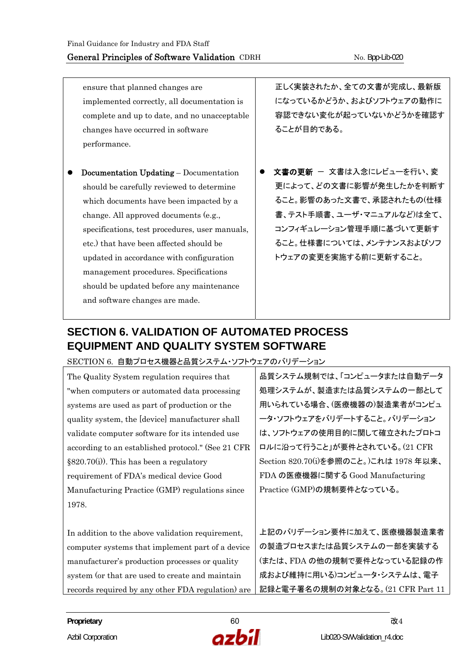ensure that planned changes are implemented correctly, all documentation is complete and up to date, and no unacceptable changes have occurred in software performance.

 Documentation Updating – Documentation should be carefully reviewed to determine which documents have been impacted by a change. All approved documents (e.g., specifications, test procedures, user manuals, etc.) that have been affected should be updated in accordance with configuration management procedures. Specifications should be updated before any maintenance and software changes are made.

正しく実装されたか、全ての文書が完成し、最新版 になっているかどうか、およびソフトウェアの動作に 容認できない変化が起っていないかどうかを確認す ることが目的である。

● 文書の更新 - 文書は入念にレビューを行い、変 更によって、どの文書に影響が発生したかを判断す ること。影響のあった文書で、承認されたもの(仕様 書、テスト手順書、ユーザ・マニュアルなど)は全て、 コンフィギュレーション管理手順に基づいて更新す ること。仕様書については、メンテナンスおよびソフ トウェアの変更を実施する前に更新すること。

# **SECTION 6. VALIDATION OF AUTOMATED PROCESS EQUIPMENT AND QUALITY SYSTEM SOFTWARE**

## SECTION 6. 自動プロセス機器と品質システム・ソフトウェアのバリデーション

| The Quality System regulation requires that        | 品質システム規制では、「コンピュータまたは自動データ             |
|----------------------------------------------------|----------------------------------------|
| "when computers or automated data processing"      | 処理システムが、製造または品質システムの一部として              |
| systems are used as part of production or the      | 用いられている場合、(医療機器の)製造業者がコンピュ             |
| quality system, the [device] manufacturer shall    | ータ・ソフトウェアをバリデートすること。バリデーション            |
| validate computer software for its intended use    | は、ソフトウェアの使用目的に関して確立されたプロトコ             |
| according to an established protocol." (See 21 CFR | ロルに沿って行うこと」が要件とされている。(21 CFR           |
| $\S 820.70(i)$ . This has been a regulatory        | Section 820.70(i)を参照のこと。)これは 1978 年以来、 |
| requirement of FDA's medical device Good           | FDA の医療機器に関する Good Manufacturing       |
| Manufacturing Practice (GMP) regulations since     | Practice (GMP)の規制要件となっている。             |
| 1978.                                              |                                        |
|                                                    |                                        |
| In addition to the above validation requirement,   | 上記のバリデーション要件に加えて、医療機器製造業者              |
| computer systems that implement part of a device   | の製造プロセスまたは品質システムの一部を実装する               |
| manufacturer's production processes or quality     | (または、FDA の他の規制で要件となっている記録の作            |
| system (or that are used to create and maintain    | 成および維持に用いる)コンピュータ・システムは、電子             |
| records required by any other FDA regulation) are  | 記録と電子署名の規制の対象となる。(21 CFR Part 11       |

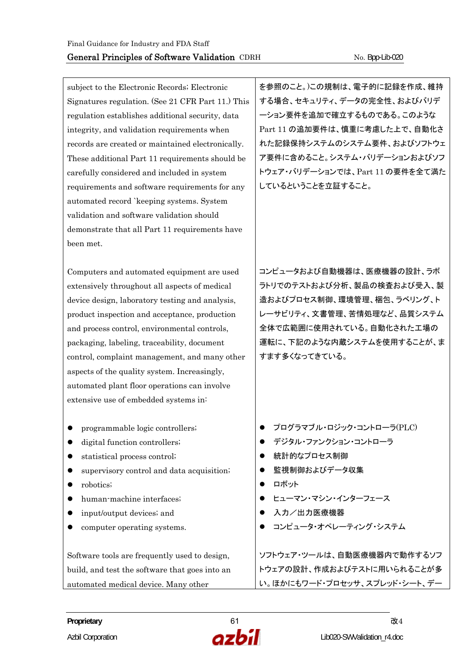subject to the Electronic Records; Electronic Signatures regulation. (See 21 CFR Part 11.) This regulation establishes additional security, data integrity, and validation requirements when records are created or maintained electronically. These additional Part 11 requirements should be carefully considered and included in system requirements and software requirements for any automated record `keeping systems. System validation and software validation should demonstrate that all Part 11 requirements have been met.

Computers and automated equipment are used extensively throughout all aspects of medical device design, laboratory testing and analysis, product inspection and acceptance, production and process control, environmental controls, packaging, labeling, traceability, document control, complaint management, and many other aspects of the quality system. Increasingly, automated plant floor operations can involve extensive use of embedded systems in:

- programmable logic controllers;
- digital function controllers;
- statistical process control;
- supervisory control and data acquisition;
- robotics;
- human-machine interfaces;
- input/output devices; and
- computer operating systems.

Software tools are frequently used to design, build, and test the software that goes into an automated medical device. Many other

を参照のこと。)この規制は、電子的に記録を作成、維持 する場合、セキュリティ、データの完全性、およびバリデ ーション要件を追加で確立するものである。このような Part 11 の追加要件は、慎重に考慮した上で、自動化さ れた記録保持システムのシステム要件、およびソフトウェ ア要件に含めること。システム・バリデーションおよびソフ トウェア・バリデーションでは、Part 11 の要件を全て満た しているということを立証すること。

コンピュータおよび自動機器は、医療機器の設計、ラボ ラトリでのテストおよび分析、製品の検査および受入、製 造およびプロセス制御、環境管理、梱包、ラベリング、ト レーサビリティ、文書管理、苦情処理など、品質システム 全体で広範囲に使用されている。自動化された工場の 運転に、下記のような内蔵システムを使用することが、ま すます多くなってきている。

- プログラマブル・ロジック・コントローラ(PLC)
- デジタル・ファンクション・コントローラ
- 統計的なプロセス制御
- 監視制御およびデータ収集
- ロボット
- ヒューマン・マシン・インターフェース
- 入力/出力医療機器
- コンピュータ・オペレーティング・システム

ソフトウェア・ツールは、自動医療機器内で動作するソフ トウェアの設計、作成およびテストに用いられることが多 い。ほかにもワード・プロセッサ、スプレッド・シート、デー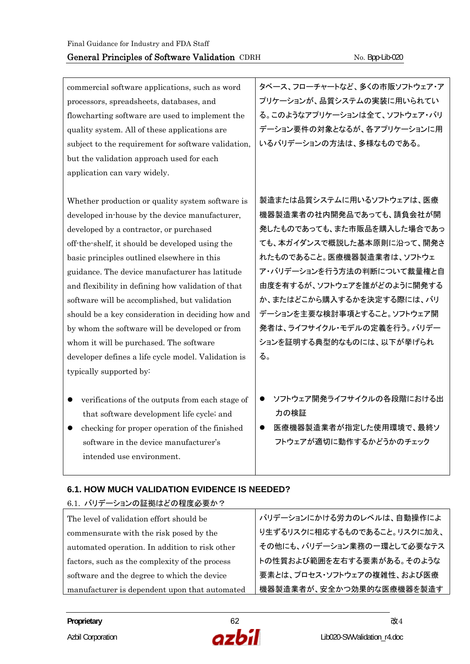commercial software applications, such as word processors, spreadsheets, databases, and flowcharting software are used to implement the quality system. All of these applications are subject to the requirement for software validation, but the validation approach used for each application can vary widely.

Whether production or quality system software is developed in-house by the device manufacturer, developed by a contractor, or purchased off-the-shelf, it should be developed using the basic principles outlined elsewhere in this guidance. The device manufacturer has latitude and flexibility in defining how validation of that software will be accomplished, but validation should be a key consideration in deciding how and by whom the software will be developed or from whom it will be purchased. The software developer defines a life cycle model. Validation is typically supported by:

- verifications of the outputs from each stage of that software development life cycle; and
- checking for proper operation of the finished software in the device manufacturer's intended use environment.

タベース、フローチャートなど、多くの市販ソフトウェア・ア プリケーションが、品質システムの実装に用いられてい る。このようなアプリケーションは全て、ソフトウェア・バリ デーション要件の対象となるが、各アプリケーションに用 いるバリデーションの方法は、多様なものである。

製造または品質システムに用いるソフトウェアは、医療 機器製造業者の社内開発品であっても、請負会社が開 発したものであっても、また市販品を購入した場合であっ ても、本ガイダンスで概説した基本原則に沿って、開発さ れたものであること。医療機器製造業者は、ソフトウェ ア・バリデーションを行う方法の判断について裁量権と自 由度を有するが、ソフトウェアを誰がどのように開発する か、またはどこから購入するかを決定する際には、バリ デーションを主要な検討事項とすること。ソフトウェア開 発者は、ライフサイクル・モデルの定義を行う。バリデー ションを証明する典型的なものには、以下が挙げられ る。

- ソフトウェア開発ライフサイクルの各段階における出 力の検証
- 医療機器製造業者が指定した使用環境で、最終ソ フトウェアが適切に動作するかどうかのチェック

## **6.1. HOW MUCH VALIDATION EVIDENCE IS NEEDED?**

#### 6.1. バリデーションの証拠はどの程度必要か?

| The level of validation effort should be       | バリデーションにかける労力のレベルは、自動操作によ   |
|------------------------------------------------|-----------------------------|
| commensurate with the risk posed by the        | り生ずるリスクに相応するものであること。リスクに加え、 |
| automated operation. In addition to risk other | その他にも、バリデーション業務の一環として必要なテス  |
| factors, such as the complexity of the process | トの性質および範囲を左右する要素がある。そのような   |
| software and the degree to which the device    | 要素とは、プロセス・ソフトウェアの複雑性、および医療  |
| manufacturer is dependent upon that automated  | 機器製造業者が、安全かつ効果的な医療機器を製造す    |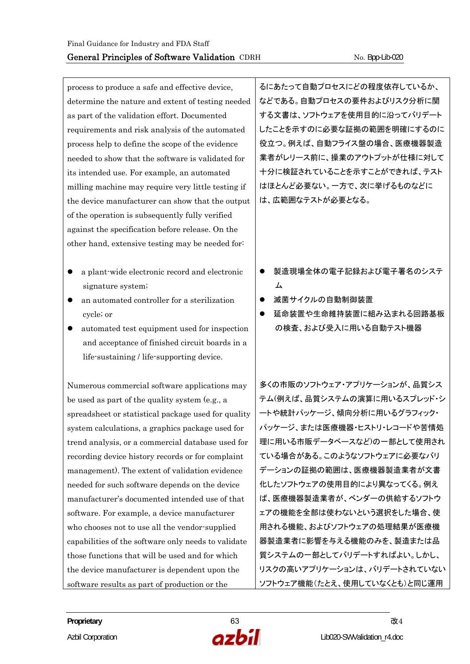process to produce a safe and effective device, determine the nature and extent of testing needed as part of the validation effort. Documented requirements and risk analysis of the automated process help to define the scope of the evidence needed to show that the software is validated for its intended use. For example, an automated milling machine may require very little testing if the device manufacturer can show that the output of the operation is subsequently fully verified against the specification before release. On the other hand, extensive testing may be needed for:

- a plant-wide electronic record and electronic signature system;
- an automated controller for a sterilization cycle; or
- automated test equipment used for inspection and acceptance of finished circuit boards in a life-sustaining / life-supporting device.

Numerous commercial software applications may be used as part of the quality system (e.g., a spreadsheet or statistical package used for quality system calculations, a graphics package used for trend analysis, or a commercial database used for recording device history records or for complaint management). The extent of validation evidence needed for such software depends on the device manufacturer's documented intended use of that software. For example, a device manufacturer who chooses not to use all the vendor-supplied capabilities of the software only needs to validate those functions that will be used and for which the device manufacturer is dependent upon the software results as part of production or the

るにあたって自動プロセスにどの程度依存しているか、 などである。自動プロセスの要件およびリスク分析に関 する文書は、ソフトウェアを使用目的に沿ってバリデート したことを示すのに必要な証拠の範囲を明確にするのに 役立つ。例えば、自動フライス盤の場合、医療機器製造 業者がレリース前に、操業のアウトプットが仕様に対して 十分に検証されていることを示すことができれば、テスト はほとんど必要ない。一方で、次に挙げるものなどに は、広範囲なテストが必要となる。

- 製造現場全体の電子記録および電子署名のシステ ム
- 滅菌サイクルの自動制御装置
- 延命装置や生命維持装置に組み込まれる回路基板 の検査、および受入に用いる自動テスト機器

多くの市販のソフトウェア・アプリケーションが、品質シス テム(例えば、品質システムの演算に用いるスプレッド・シ ートや統計パッケージ、傾向分析に用いるグラフィック・ パッケージ、または医療機器・ヒストリ・レコードや苦情処 理に用いる市販データベースなど)の一部として使用され ている場合がある。このようなソフトウェアに必要なバリ デーションの証拠の範囲は、医療機器製造業者が文書 化したソフトウェアの使用目的により異なってくる。例え ば、医療機器製造業者が、ベンダーの供給するソフトウ ェアの機能を全部は使わないという選択をした場合、使 用される機能、およびソフトウェアの処理結果が医療機 器製造業者に影響を与える機能のみを、製造または品 質システムの一部としてバリデートすればよい。しかし、 リスクの高いアプリケーションは、バリデートされていない ソフトウェア機能(たとえ、使用していなくとも)と同じ運用

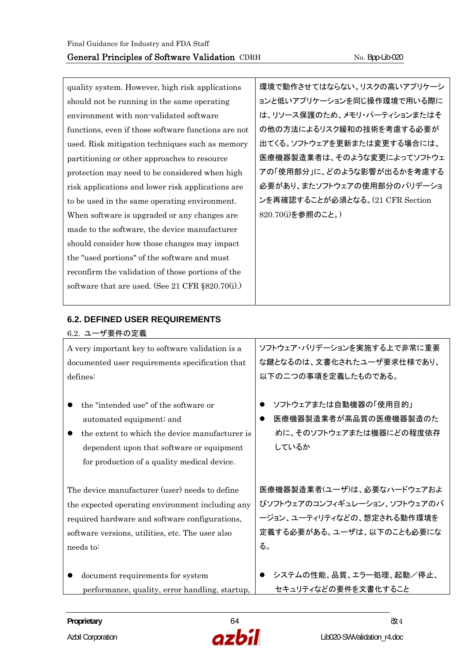quality system. However, high risk applications should not be running in the same operating environment with non-validated software functions, even if those software functions are not used. Risk mitigation techniques such as memory partitioning or other approaches to resource protection may need to be considered when high risk applications and lower risk applications are to be used in the same operating environment. When software is upgraded or any changes are made to the software, the device manufacturer should consider how those changes may impact the "used portions" of the software and must reconfirm the validation of those portions of the software that are used. (See 21 CFR §820.70(i).)

環境で動作させてはならない。リスクの高いアプリケーシ ョンと低いアプリケーションを同じ操作環境で用いる際に は、リソース保護のため、メモリ・パーティションまたはそ の他の方法によるリスク緩和の技術を考慮する必要が 出てくる。ソフトウェアを更新または変更する場合には、 医療機器製造業者は、そのような変更によってソフトウェ アの「使用部分」に、どのような影響が出るかを考慮する 必要があり、またソフトウェアの使用部分のバリデーショ ンを再確認することが必須となる。(21 CFR Section 820.70(i)を参照のこと。)

## **6.2. DEFINED USER REQUIREMENTS**

|  | 6.2. ユーザ要件の定義 |
|--|---------------|
|--|---------------|

| A very important key to software validation is a                                                                                                                                                                | ソフトウェア・バリデーションを実施する上で非常に重要                                                        |
|-----------------------------------------------------------------------------------------------------------------------------------------------------------------------------------------------------------------|-----------------------------------------------------------------------------------|
| documented user requirements specification that                                                                                                                                                                 | な鍵となるのは、文書化されたユーザ要求仕様であり、                                                         |
| defines:                                                                                                                                                                                                        | 以下の二つの事項を定義したものである。                                                               |
| the "intended use" of the software or<br>automated equipment; and<br>the extent to which the device manufacturer is<br>dependent upon that software or equipment<br>for production of a quality medical device. | ソフトウェアまたは自動機器の「使用目的」<br>医療機器製造業者が高品質の医療機器製造のた<br>めに、そのソフトウェアまたは機器にどの程度依存<br>しているか |
| The device manufacturer (user) needs to define                                                                                                                                                                  | 医療機器製造業者(ユーザ)は、必要なハードウェアおよ                                                        |
| the expected operating environment including any                                                                                                                                                                | びソフトウェアのコンフィギュレーション、ソフトウェアのバ                                                      |
| required hardware and software configurations,                                                                                                                                                                  | ージョン、ユーティリティなどの、想定される動作環境を                                                        |
| software versions, utilities, etc. The user also                                                                                                                                                                | 定義する必要がある。ユーザは、以下のことも必要にな                                                         |
| needs to:                                                                                                                                                                                                       | る。                                                                                |
| document requirements for system                                                                                                                                                                                | システムの性能、品質、エラー処理、起動/停止、                                                           |
| performance, quality, error handling, startup,                                                                                                                                                                  | セキュリティなどの要件を文書化すること                                                               |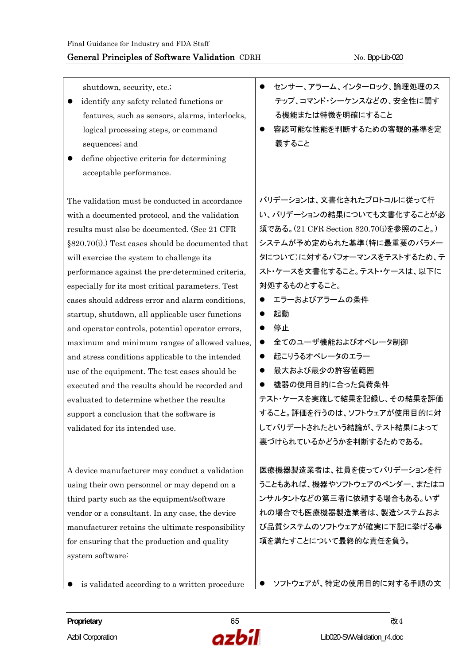# General Principles of Software Validation CDRH No. Bpp-Lib-020

shutdown, security, etc.;

- identify any safety related functions or features, such as sensors, alarms, interlocks, logical processing steps, or command sequences; and
- define objective criteria for determining acceptable performance.

The validation must be conducted in accordance with a documented protocol, and the validation results must also be documented. (See 21 CFR §820.70(i).) Test cases should be documented that will exercise the system to challenge its performance against the pre-determined criteria, especially for its most critical parameters. Test cases should address error and alarm conditions, startup, shutdown, all applicable user functions and operator controls, potential operator errors, maximum and minimum ranges of allowed values, and stress conditions applicable to the intended use of the equipment. The test cases should be executed and the results should be recorded and evaluated to determine whether the results support a conclusion that the software is validated for its intended use.

A device manufacturer may conduct a validation using their own personnel or may depend on a third party such as the equipment/software vendor or a consultant. In any case, the device manufacturer retains the ultimate responsibility for ensuring that the production and quality system software:

● is validated according to a written procedure → ソフトウェアが、特定の使用目的に対する手順の文

- センサー、アラーム、インターロック、論理処理のス テップ、コマンド・シーケンスなどの、安全性に関す る機能または特徴を明確にすること
- 容認可能な性能を判断するための客観的基準を定 義すること

バリデーションは、文書化されたプロトコルに従って行 い、バリデーションの結果についても文書化することが必 須である。(21 CFR Section 820.70(i)を参照のこと。) システムが予め定められた基準(特に最重要のパラメー タについて)に対するパフォーマンスをテストするため、テ スト・ケースを文書化すること。テスト・ケースは、以下に 対処するものとすること。

- エラーおよびアラームの条件
- 起動
- 停止
- 全てのユーザ機能およびオペレータ制御
- 起こりうるオペレータのエラー
- 最大および最少の許容値範囲
- 機器の使用目的に合った負荷条件

テスト・ケースを実施して結果を記録し、その結果を評価 すること。評価を行うのは、ソフトウェアが使用目的に対 してバリデートされたという結論が、テスト結果によって 裏づけられているかどうかを判断するためである。

医療機器製造業者は、社員を使ってバリデーションを行 うこともあれば、機器やソフトウェアのベンダー、またはコ ンサルタントなどの第三者に依頼する場合もある。いず れの場合でも医療機器製造業者は、製造システムおよ び品質システムのソフトウェアが確実に下記に挙げる事 項を満たすことについて最終的な責任を負う。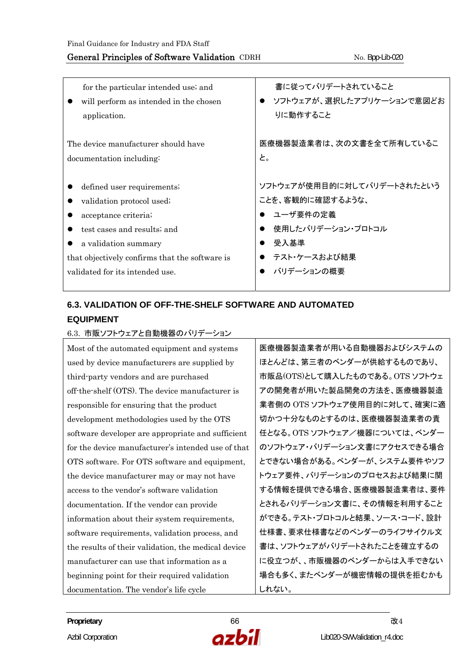## General Principles of Software Validation CDRH No. Bpp-Lib-020

| for the particular intended use; and           | 書に従ってバリデートされていること                      |
|------------------------------------------------|----------------------------------------|
| will perform as intended in the chosen         | ソフトウェアが、選択したアプリケーションで意図どお<br>$\bullet$ |
| application.                                   | りに動作すること                               |
|                                                |                                        |
| The device manufacturer should have            | 医療機器製造業者は、次の文書を全て所有しているこ               |
| documentation including:                       | と。                                     |
|                                                |                                        |
| defined user requirements;                     | ソフトウェアが使用目的に対してバリデートされたという             |
| validation protocol used;                      | ことを、客観的に確認するような、                       |
| acceptance criteria;                           | ユーザ要件の定義<br>$\bullet$                  |
| test cases and results; and                    | 使用したバリデーション・プロトコル<br>$\bullet$         |
| a validation summary                           | 受入基準<br>$\bullet$                      |
| that objectively confirms that the software is | テスト・ケースおよび結果                           |
| validated for its intended use.                | バリデーションの概要                             |
|                                                |                                        |

# **6.3. VALIDATION OF OFF-THE-SHELF SOFTWARE AND AUTOMATED EQUIPMENT**

6.3. 市販ソフトウェアと自動機器のバリデーション

Most of the automated equipment and systems used by device manufacturers are supplied by third-party vendors and are purchased off-the-shelf (OTS). The device manufacturer is responsible for ensuring that the product development methodologies used by the OTS software developer are appropriate and sufficient for the device manufacturer's intended use of that OTS software. For OTS software and equipment, the device manufacturer may or may not have access to the vendor's software validation documentation. If the vendor can provide information about their system requirements, software requirements, validation process, and the results of their validation, the medical device manufacturer can use that information as a beginning point for their required validation documentation. The vendor's life cycle

医療機器製造業者が用いる自動機器およびシステムの ほとんどは、第三者のベンダーが供給するものであり、 市販品(OTS)として購入したものである。OTS ソフトウェ アの開発者が用いた製品開発の方法を、医療機器製造 業者側の OTS ソフトウェア使用目的に対して、確実に適 切かつ十分なものとするのは、医療機器製造業者の責 任となる。OTS ソフトウェア/機器については、ベンダー のソフトウェア・バリデーション文書にアクセスできる場合 とできない場合がある。ベンダーが、システム要件やソフ トウェア要件、バリデーションのプロセスおよび結果に関 する情報を提供できる場合、医療機器製造業者は、要件 とされるバリデーション文書に、その情報を利用すること ができる。テスト・プロトコルと結果、ソース・コード、設計 仕様書、要求仕様書などのベンダーのライフサイクル文 書は、ソフトウェアがバリデートされたことを確立するの に役立つが、、市販機器のベンダーからは入手できない 場合も多く、またベンダーが機密情報の提供を拒むかも しれない。

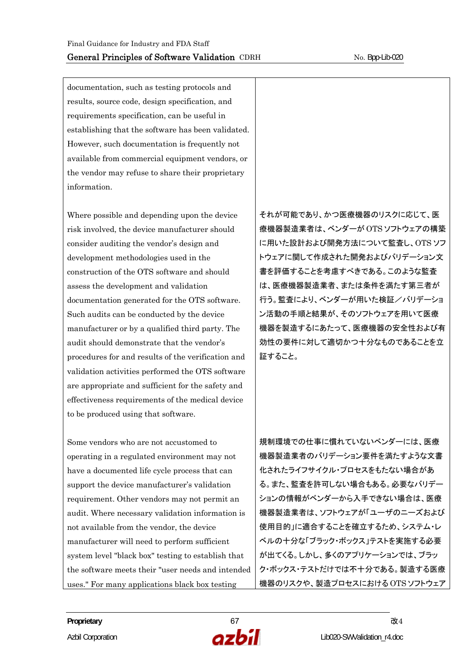documentation, such as testing protocols and results, source code, design specification, and requirements specification, can be useful in establishing that the software has been validated. However, such documentation is frequently not available from commercial equipment vendors, or the vendor may refuse to share their proprietary information.

Where possible and depending upon the device risk involved, the device manufacturer should consider auditing the vendor's design and development methodologies used in the construction of the OTS software and should assess the development and validation documentation generated for the OTS software. Such audits can be conducted by the device manufacturer or by a qualified third party. The audit should demonstrate that the vendor's procedures for and results of the verification and validation activities performed the OTS software are appropriate and sufficient for the safety and effectiveness requirements of the medical device to be produced using that software.

Some vendors who are not accustomed to operating in a regulated environment may not have a documented life cycle process that can support the device manufacturer's validation requirement. Other vendors may not permit an audit. Where necessary validation information is not available from the vendor, the device manufacturer will need to perform sufficient system level "black box" testing to establish that the software meets their "user needs and intended uses." For many applications black box testing

それが可能であり、かつ医療機器のリスクに応じて、医 療機器製造業者は、ベンダーが OTS ソフトウェアの構築 に用いた設計および開発方法について監査し、OTS ソフ トウェアに関して作成された開発およびバリデーション文 書を評価することを考慮すべきである。このような監査 は、医療機器製造業者、または条件を満たす第三者が 行う。監査により、ベンダーが用いた検証/バリデーショ ン活動の手順と結果が、そのソフトウェアを用いて医療 機器を製造するにあたって、医療機器の安全性および有 効性の要件に対して適切かつ十分なものであることを立 証すること。

規制環境での仕事に慣れていないベンダーには、医療 機器製造業者のバリデーション要件を満たすような文書 化されたライフサイクル・プロセスをもたない場合があ る。また、監査を許可しない場合もある。必要なバリデー ションの情報がベンダーから入手できない場合は、医療 機器製造業者は、ソフトウェアが「ユーザのニーズおよび 使用目的」に適合することを確立するため、システム・レ ベルの十分な「ブラック・ボックス」テストを実施する必要 が出てくる。しかし、多くのアプリケーションでは、ブラッ ク・ボックス・テストだけでは不十分である。製造する医療 機器のリスクや、製造プロセスにおける OTS ソフトウェア

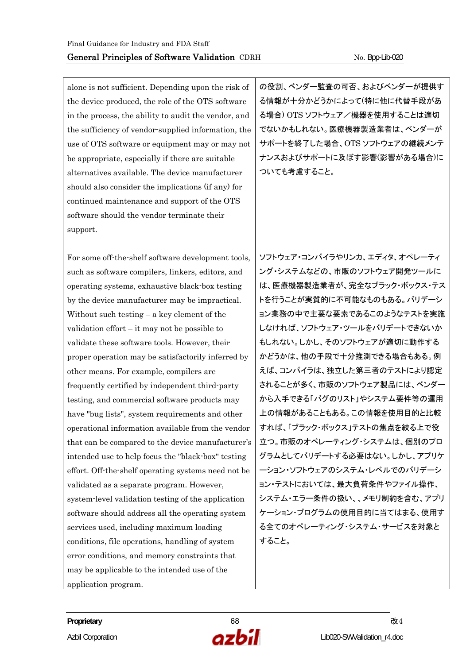alone is not sufficient. Depending upon the risk of the device produced, the role of the OTS software in the process, the ability to audit the vendor, and the sufficiency of vendor-supplied information, the use of OTS software or equipment may or may not be appropriate, especially if there are suitable alternatives available. The device manufacturer should also consider the implications (if any) for continued maintenance and support of the OTS software should the vendor terminate their support.

For some off-the-shelf software development tools, such as software compilers, linkers, editors, and operating systems, exhaustive black-box testing by the device manufacturer may be impractical. Without such testing – a key element of the validation effort – it may not be possible to validate these software tools. However, their proper operation may be satisfactorily inferred by other means. For example, compilers are frequently certified by independent third-party testing, and commercial software products may have "bug lists", system requirements and other operational information available from the vendor that can be compared to the device manufacturer's intended use to help focus the "black-box" testing effort. Off-the-shelf operating systems need not be validated as a separate program. However, system-level validation testing of the application software should address all the operating system services used, including maximum loading conditions, file operations, handling of system error conditions, and memory constraints that may be applicable to the intended use of the application program.

の役割、ベンダー監査の可否、およびベンダーが提供す る情報が十分かどうかによって(特に他に代替手段があ る場合) OTS ソフトウェア/機器を使用することは適切 でないかもしれない。医療機器製造業者は、ベンダーが サポートを終了した場合、OTS ソフトウェアの継続メンテ ナンスおよびサポートに及ぼす影響(影響がある場合)に ついても考慮すること。

ソフトウェア・コンパイラやリンカ、エディタ、オペレーティ ング・システムなどの、市販のソフトウェア開発ツールに は、医療機器製造業者が、完全なブラック・ボックス・テス トを行うことが実質的に不可能なものもある。バリデーシ ョン業務の中で主要な要素であるこのようなテストを実施 しなければ、ソフトウェア・ツールをバリデートできないか もしれない。しかし、そのソフトウェアが適切に動作する かどうかは、他の手段で十分推測できる場合もある。例 えば、コンパイラは、独立した第三者のテストにより認定 されることが多く、市販のソフトウェア製品には、ベンダー から入手できる「バグのリスト」やシステム要件等の運用 上の情報があることもある。この情報を使用目的と比較 すれば、「ブラック・ボックス」テストの焦点を絞る上で役 立つ。市販のオペレーティング・システムは、個別のプロ グラムとしてバリデートする必要はない。しかし、アプリケ ーション・ソフトウェアのシステム・レベルでのバリデーシ ョン・テストにおいては、最大負荷条件やファイル操作、 システム・エラー条件の扱い、、メモリ制約を含む、アプリ ケーション・プログラムの使用目的に当てはまる、使用す る全てのオペレーティング・システム・サービスを対象と すること。

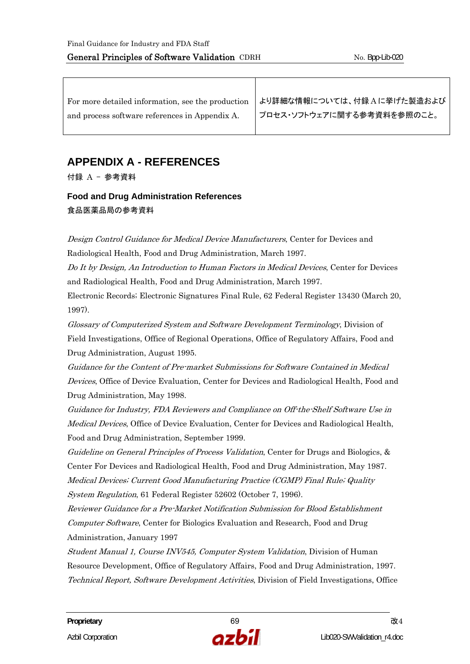| For more detailed information, see the production | より詳細な情報については、付録Aに挙げた製造および  |
|---------------------------------------------------|----------------------------|
| and process software references in Appendix A.    | プロセス・ソフトウェアに関する参考資料を参照のこと。 |
|                                                   |                            |

## **APPENDIX A - REFERENCES**

付録 A – 参考資料

### **Food and Drug Administration References**  食品医薬品局の参考資料

Design Control Guidance for Medical Device Manufacturers, Center for Devices and Radiological Health, Food and Drug Administration, March 1997.

Do It by Design, An Introduction to Human Factors in Medical Devices, Center for Devices and Radiological Health, Food and Drug Administration, March 1997.

Electronic Records; Electronic Signatures Final Rule, 62 Federal Register 13430 (March 20, 1997).

Glossary of Computerized System and Software Development Terminology, Division of Field Investigations, Office of Regional Operations, Office of Regulatory Affairs, Food and Drug Administration, August 1995.

Guidance for the Content of Pre-market Submissions for Software Contained in Medical Devices, Office of Device Evaluation, Center for Devices and Radiological Health, Food and Drug Administration, May 1998.

Guidance for Industry, FDA Reviewers and Compliance on Off-the-Shelf Software Use in Medical Devices, Office of Device Evaluation, Center for Devices and Radiological Health, Food and Drug Administration, September 1999.

Guideline on General Principles of Process Validation, Center for Drugs and Biologics, & Center For Devices and Radiological Health, Food and Drug Administration, May 1987. Medical Devices; Current Good Manufacturing Practice (CGMP) Final Rule; Quality System Regulation, 61 Federal Register 52602 (October 7, 1996).

Reviewer Guidance for a Pre-Market Notification Submission for Blood Establishment Computer Software, Center for Biologics Evaluation and Research, Food and Drug Administration, January 1997

Student Manual 1, Course INV545, Computer System Validation, Division of Human Resource Development, Office of Regulatory Affairs, Food and Drug Administration, 1997. Technical Report, Software Development Activities, Division of Field Investigations, Office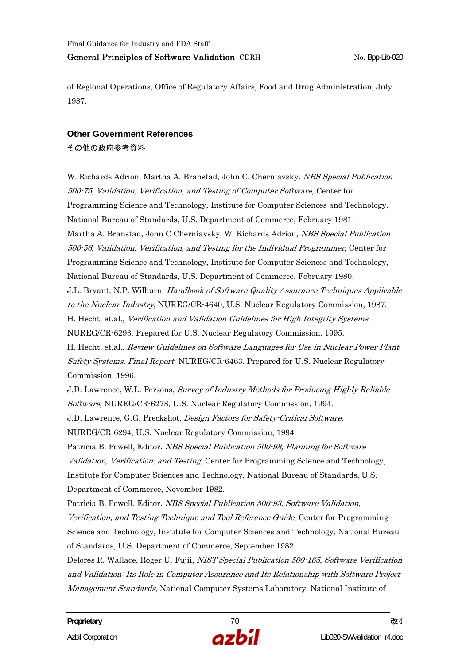of Regional Operations, Office of Regulatory Affairs, Food and Drug Administration, July 1987.

# **Other Government References**

その他の政府参考資料

W. Richards Adrion, Martha A. Branstad, John C. Cherniavsky. NBS Special Publication 500-75, Validation, Verification, and Testing of Computer Software, Center for Programming Science and Technology, Institute for Computer Sciences and Technology, National Bureau of Standards, U.S. Department of Commerce, February 1981. Martha A. Branstad, John C Cherniavsky, W. Richards Adrion, NBS Special Publication 500-56, Validation, Verification, and Testing for the Individual Programmer, Center for Programming Science and Technology, Institute for Computer Sciences and Technology, National Bureau of Standards, U.S. Department of Commerce, February 1980. J.L. Bryant, N.P. Wilburn, Handbook of Software Quality Assurance Techniques Applicable to the Nuclear Industry, NUREG/CR-4640, U.S. Nuclear Regulatory Commission, 1987. H. Hecht, et.al., Verification and Validation Guidelines for High Integrity Systems. NUREG/CR-6293. Prepared for U.S. Nuclear Regulatory Commission, 1995. H. Hecht, et.al., Review Guidelines on Software Languages for Use in Nuclear Power Plant Safety Systems, Final Report. NUREG/CR-6463. Prepared for U.S. Nuclear Regulatory Commission, 1996. J.D. Lawrence, W.L. Persons, Survey of Industry Methods for Producing Highly Reliable Software, NUREG/CR-6278, U.S. Nuclear Regulatory Commission, 1994. J.D. Lawrence, G.G. Preckshot, Design Factors for Safety-Critical Software, NUREG/CR-6294, U.S. Nuclear Regulatory Commission, 1994. Patricia B. Powell, Editor. NBS Special Publication 500-98, Planning for Software Validation, Verification, and Testing, Center for Programming Science and Technology, Institute for Computer Sciences and Technology, National Bureau of Standards, U.S. Department of Commerce, November 1982. Patricia B. Powell, Editor. NBS Special Publication 500-93, Software Validation, Verification, and Testing Technique and Tool Reference Guide, Center for Programming Science and Technology, Institute for Computer Sciences and Technology, National Bureau of Standards, U.S. Department of Commerce, September 1982. Delores R. Wallace, Roger U. Fujii, *NIST Special Publication 500-165, Software Verification* and Validation: Its Role in Computer Assurance and Its Relationship with Software Project Management Standards, National Computer Systems Laboratory, National Institute of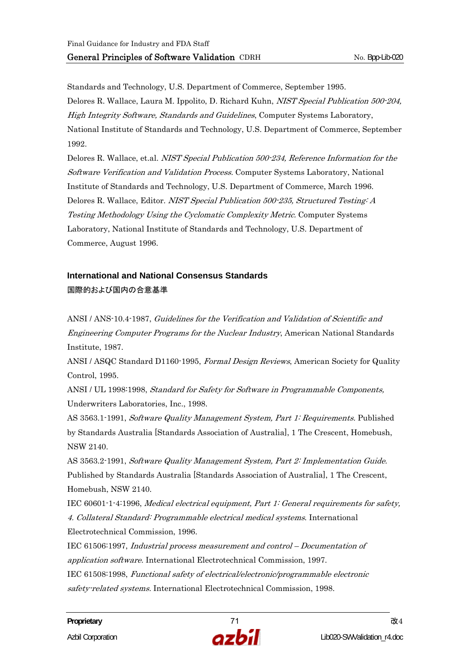Standards and Technology, U.S. Department of Commerce, September 1995. Delores R. Wallace, Laura M. Ippolito, D. Richard Kuhn, NIST Special Publication 500-204, High Integrity Software, Standards and Guidelines, Computer Systems Laboratory, National Institute of Standards and Technology, U.S. Department of Commerce, September 1992.

Delores R. Wallace, et.al. NIST Special Publication 500-234, Reference Information for the Software Verification and Validation Process. Computer Systems Laboratory, National Institute of Standards and Technology, U.S. Department of Commerce, March 1996. Delores R. Wallace, Editor. NIST Special Publication 500-235, Structured Testing: A Testing Methodology Using the Cyclomatic Complexity Metric. Computer Systems Laboratory, National Institute of Standards and Technology, U.S. Department of Commerce, August 1996.

#### **International and National Consensus Standards**  国際的および国内の合意基準

ANSI / ANS-10.4-1987, Guidelines for the Verification and Validation of Scientific and Engineering Computer Programs for the Nuclear Industry, American National Standards Institute, 1987.

ANSI / ASQC Standard D1160-1995, Formal Design Reviews, American Society for Quality Control, 1995.

ANSI / UL 1998:1998, Standard for Safety for Software in Programmable Components, Underwriters Laboratories, Inc., 1998.

AS 3563.1-1991, Software Quality Management System, Part 1: Requirements. Published by Standards Australia [Standards Association of Australia], 1 The Crescent, Homebush, NSW 2140.

AS 3563.2-1991, Software Quality Management System, Part 2: Implementation Guide. Published by Standards Australia [Standards Association of Australia], 1 The Crescent, Homebush, NSW 2140.

IEC 60601-1-4:1996, Medical electrical equipment, Part 1: General requirements for safety, 4. Collateral Standard: Programmable electrical medical systems. International Electrotechnical Commission, 1996.

IEC 61506:1997, Industrial process measurement and control – Documentation of application software. International Electrotechnical Commission, 1997.

IEC 61508:1998, Functional safety of electrical/electronic/programmable electronic safety-related systems. International Electrotechnical Commission, 1998.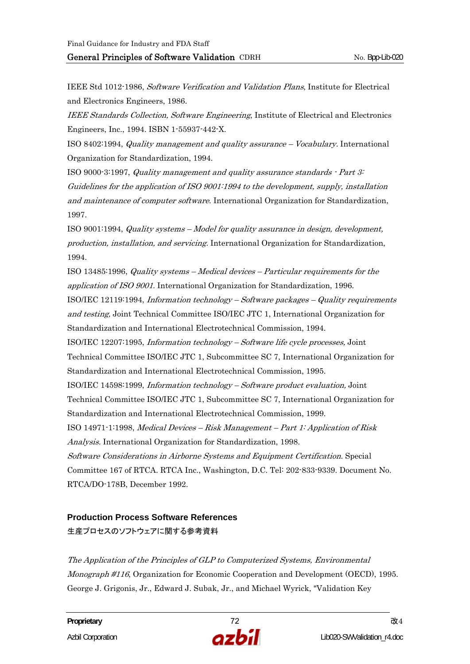IEEE Std 1012-1986, Software Verification and Validation Plans, Institute for Electrical and Electronics Engineers, 1986.

IEEE Standards Collection, Software Engineering, Institute of Electrical and Electronics Engineers, Inc., 1994. ISBN 1-55937-442-X.

ISO 8402:1994, Quality management and quality assurance – Vocabulary. International Organization for Standardization, 1994.

ISO 9000-3:1997, Quality management and quality assurance standards - Part 3: Guidelines for the application of ISO 9001:1994 to the development, supply, installation and maintenance of computer software. International Organization for Standardization, 1997.

ISO 9001:1994, Quality systems – Model for quality assurance in design, development, production, installation, and servicing. International Organization for Standardization, 1994.

ISO 13485:1996, Quality systems – Medical devices – Particular requirements for the application of ISO 9001. International Organization for Standardization, 1996. ISO/IEC 12119:1994, Information technology – Software packages – Quality requirements and testing, Joint Technical Committee ISO/IEC JTC 1, International Organization for Standardization and International Electrotechnical Commission, 1994. ISO/IEC 12207:1995, Information technology – Software life cycle processes, Joint

Technical Committee ISO/IEC JTC 1, Subcommittee SC 7, International Organization for Standardization and International Electrotechnical Commission, 1995.

ISO/IEC 14598:1999, Information technology – Software product evaluation, Joint

Technical Committee ISO/IEC JTC 1, Subcommittee SC 7, International Organization for Standardization and International Electrotechnical Commission, 1999.

ISO 14971-1:1998, Medical Devices – Risk Management – Part 1: Application of Risk Analysis. International Organization for Standardization, 1998.

Software Considerations in Airborne Systems and Equipment Certification. Special Committee 167 of RTCA. RTCA Inc., Washington, D.C. Tel: 202-833-9339. Document No. RTCA/DO-178B, December 1992.

#### **Production Process Software References**

生産プロセスのソフトウェアに関する参考資料

The Application of the Principles of GLP to Computerized Systems, Environmental Monograph #116, Organization for Economic Cooperation and Development (OECD), 1995. George J. Grigonis, Jr., Edward J. Subak, Jr., and Michael Wyrick, "Validation Key

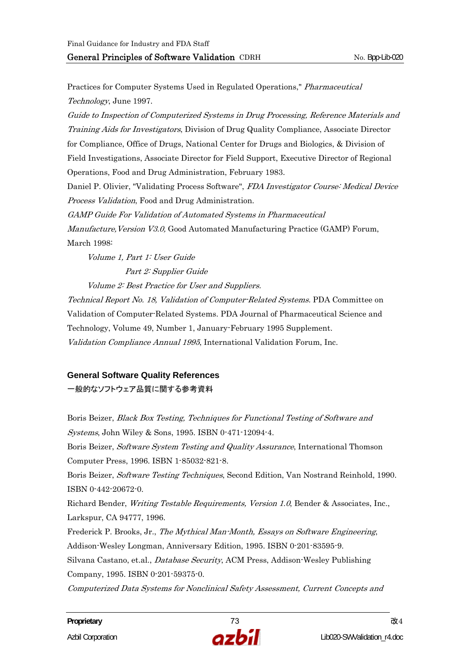Practices for Computer Systems Used in Regulated Operations," Pharmaceutical Technology, June 1997.

Guide to Inspection of Computerized Systems in Drug Processing, Reference Materials and Training Aids for Investigators, Division of Drug Quality Compliance, Associate Director for Compliance, Office of Drugs, National Center for Drugs and Biologics, & Division of Field Investigations, Associate Director for Field Support, Executive Director of Regional Operations, Food and Drug Administration, February 1983.

Daniel P. Olivier, "Validating Process Software", FDA Investigator Course: Medical Device Process Validation, Food and Drug Administration.

GAMP Guide For Validation of Automated Systems in Pharmaceutical Manufacture, Version V3.0, Good Automated Manufacturing Practice (GAMP) Forum, March 1998:

Volume 1, Part 1: User Guide

Part 2: Supplier Guide

Volume 2: Best Practice for User and Suppliers.

Technical Report No. 18, Validation of Computer-Related Systems. PDA Committee on Validation of Computer-Related Systems. PDA Journal of Pharmaceutical Science and Technology, Volume 49, Number 1, January-February 1995 Supplement. Validation Compliance Annual 1995, International Validation Forum, Inc.

#### **General Software Quality References**

一般的なソフトウェア品質に関する参考資料

Boris Beizer, Black Box Testing, Techniques for Functional Testing of Software and Systems, John Wiley & Sons, 1995. ISBN 0-471-12094-4.

Boris Beizer, *Software System Testing and Quality Assurance*, International Thomson Computer Press, 1996. ISBN 1-85032-821-8.

Boris Beizer, Software Testing Techniques, Second Edition, Van Nostrand Reinhold, 1990. ISBN 0-442-20672-0.

Richard Bender, Writing Testable Requirements, Version 1.0, Bender & Associates, Inc., Larkspur, CA 94777, 1996.

Frederick P. Brooks, Jr., The Mythical Man-Month, Essays on Software Engineering, Addison-Wesley Longman, Anniversary Edition, 1995. ISBN 0-201-83595-9.

Silvana Castano, et.al., Database Security, ACM Press, Addison-Wesley Publishing Company, 1995. ISBN 0-201-59375-0.

Computerized Data Systems for Nonclinical Safety Assessment, Current Concepts and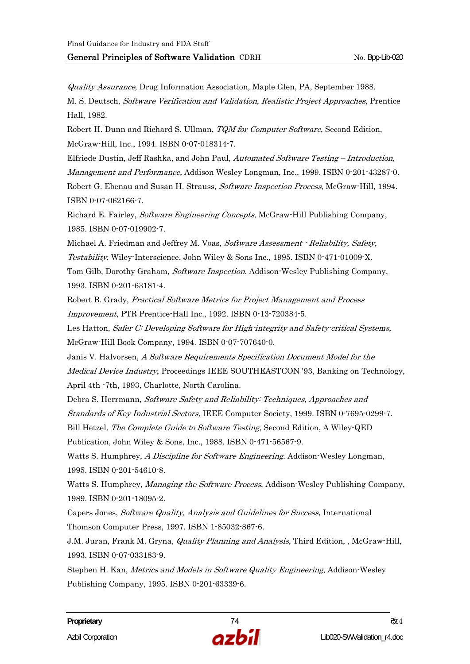Quality Assurance, Drug Information Association, Maple Glen, PA, September 1988.

M. S. Deutsch, Software Verification and Validation, Realistic Project Approaches, Prentice Hall, 1982.

Robert H. Dunn and Richard S. Ullman, TQM for Computer Software, Second Edition, McGraw-Hill, Inc., 1994. ISBN 0-07-018314-7.

Elfriede Dustin, Jeff Rashka, and John Paul, Automated Software Testing – Introduction, *Management and Performance*, Addison Wesley Longman, Inc., 1999. ISBN 0-201-43287-0. Robert G. Ebenau and Susan H. Strauss, Software Inspection Process, McGraw-Hill, 1994. ISBN 0-07-062166-7.

Richard E. Fairley, Software Engineering Concepts, McGraw-Hill Publishing Company, 1985. ISBN 0-07-019902-7.

Michael A. Friedman and Jeffrey M. Voas, Software Assessment - Reliability, Safety, Testability, Wiley-Interscience, John Wiley & Sons Inc., 1995. ISBN 0-471-01009-X. Tom Gilb, Dorothy Graham, Software Inspection, Addison-Wesley Publishing Company, 1993. ISBN 0-201-63181-4.

Robert B. Grady, Practical Software Metrics for Project Management and Process Improvement, PTR Prentice-Hall Inc., 1992. ISBN 0-13-720384-5.

Les Hatton, Safer C: Developing Software for High-integrity and Safety-critical Systems, McGraw-Hill Book Company, 1994. ISBN 0-07-707640-0.

Janis V. Halvorsen, A Software Requirements Specification Document Model for the Medical Device Industry, Proceedings IEEE SOUTHEASTCON '93, Banking on Technology, April 4th -7th, 1993, Charlotte, North Carolina.

Debra S. Herrmann, Software Safety and Reliability: Techniques, Approaches and Standards of Key Industrial Sectors, IEEE Computer Society, 1999. ISBN 0-7695-0299-7. Bill Hetzel, *The Complete Guide to Software Testing*, Second Edition, A Wiley-QED Publication, John Wiley & Sons, Inc., 1988. ISBN 0-471-56567-9.

Watts S. Humphrey, A Discipline for Software Engineering. Addison-Wesley Longman, 1995. ISBN 0-201-54610-8.

Watts S. Humphrey, *Managing the Software Process*, Addison-Wesley Publishing Company, 1989. ISBN 0-201-18095-2.

Capers Jones, Software Quality, Analysis and Guidelines for Success, International Thomson Computer Press, 1997. ISBN 1-85032-867-6.

J.M. Juran, Frank M. Gryna, *Quality Planning and Analysis*, Third Edition, , McGraw-Hill, 1993. ISBN 0-07-033183-9.

Stephen H. Kan, Metrics and Models in Software Quality Engineering, Addison-Wesley Publishing Company, 1995. ISBN 0-201-63339-6.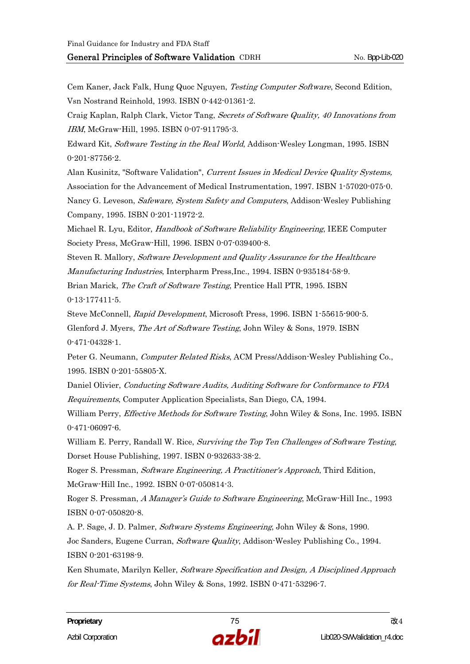Cem Kaner, Jack Falk, Hung Quoc Nguyen, Testing Computer Software, Second Edition, Vsn Nostrand Reinhold, 1993. ISBN 0-442-01361-2.

Craig Kaplan, Ralph Clark, Victor Tang, Secrets of Software Quality, 40 Innovations from IBM, McGraw-Hill, 1995. ISBN 0-07-911795-3.

Edward Kit, Software Testing in the Real World, Addison-Wesley Longman, 1995. ISBN 0-201-87756-2.

Alan Kusinitz, "Software Validation", Current Issues in Medical Device Quality Systems, Association for the Advancement of Medical Instrumentation, 1997. ISBN 1-57020-075-0. Nancy G. Leveson, *Safeware, System Safety and Computers*, Addison-Wesley Publishing Company, 1995. ISBN 0-201-11972-2.

Michael R. Lyu, Editor, *Handbook of Software Reliability Engineering*, IEEE Computer Society Press, McGraw-Hill, 1996. ISBN 0-07-039400-8.

Steven R. Mallory, Software Development and Quality Assurance for the Healthcare Manufacturing Industries, Interpharm Press,Inc., 1994. ISBN 0-935184-58-9.

Brian Marick, The Craft of Software Testing, Prentice Hall PTR, 1995. ISBN 0-13-177411-5.

Steve McConnell, Rapid Development, Microsoft Press, 1996. ISBN 1-55615-900-5. Glenford J. Myers, *The Art of Software Testing*, John Wiley & Sons, 1979. ISBN 0-471-04328-1.

Peter G. Neumann, Computer Related Risks, ACM Press/Addison-Wesley Publishing Co., 1995. ISBN 0-201-55805-X.

Daniel Olivier, Conducting Software Audits, Auditing Software for Conformance to FDA Requirements, Computer Application Specialists, San Diego, CA, 1994.

William Perry, *Effective Methods for Software Testing*, John Wiley & Sons, Inc. 1995. ISBN 0-471-06097-6.

William E. Perry, Randall W. Rice, Surviving the Top Ten Challenges of Software Testing, Dorset House Publishing, 1997. ISBN 0-932633-38-2.

Roger S. Pressman, Software Engineering, A Practitioner's Approach, Third Edition, McGraw-Hill Inc., 1992. ISBN 0-07-050814-3.

Roger S. Pressman, A Manager's Guide to Software Engineering, McGraw-Hill Inc., 1993 ISBN 0-07-050820-8.

A. P. Sage, J. D. Palmer, Software Systems Engineering, John Wiley & Sons, 1990. Joc Sanders, Eugene Curran, Software Quality, Addison-Wesley Publishing Co., 1994. ISBN 0-201-63198-9.

Ken Shumate, Marilyn Keller, Software Specification and Design, A Disciplined Approach for Real-Time Systems, John Wiley & Sons, 1992. ISBN 0-471-53296-7.